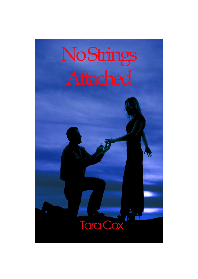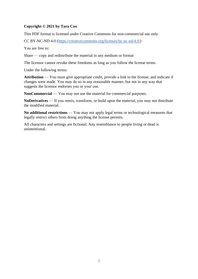#### **Copyright © 2021 by Tara Cox**

This PDF format is licensed under Creative Commons for non-commercial use only.

CC BY-NC-ND 4.0 [\(https://creativecommons.org/licenses/by-nc-nd/4.0/\)](https://creativecommons.org/licenses/by-nc-nd/4.0/)

You are free to:

Share — copy and redistribute the material in any medium or format

The licensor cannot revoke these freedoms as long as you follow the license terms.

Under the following terms:

**Attribution** — You must give appropriate credit, provide a link to the license, and indicate if changes were made. You may do so in any reasonable manner, but not in any way that suggests the licensor endorses you or your use.

**NonCommercial** — You may not use the material for commercial purposes.

**NoDerivatives** — If you remix, transform, or build upon the material, you may not distribute the modified material.

**No additional restrictions** — You may not apply legal terms or technological measures that legally restrict others from doing anything the license permits.

All characters and settings are fictional. Any resemblance to people living or dead is unintentional.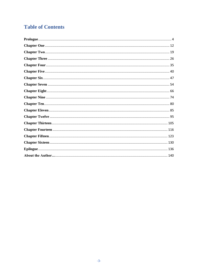#### **Table of Contents**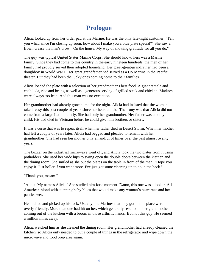#### **Prologue**

<span id="page-3-0"></span>Alicia looked up from her order pad at the Marine. He was the only late-night customer. "Tell you what, since I'm closing up soon, how about I make you a blue plate special?" She saw a frown crease the man's brow, "On the house. My way of showing gratitude for all you do."

The guy was typical United States Marine Corps. She should know; hers was a Marine family. Since they had come to this country in the early nineteen hundreds, the men of her family had proudly served their adopted homeland. Her great-great-grandfather had been a doughboy in World War I. Her great grandfather had served as a US Marine in the Pacific theater. But they had been the lucky ones coming home to their families.

Alicia loaded the plate with a selection of her grandmother's best food. A giant tamale and enchilada, rice and beans, as well as a generous serving of grilled steak and chicken. Marines were always too lean. And this man was no exception.

Her grandmother had already gone home for the night. Alicia had insisted that the woman take it easy this past couple of years since her heart attack. The irony was that Alicia did not come from a large Latino family. She had only her grandmother. Her father was an only child. His dad died in Vietnam before he could give him brothers or sisters.

It was a curse that was to repeat itself when her father died in Desert Storm. When her mother had left a couple of years later, Alicia had begged and pleaded to remain with her grandmother. She had seen her mother only a handful of times over the past almost twenty years.

The buzzer on the industrial microwave went off, and Alicia took the two plates from it using potholders. She used her wide hips to swing open the double doors between the kitchen and the dining room. She smiled as she put the plates on the table in front of the man. "Hope you enjoy it. Just holler if you want more. I've just got some cleaning up to do in the back."

"Thank you, ma'am."

"Alicia. My name's Alicia." She studied him for a moment. Damn, this one was a looker. All-American blond with stunning baby blues that would make any woman's heart race and her panties wet.

He nodded and picked up his fork. Usually, the Marines that they got in this place were overly friendly. More than one had hit on her, which generally resulted in her grandmother coming out of the kitchen with a broom in those arthritic hands. But not this guy. He seemed a million miles away.

Alicia watched him as she cleaned the dining room. Her grandmother had already cleaned the kitchen, so Alicia only needed to put a couple of things in the refrigerator and wipe down the microwave and food prep area again.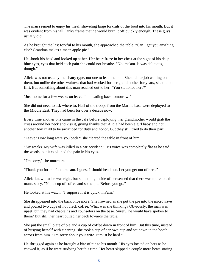The man seemed to enjoy his meal, shoveling large forkfuls of the food into his mouth. But it was evident from his tall, lanky frame that he would burn it off quickly enough. These guys usually did.

As he brought the last forkful to his mouth, she approached the table. "Can I get you anything else? Grandma makes a mean apple pie."

He shook his head and looked up at her. Her heart froze in her chest at the sight of his deep blue eyes, eyes that held such pain she could not breathe. "No, ma'am. It was delicious, though."

Alicia was not usually the chatty type, not one to lead men on. She did her job waiting on them, but unlike the other waitress that had worked for her grandmother for years, she did not flirt. But something about this man reached out to her. "You stationed here?"

"Just home for a few weeks on leave. I'm heading back tomorrow."

She did not need to ask where to. Half of the troops from the Marine base were deployed to the Middle East. They had been for over a decade now.

Every time another one came in the café before deploying, her grandmother would grab the cross around her neck and kiss it, giving thanks that Alicia had been a girl baby and not another boy child to be sacrificed for duty and honor. But they still tried to do their part.

"Leave? How long were you back?" she cleared the table in front of him.

"Six weeks. My wife was killed in a car accident." His voice was completely flat as he said the words, but it explained the pain in his eyes.

"I'm sorry," she murmured.

"Thank you for the food, ma'am. I guess I should head out. Let you get out of here."

Alicia knew that he was right, but something inside of her sensed that there was more to this man's story. "No, a cup of coffee and some pie. Before you go."

He looked at his watch. "I suppose if it is quick, ma'am."

She disappeared into the back once more. She frowned as she put the pie into the microwave and poured two cups of hot black coffee. What was she thinking? Obviously, the man was upset, but they had chaplains and counselors on the base. Surely, he would have spoken to them? But still, her heart pulled her back towards the table.

She put the small plate of pie and a cup of coffee down in front of him. But this time, instead of busying herself with cleaning, she took a cup of her own cup and sat down in the booth across from him. "I'm sorry about your wife. It must be hard."

He shrugged again as he brought a bite of pie to his mouth. His eyes locked on hers as he chewed it, as if he were studying her this time. Her heart skipped a couple more beats staring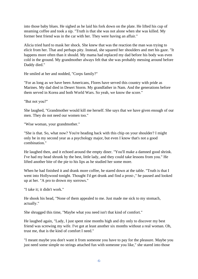into those baby blues. He sighed as he laid his fork down on the plate. He lifted his cup of steaming coffee and took a sip. "Truth is that she was not alone when she was killed. My former best friend was in the car with her. They were having an affair."

Alicia tried hard to mask her shock. She knew that was the reaction the man was trying to elicit from her. That and perhaps pity. Instead, she squared her shoulders and met his gaze. "It happens more often than it should. My mama had replaced my dad before his body was even cold in the ground. My grandmother always felt that she was probably messing around before Daddy died."

He smiled at her and nodded, "Corps family?"

"For as long as we have been Americans, Flores have served this country with pride as Marines. My dad died in Desert Storm. My grandfather in Nam. And the generations before them served in Korea and both World Wars. So yeah, we know the score."

"But not you?"

She laughed, "Grandmother would kill me herself. She says that we have given enough of our men. They do not need our women too."

"Wise woman, your grandmother."

"She is that. So, what now? You're heading back with this chip on your shoulder? I might only be in my second year as a psychology major, but even I know that's not a good combination."

He laughed then, and it echoed around the empty diner. "You'll make a damned good shrink. I've had my head shrunk by the best, little lady, and they could take lessons from you." He lifted another bite of the pie to his lips as he studied her some more.

When he had finished it and drank more coffee, he stared down at the table. "Truth is that I went into Hollywood tonight. Thought I'd get drunk and find a prost-," he paused and looked up at her. "A pro to drown my sorrows."

"I take it; it didn't work."

He shook his head, "None of them appealed to me. Just made me sick to my stomach, actually."

She shrugged this time, "Maybe what you need isn't that kind of comfort."

He laughed again, "Lady, I just spent nine months high and dry only to discover my best friend was screwing my wife. I've got at least another six months without a real woman. Oh, trust me, that is the kind of comfort I need."

"I meant maybe you don't want it from someone you have to pay for the pleasure. Maybe you just need some simple no strings attached fun with someone you like," she stared into those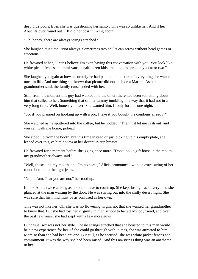deep blue pools. Even she was questioning her sanity. This was so unlike her. And if her Abuelita ever found out… It did not bear thinking about.

"Oh, honey, there are always strings attached."

She laughed this time, "Not always. Sometimes two adults can screw without head games or emotions."

He frowned at her, "I can't believe I'm even having this conversation with you. You look like white picket fences and mini-vans, a half dozen kids, the dog, and probably a cat or two."

She laughed yet again at how accurately he had painted the picture of everything she wanted most in life. And one thing she knew: that picture did not include a Marine. As her grandmother said, the family curse ended with her.

Still, from the moment this guy had walked into the diner, there had been something about him that called to her. Something that set her tummy tumbling in a way that it had not in a very long time. Well, honestly, never. She wanted him. If only for this one night.

"So, if you planned on hooking up with a pro, I take it you bought the condoms already?"

She watched as he sputtered into the coffee, but he nodded. "Then just let me cash out, and you can walk me home, jarhead."

She stood up from the booth, but this time instead of just picking up his empty plate, she leaned over to give him a view at her decent B-cup breasts.

He frowned for a moment before shrugging once more. "Don't look a gift horse in the mouth, my grandmother always said."

"Well, those ain't my mouth, and I'm no horse," Alicia pronounced with an extra swing of her round bottom in the tight jeans.

"No, ma'am. That you are not," he stood up.

It took Alicia twice as long as it should have to count up. She kept losing track every time she glanced at the man waiting by the door. He was staring out into the chilly desert night. She was sure that his mind must be as confused as her own.

This was not like her. Oh, she was no flowering virgin, not that she wanted her grandmother to know that. But she had lost her virginity in high school to her steady boyfriend, and over the past few years, she had slept with a few more guys.

But casual sex was not her style. The no strings attached that she boasted to this man would be a new experience for her. If she could go through with it. Yes, she was attracted to him. More so than she had been anyone. But still, as he accused, she was white picket fences and commitment. It was the way she had been raised. And this no-strings thing was an anathema to her.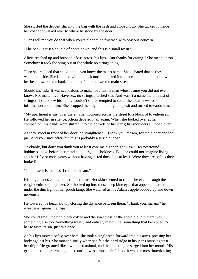She stuffed the deposit slip into the bag with the cash and zipped it up. She tucked it inside her coat and walked over to where he stood by the door.

"Don't tell me you do that when you're alone?" he frowned with obvious concern.

"The bank is just a couple of doors down, and this is a small town."

Alicia reached up and brushed a kiss across his lips. "But thanks for caring." She meant it too. Somehow it took the sting out of the whole no strings thing.

Then she realized that she did not even know the man's name. She debated that as they walked outside. She fumbled with the lock until it clicked into place and then motioned with her head towards the bank a couple of doors down the main street.

Should she ask? It was scandalous to make love with a man whose name you did not even know. Not make love. Have sex, no strings attached sex. And wasn't a name the thinnest of strings? If she knew his name, wouldn't she be tempted to scour the local news for information about him? She dropped the bag into the night deposit and turned towards him.

"My apartment is just over there," she motioned across the street to a block of townhouses. He followed her in silence. Alicia debated it all again. When she looked over at her companion, his hands were stuffed into the pockets of his jeans; his shoulders slumped over.

As they stood in front of her door, he straightened, "Thank you, ma'am, for the dinner and the pie. And your nice offer, but this is probably a terrible idea."

"Probably, but don't you think you at least owe me a goodnight kiss?" Her newfound boldness spoke before her mind could argue its boldness. But she could not imagine living another fifty or more years without having tasted those lips at least. Were they are soft as they looked?

"I suppose it is the least I can do, ma'am."

His large hands encircled her upper arms. Her skin seemed to catch fire even through the rough denim of her jacket. She looked up into those deep blue eyes that appeared darker under the dim light of her porch lamp. She watched as his Adam's apple bobbed up and down nervously.

He lowered his head, slowly closing the distance between them. "Thank you, ma'am," he whispered against her lips.

She could smell the rich black coffee and the sweetness of the apple pie, but there was something else too. Something totally and entirely masculine, something that beckoned for her to taste its sin, just this once.

As his lips moved softly over hers, she took a single step forward into his arms, pressing her body against his. She moaned softly when she felt the hard ridge in his jeans brush against her thigh. He groaned like a wounded animal, and then his tongue surged into her mouth. His grip on her upper arms tightened until it was almost painful, but it was the most intoxicating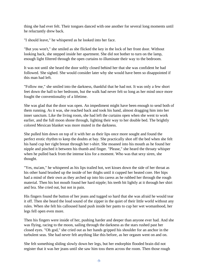thing she had ever felt. Their tongues danced with one another for several long moments until he reluctantly drew back.

"I should leave," he whispered as he looked into her face.

"But you won't," she smiled as she flicked the key in the lock of her front door. Without looking back, she stepped inside her apartment. She did not bother to turn on the lamp, enough light filtered through the open curtains to illuminate their way to the bedroom.

It was not until she heard the door softly closed behind her that she was confident he had followed. She sighed. She would consider later why she would have been so disappointed if this man had left.

"Follow me," she smiled into the darkness, thankful that he had not. It was only a few short feet down the hall to her bedroom, but the walk had never felt so long as her mind once more fought the conventionality of a lifetime.

She was glad that the door was open. An impediment might have been enough to send both of them running. As it was, she reached back and took his hand, almost dragging him into her inner sanctum. Like the living room, she had left the curtains open when she went to work earlier, and the full moon shone through, lighting their way to her double bed. The brightly colored Mexican blanket was more muted in the darkness.

She pulled him down on top of it with her as their lips once more sought and found the perfect erotic rhythm to keep the doubts at bay. She practically shot off the bed when she felt his hand cup her right breast through her t-shirt. She moaned into his mouth as he found her nipple and pinched it between his thumb and finger. "Please," she heard the throaty whisper when he pulled back from the intense kiss for a moment. Who was that sexy siren, she thought.

"Yes, ma'am," he whispered as his lips trailed hot, wet kisses down the side of her throat as his other hand brushed up the inside of her thighs until it cupped her heated core. Her hips had a mind of their own as they arched up into his caress as he rubbed her through the rough material. Then his hot mouth found her hard nipple; his teeth bit lightly at it through her shirt and bra. She cried out, but not in pain.

His fingers found the button of her jeans and tugged so hard that she was afraid he would tear it off. Then she heard the loud sound of the zipper in the quiet of their little world without any rules. When she felt his calloused hand push inside her pants to cup her wet womanhood, her legs fell open even more.

Then his fingers were inside of her, pushing harder and deeper than anyone ever had. And she was flying, racing to the moon, sailing through the darkness as the stars rushed past her closed eyes. "Oh god," she cried out as her hands gripped his shoulder for an anchor in the turbulent seas. She had never felt anything like this before, as her orgasm went on and on.

She felt something sliding slowly down her legs, but her endorphin flooded brain did not register that it was her jeans until she saw him toss them across the room. Then those rough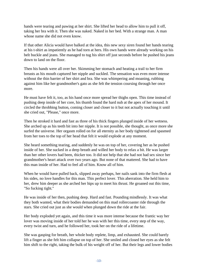hands were tearing and pawing at her shirt. She lifted her head to allow him to pull it off, taking her bra with it. Then she was naked. Naked in her bed. With a strange man. A man whose name she did not even know.

If that other Alicia would have balked at the idea, this new sexy siren found her hands tearing at his t-shirt as impatiently as he had torn at hers. His own hands were already working on his belt buckle and jeans. She managed to tug his shirt off just seconds before he pushed his jeans down to land on the floor.

Then his hands were all over her. Skimming her stomach and heating a trail to her firm breasts as his mouth captured her nipple and suckled. The sensation was even more intense without the thin barrier of her shirt and bra. She was whimpering and moaning, rubbing against him like her grandmother's gato as she felt the tension coursing through her once more.

He must have felt it, too, as his hand once more spread her thighs open. This time instead of pushing deep inside of her core, his thumb found the hard nub at the apex of her mound. It circled the throbbing button, coming closer and closer to it but not actually touching it until she cried out, "Please," once more.

Then he stroked it hard and fast as three of his thick fingers plunged inside of her wetness. She arched up as his teeth bit into her nipple. It is not possible, she thought, as once more she surfed the universe. Her orgasm rolled on for all eternity as her body tightened and spasmed from her toes to the top of her head that felt it would explode at any moment.

She heard something tearing, and suddenly he was on top of her, covering her as he pushed inside of her. She sucked in a deep breath and willed her body to relax a bit. He was larger than her other lovers had been, thicker too. It did not help that she had not had sex since her grandmother's heart attack over two years ago. But none of that mattered. She had to have this man inside of her. Had to feel all of him. Know all of him.

When he would have pulled back, slipped away perhaps, her nails sank into the firm flesh at his sides, no love handles for this man. This perfect lover. This aberration. She held him to her, drew him deeper as she arched her hips up to meet his thrust. He groaned out this time, "So fucking tight."

He was inside of her then, pushing deep. Hard and fast. Pounding mindlessly. It was what they both wanted, what their bodies demanded on this mad rollercoaster ride through the stars. She cried out just as she would when plunged down the ride at the fair.

Her body exploded yet again, and this time it was more intense because the frantic way her lover was moving inside of her told her he was with her this time, every step of the way, every twist and turn, and he followed her, took her on the ride of a lifetime.

She was gasping for breath, her whole body replete, limp, and exhausted. She could barely lift a finger as she felt him collapse on top of her. She smiled and closed her eyes as she felt him shift to the right, taking the bulk of his weight off of her. But their legs and lower bodies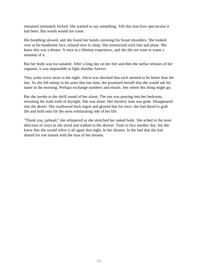remained intimately locked. She wanted to say something. Tell this man how spectacular it had been. But words would not come.

His breathing slowed, and she found her hands caressing his broad shoulders. She looked over at his handsome face, relaxed now in sleep. She memorized each line and plane. She knew this was a dream. A once in a lifetime experience, and she did not want to waste a moment of it.

But her body was too satiated. After a long day on her feet and then the stellar releases of her orgasms, it was impossible to fight slumber forever.

They woke twice more in the night. Alicia was shocked that each seemed to be better than the last. As she fell asleep in his arms that last time, she promised herself that she would ask his name in the morning. Perhaps exchange numbers and emails. See where this thing might go.

But she awoke to the shrill sound of her alarm. The sun was pouring into her bedroom, revealing the stark truth of daylight. She was alone. Her mystery man was gone. Disappeared into the desert. She swallowed back regret and gloried that for once, she had dared to grab life and hold onto for the most exhilarating ride of her life.

"Thank you, jarhead," she whispered as she stretched her naked body. She ached in the most delicious of ways as she stood and walked to the shower. Time to face another day, but she knew that she would relive it all again that night. In her dreams. In the bed that she had shared for one instant with the man of her dreams.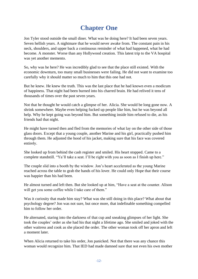## **Chapter One**

<span id="page-11-0"></span>Jon Tyler stood outside the small diner. What was he doing here? It had been seven years. Seven hellish years. A nightmare that he would never awake from. The constant pain in his neck, shoulders, and upper back a continuous reminder of what had happened, what he had become. A monster. Worse than any Hollywood creation. This latest trip to the VA hospital was yet another memento.

So, why was he here? He was incredibly glad to see that the place still existed. With the economic downturn, too many small businesses were failing. He did not want to examine too carefully why it should matter so much to him that this one had not.

But he knew. He knew the truth. This was the last place that he had known even a modicum of happiness. That night had been burned into his charred brain. He had relived it tens of thousands of times over the past seven years.

Not that he thought he would catch a glimpse of her. Alicia. She would be long gone now. A shrink somewhere. Maybe even helping fucked up people like him, but he was beyond all help. Why he kept going was beyond him. But something inside him refused to die, as his friends had that night.

He might have turned then and fled from the memories of what lay on the other side of those glass doors. Except that a young couple, another Marine and his girl, practically pushed him through them. He adjusted the hood of his jacket, making sure that his face was covered entirely.

She looked up from behind the cash register and smiled. His heart stopped. Came to a complete standstill. "Ya'll take a seat. I'll be right with you as soon as I finish up here."

The couple slid into a booth by the window. Jon's heart accelerated as the young Marine reached across the table to grab the hands of his lover. He could only Hope that their course was happier than his had been.

He almost turned and left then. But she looked up at him, "Have a seat at the counter. Alison will get you some coffee while I take care of them."

Was it curiosity that made him stay? What was she still doing in this place? What about that psychology degree? Jon was not sure, but once more, that indefinable something compelled him to follow her order.

He alternated, staring into the darkness of that cup and sneaking glimpses of her light. She took the couples' order as she had his that night a lifetime ago. She smiled and joked with the other waitress and cook as she placed the order. The other woman took off her apron and left a moment later.

When Alicia returned to take his order, Jon panicked. Not that there was any chance this woman would recognize him. That IED had made damned sure that not even his own mother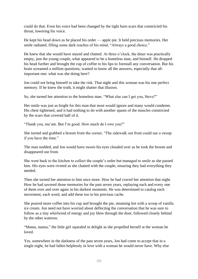could do that. Even his voice had been changed by the tight burn scars that constricted his throat, lowering his voice.

He kept his head down as he placed his order — apple pie. It held precious memories. Her smile radiated, filling some dark reaches of his mind, "Always a good choice."

He knew that she would have stayed and chatted. At three o'clock, the diner was practically empty, just the young couple, what appeared to be a homeless man, and himself. He dropped his head further and brought the cup of coffee to his lips to forestall any conversation. But his brain screamed a million questions, wanted to know all the answers, especially that allimportant one: what was she doing here?

Jon could not bring himself to take the risk. That night and this woman was his one perfect memory. If he knew the truth, it might shatter that illusion.

So, she turned her attention to the homeless man. "What else can I get you, Steve?"

Her smile was just as bright for this man that most would ignore and many would condemn. His chest tightened, and it had nothing to do with another spasm of the muscles constricted by the scars that covered half of it.

"Thank you, ma'am. But I'm good. How much do I owe you?"

She turned and grabbed a broom from the corner, "The sidewalk out front could use a sweep if you have the time."

The man nodded, and Jon would have sworn his eyes clouded over as he took the broom and disappeared out front.

She went back to the kitchen to collect the couple's order but managed to smile as she passed him. His eyes were riveted as she chatted with the couple, ensuring they had everything they needed.

Then she turned her attention to him once more. How he had craved her attention that night. How he had savored those memories for the past seven years, replaying each and every one of them over and over again in his darkest moments. He was determined to catalog each movement, each word, and add these too to his precious cache.

She poured more coffee into his cup and brought the pie, steaming hot with a scoop of vanilla ice cream. Jon need not have worried about deflecting the conversation that he was sure to follow as a tiny whirlwind of energy and joy blew through the door, followed closely behind by the other waitress.

"Mama, mama," the little girl squealed in delight as she propelled herself at the woman he loved.

Yes, somewhere in the darkness of the past seven years, Jon had come to accept that in a single night, he had fallen helplessly in love with a woman he would never have. Why else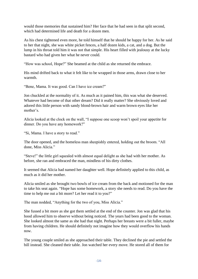would those memories that sustained him? Her face that he had seen in that split second, which had determined life and death for a dozen men.

As his chest tightened even more, he told himself that he should be happy for her. As he said to her that night, she was white picket fences, a half dozen kids, a cat, and a dog. But the lump in his throat told him it was not that simple. His heart filled with jealousy at the lucky bastard who had given her what he never could.

"How was school, Hope?" She beamed at the child as she returned the embrace.

His mind drifted back to what it felt like to be wrapped in those arms, drawn close to her warmth.

"Bene, Mama. It was good. Can I have ice cream?"

Jon chuckled at the normality of it. As much as it pained him, this was what she deserved. Whatever had become of that other dream? Did it really matter? She obviously loved and adored this little person with sandy blond-brown hair and warm brown eyes like her mother's.

Alicia looked at the clock on the wall, "I suppose one scoop won't spoil your appetite for dinner. Do you have any homework?"

"Si, Mama. I have a story to read."

The door opened, and the homeless man sheepishly entered, holding out the broom. "All done, Miss Alicia."

"Steve!" the little girl squealed with almost equal delight as she had with her mother. As before, she ran and embraced the man, mindless of his dirty clothes.

It seemed that Alicia had named her daughter well. Hope definitely applied to this child, as much as it did her mother.

Alicia smiled as she brought two bowls of ice cream from the back and motioned for the man to take his seat again. "Hope has some homework, a story she needs to read. Do you have the time to help me out a bit more? Let her read it to you?"

The man nodded, "Anything for the two of you, Miss Alicia."

She fussed a bit more as she got them settled at the end of the counter. Jon was glad that his hood allowed him to observe without being noticed. The years had been good to the woman. She looked almost the same as she had that night. Perhaps her breasts were a bit fuller, maybe from having children. He should definitely not imagine how they would overflow his hands now.

The young couple smiled as she approached their table. They declined the pie and settled the bill instead. She cleaned their table. Jon watched her every move. He stored all of them for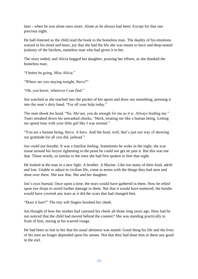later - when he was alone once more. Alone as he always had been. Except for that one precious night.

He half-listened as the child read the book to the homeless man. The duality of his emotions warred in his mind and heart, joy that she had the life she was meant to have and deep-seated jealousy of the faceless, nameless man who had given it to her.

The story ended, and Alicia hugged her daughter, praising her efforts, as she thanked the homeless man.

"I better be going, Miss Alicia."

"Where are you staying tonight, Steve?"

"Oh, you know, wherever I can find."

Jon watched as she reached into the pocket of her apron and drew out something, pressing it into the man's dirty hand. "For all your help today."

The man shook his head, "No, Ma'am, you do enough for me as it is. Always feeding me." Tears streaked down his unwashed cheeks, "Heck, treating me like a human being. Letting me spend time with your little girl like I was normal."

"You are a human being, Steve. A hero. And the food, well, that's just our way of showing our gratitude for all you did, jarhead."

Jon could not breathe. It was a familiar feeling. Sometimes he woke in the night, the scar tissue around his larynx tightening to the point he could not get air past it. But this was not that. Those words, so similar to the ones she had first spoken to him that night.

He looked at the man in a new light. A brother. A Marine. Like too many of their kind, adrift and lost. Unable to adjust to civilian life, come to terms with the things they had seen and done over there. She saw that. She and her daughter.

Jon's eyes burned. Once upon a time, the tears would have gathered in them. Now he relied upon eye drops to avoid further damage to them. Not that it would have mattered; the hoodie would have covered any tears as it did the scars that had changed him.

"Does it hurt?" The tiny soft fingers brushed his cheek.

Jon thought of how her mother had caressed his cheek all those long years ago. How had he not noticed that the child had moved behind the counter? She was standing practically in front of him, staring at his scarred visage.

He had been so lost in her that his usual alertness was muted. Good thing his life and the lives of his men no longer depended upon his senses. Not that they had done him or them any good in the end.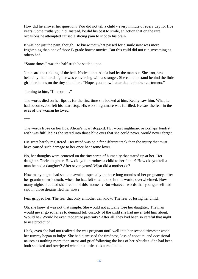How did he answer her question? You did not tell a child - every minute of every day for five years. Some truths you hid. Instead, he did his best to smile, an action that on the rare occasions he attempted caused a slicing pain to shot to his brain.

It was not just the pain, though. He knew that what passed for a smile now was more frightening than one of those B-grade horror movies. But this child did not run screaming as others had.

"Some times," was the half-truth he settled upon.

Jon heard the tinkling of the bell. Noticed that Alicia had let the man out. She, too, saw belatedly that her daughter was conversing with a stranger. She came to stand behind the little girl, her hands on the tiny shoulders. "Hope, you know better than to bother customers."

Turning to him, "I'm sorr-…"

The words died on her lips as for the first time she looked at him. Really saw him. What he had become. Jon felt his heart stop. His worst nightmare was fulfilled. He saw the fear in the eyes of the woman he loved.

\*\*\*

The words froze on her lips. Alicia's heart stopped. Her worst nightmare or perhaps fondest wish was fulfilled as she stared into those blue eyes that she could never, would never forget.

His scars barely registered. Her mind was on a far different track than the injury that must have caused such damage to her once handsome lover.

No, her thoughts were centered on the tiny scrap of humanity that stared up at her. Her daughter. Their daughter. How did you introduce a child to her father? How did you tell a man he had a daughter? After seven years? What did a mother do?

How many nights had she lain awake, especially in those long months of her pregnancy, after her grandmother's death, when she had felt so all alone in this world, overwhelmed. How many nights then had she dreamt of this moment? But whatever words that younger self had said in those dreams fled her now?

Fear gripped her. The fear that only a mother can know. The fear of losing her child.

Oh, she knew it was not that simple. She would not actually lose her daughter. The man would never go so far as to demand full custody of the child she had never told him about. Would he? Would he even recognize paternity? After all, they had been so careful that night to use protection.

Heck, even she had not realized she was pregnant until well into her second trimester when her tummy began to bulge. She had dismissed the tiredness, loss of appetite, and occasional nausea as nothing more than stress and grief following the loss of her Abuelita. She had been both shocked and overjoyed when that little stick turned blue.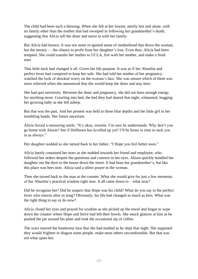The child had been such a blessing. When she felt at her lowest, utterly lost and alone, with no family other than the mother that had swooped in following her grandmother's death, suggesting that Alicia sell the diner and move in with her family.

But Alicia had known. It was not some re-ignited sense of motherhood that drove the woman, but the money — the chance to profit from her daughter's loss. Even then, Alicia had been tempted. She could transfer her studies to UCLA, live with her mother, and make a fresh start.

That little stick had changed it all. Given her life purpose. It was as if her Abuelita and perfect lover had conspired to keep her safe. She had told her mother of her pregnancy, watched the look of shocked worry on the woman's face. She was unsure which of them was more relieved when she announced that she would keep the diner and stay here.

She had quit university. Between the diner and pregnancy, she did not have enough energy for anything more. Crawling into bed, the bed they had shared that night, exhausted, hugging her growing baby as she fell asleep.

But that was the past. And her present was held in those blue depths and the little girl in her trembling hands. Her future uncertain.

Alicia forced a reassuring smile, "It's okay, sweetie. I'm sure he understands. Why don't you go home with Alison? See if DeShawn has levelled up yet? I'll be home in time to tuck you in as always."

Her daughter nodded as she turned back to her father, "I Hope you feel better soon."

Alicia barely contained her tears as she nodded towards her friend and employee, who followed her orders despite the questions and concern in her eyes. Alison quickly bundled her daughter out the door to the house down the street. It had been her grandmother's, but like this place was hers now. Alicia said a silent prayer to the woman.

Then she turned back to the man at the counter. What she would give for just a few moments of her Abuelita's practical wisdom right now. It all came down to – what now?

Did he recognize her? Did he suspect that Hope was his child? What do you say to the perfect lover who returns after so long? Obviously, his life had changed as much as hers. What was the right thing to say or do now?

Alicia closed her eyes and prayed for wisdom as she picked up the towel and began to wipe down the counter where Hope and Steve had left their bowls. She snuck glances at him as he pushed the pie around his plate and took the occasional sip of coffee.

The scars marred the handsome face that she had studied as he slept that night. She supposed they would frighten or disgust some people, make most others uncomfortable. But that was not what upset her.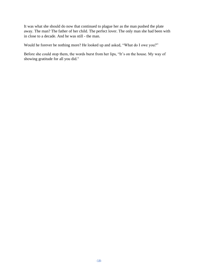It was what she should do now that continued to plague her as the man pushed the plate away. The man? The father of her child. The perfect lover. The only man she had been with in close to a decade. And he was still - the man.

Would he forever be nothing more? He looked up and asked, "What do I owe you?"

Before she could stop them, the words burst from her lips, "It's on the house. My way of showing gratitude for all you did."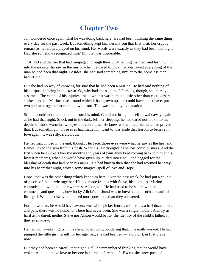## **Chapter Two**

<span id="page-18-0"></span>Jon wondered once again what he was doing back here. He had been thinking the same thing every day for the past week. But something kept him here. From that first visit, her cryptic remark as he left had played on his mind. Her words were exactly as they had been that night. Had she somehow recognized him? But that was impossible.

That IED and the fire that had rampaged through their SUV, killing his men, and turning him into the monster he saw in the mirror when he dared to look, had destroyed everything of the man he had been that night. Besides, she had said something similar to the homeless man, hadn't she?

But she had no way of knowing for sure that he had been a Marine. He had said nothing of his purpose in being in this town. So, why had she said that? Perhaps, though, she merely assumed. The extent of his injuries, this town that was home to little other than cacti, desert snakes, and the Marine base around which it had grown up, she could have, must have, put two and two together to come up with four. That was the only explanation.

Still, he could not put that doubt from his mind. Could not bring himself to walk away again as he had that night. Snuck out in the dark, left her sleeping, he had dared not look into the depths of those warm brown eyes one more time. He knew women lied; his wife had proved that. But something in those eyes had made him want to toss aside that lesson, to believe in love again. It was silly, ridiculous.

He had succumbed in the end, though. Her face, those eyes were what he saw as the heat and flames licked the skin from his flesh. Were his last thoughts as he lost consciousness. And the first when he awoke. Over the months and years of pain, they kept coming back to him at his lowest moments, when he would have given up, curled into a ball, and begged for the blessing of death that had been his mens'. He had known then that she had wormed her way into his heart that night, woven some magical spell of love and Hope.

Hope, that was the other thing which kept him here. Over the past week, he had put a couple of pieces of the puzzle together. He had made friends with Steve, his homeless Marine comrade, and with the other waitress, Alison, too. He had tried to be subtle with his comments and questions, how lucky Alicia's husband was to have her and such a beautiful little girl. What he discovered raised more questions than they answered.

For the woman, he would have sworn, was white picket fences, mini-vans, a half dozen kids, and pets, there was no husband. There had never been. She was a single mother. And try as hard as he dared, neither Steve nor Alison would betray the identity of the child's father. If they even knew.

He had lain awake nights in his cheap hotel room, pondering that. The math worked. He had pumped the little girl herself for her age. Six, she had beamed — a big girl, in first grade now.

But they had been so careful that night. Hell, he remembered thinking that he would have woken Alicia to make love to her one last time before he left. Except the three-pack of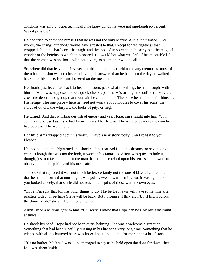condoms was empty. Sure, technically, he knew condoms were not one-hundred-percent. Was it possible?

He had tried to convince himself that he was not the only Marine Alicia 'comforted.' Her words, 'no strings attached,' would have attested to that. Except for the tightness that wrapped about his hard cock that night and the look of innocence in those eyes at the magical wonder of the heights to which they soared. He would bet what was left of his miserable life that the woman was not loose with her favors, as his mother would call it.

So, where did that leave him? A week in this hell hole that held too many memories, most of them bad, and Jon was no closer to having his answers than he had been the day he walked back into this place. His hand hovered on the metal handle.

He should just leave. Go back to his hotel room, pack what few things he had brought with him for what was supposed to be a quick check-up at the VA, arrange the online car service, cross the desert, and get up that mountain he called home. The place he had made for himself. His refuge. The one place where he need not worry about hoodies to cover his scars, the stares of others, the whispers, the looks of pity, or fright.

He turned. And that whirling dervish of energy and yes, Hope, ran straight into him. "Jon, Jon," she chorused as if she had known him all her life, as if he were once more the man he had been, as if he were her…

Her little arms wrapped about his waist, "I have a new story today. Can I read it to you? Please?"

He looked up to the frightened and shocked face that had filled his dreams for seven long years. Though that was not the look, it wore in his fantasies. Alicia was quick to hide it, though, just not fast enough for the man that had once relied upon his senses and powers of observation to keep him and his men safe.

The look that replaced it was not much better, certainly not the one of blissful contentment that he had left on it that morning. It was polite, even a warm smile. But it was tight, and if you looked closely, that smile did not reach the depths of those warm brown eyes.

"Hope, I'm sure that Jon has other things to do. Maybe DeShawn will have some time after practice today, or perhaps Steve will be back. But I promise if they aren't, I'll listen before the dinner rush," she smiled at her daughter.

Alicia lifted a nervous gaze to him, "I'm sorry. I know that Hope can be a bit overwhelming at times."

He shook his head. Hope had not been overwhelming. She was a welcome distraction. Something that had been woefully missing in his life for a very long time. Something that he wished with all his battered heart was indeed his to hold onto for more than a brief story.

"It's no bother, Ma'am," was all he managed to say as he held open the door for them, then followed them inside.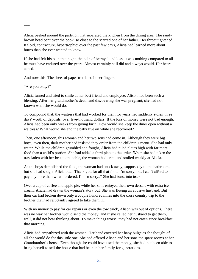Alicia peeked around the partition that separated the kitchen from the dining area. The sandy brown head bent over the book, so close to the scarred one of her father. Her throat tightened. Keloid, contracture, hypertrophic; over the past few days, Alicia had learned more about burns than she ever wanted to know.

If she had felt his pain that night, the pain of betrayal and loss, it was nothing compared to all he must have endured over the years. Almost certainly still did and always would. Her heart ached.

And now this. The sheet of paper trembled in her fingers.

"Are you okay?"

Alicia turned and tried to smile at her best friend and employee. Alison had been such a blessing. After her grandmother's death and discovering she was pregnant, she had not known what she would do.

To compound that, the waitress that had worked for them for years had suddenly stolen three days' worth of deposits, over five-thousand dollars. If the loss of money were not bad enough, Alicia had been only weeks from giving birth. How would she keep the diner open without a waitress? What would she and the baby live on while she recovered?

Then, one afternoon, this woman and her two sons had come in. Although they were big boys, even then, their mother had insisted they order from the children's menu. She had only water. While the children grumbled and fought, Alicia had piled plates high with far more food than a child's portion. She had added a third plate to the order. When she had taken the tray laden with her best to the table, the woman had cried and smiled weakly at Alicia.

As the boys demolished the food, the woman had snuck away, supposedly to the bathroom, but she had sought Alicia out. "Thank you for all that food. I'm sorry, but I can't afford to pay anymore than what I ordered. I'm so sorry.." She had burst into tears.

Over a cup of coffee and apple pie, while her sons enjoyed their own dessert with extra ice cream, Alicia had drawn the woman's story out. She was fleeing an abusive husband. But their car had broken down only a couple hundred miles into the cross country trip to the brother that had reluctantly agreed to take them in.

With no money to pay for car repairs or even the tow truck. Alison was out of options. There was no way her brother would send the money, and if she called her husband to get them, well, it did not bear thinking about. To make things worse, they had not eaten since breakfast that morning.

Alicia had empathized with the woman. Her hand covered her baby bulge as she thought of all she would do for this little one. She had offered Alison and her sons the spare rooms at her Grandmother's house. Even though she could have used the money, she had not been able to bring herself to sell the house that had been in her family for generations.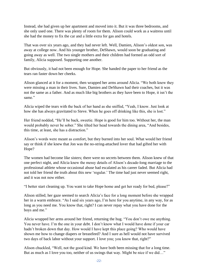Instead, she had given up her apartment and moved into it. But it was three bedrooms, and she only used one. There was plenty of room for them. Alison could work as a waitress until she had the money to fix the car and a little extra for gas and hotels.

That was over six years ago, and they had never left. Well, Damien, Alison's oldest son, was away at college now. And his younger brother, DeShawn, would soon be graduating and going away as well. The two single mothers and their children had formed an odd sort of family, Alicia supposed. Supporting one another.

But obviously, it had not been enough for Hope. She handed the paper to her friend as the tears ran faster down her cheeks.

Alison glanced at it for a moment, then wrapped her arms around Alicia. "We both knew they were missing a man in their lives. Sure, Damien and DeShawn had their coaches, but it was not the same as a father. And as much like big brothers as they have been to Hope, it isn't the same."

Alicia wiped the tears with the back of her hand as she sniffed, "Yeah, I know. Just look at how she has always gravitated to Steve. When he goes off drinking like this, she is lost."

Her friend nodded, "He'll be back, sweetie. Hope is good for him too. Without her, the man would probably never be sober." She tilted her head towards the dining area, "And besides, this time, at least, she has a distraction."

Alison's words were meant as comfort, but they burned into her soul. What would her friend say or think if she knew that Jon was the no-string-attached lover that had gifted her with Hope?

The women had become like sisters; there were no secrets between them. Alison knew of that one perfect night, and Alicia knew the messy details of Alison's decade-long marriage to the professional athlete whose occasional abuse had escalated as his career faded. But Alicia had not told her friend the truth about this new 'regular.' The time had just never seemed right, and it was not now either.

"I better start cleaning up. You want to take Hope home and get her ready for bed, please?"

Alison stilled; her gaze seemed to search Alicia's face for a long moment before she wrapped her in a warm embrace. "As I said six years ago, I'm here for you anytime, in any way, for as long as you need me. You know that, right? I can never repay what you have done for the boys and me."

Alicia wrapped her arms around her friend, returning the hug. "You don't owe me anything. You never have. I'm the one in your debt. I don't know what I would have done if your car hadn't broken down that day. How would I have kept this place going? Who would have shown me how to change diapers or breastfeed? And I sure as hell would not have survived two days of back labor without your support. I love you; you know that, right?"

Alison chuckled, "Well, not the good kind. We have both been missing that for a long time. But as much as I love you too, neither of us swings that way. Might be nice if we did..."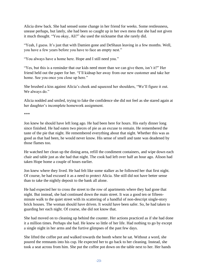Alicia drew back. She had sensed some change in her friend for weeks. Some restlessness, unease perhaps, but lately, she had been so caught up in her own mess that she had not given it much thought. "You okay, Ali?" she used the nickname that she rarely did.

"Yeah, I guess. It's just that with Damien gone and DeShaun leaving in a few months. Well, you have a few years before you have to face an empty nest."

"You always have a home here. Hope and I still need you."

"Yes, but this is a reminder that our kids need more than we can give them, isn't it?" Her friend held out the paper for her. "I'll kidnap her away from our new customer and take her home. See you once you close up here."

She brushed a kiss against Alicia's cheek and squeezed her shoulders, "We'll figure it out. We always do."

Alicia nodded and smiled, trying to fake the confidence she did not feel as she stared again at her daughter's incomplete homework assignment.

\*\*\*

Jon knew he should have left long ago. He had been here for hours. His early dinner long since finished. He had eaten two pieces of pie as an excuse to remain. He remembered the taste of the pie that night. He remembered everything about that night. Whether this was as good as that had been, he would never know. His sense of smell and taste was deadened by those flames too.

He watched her clean up the dining area, refill the condiment containers, and wipe down each chair and table just as she had that night. The cook had left over half an hour ago. Alison had taken Hope home a couple of hours earlier.

Jon knew where they lived. He had felt like some stalker as he followed her that first night. Of course, he had excused it as a need to protect Alicia. She still did not have better sense than to take the nightly deposit to the bank all alone.

He had expected her to cross the street to the row of apartments where they had gone that night. But instead, she had continued down the main street. It was a good ten or fifteenminute walk to the quiet street with its scattering of a handful of non-descript single-story brick houses. The woman should have driven. It would have been safer. So, he had taken to guarding her each night. Of course, she did not know that.

She had moved on to cleaning up behind the counter. Her actions practiced as if she had done it a million times. Perhaps she had. He knew so little of her life. Had nothing to go by except a single night in her arms and the furtive glimpses of the past few days.

She lifted the coffee pot and walked towards the booth where he sat. Without a word, she poured the remnants into his cup. He expected her to go back to her cleaning. Instead, she took a seat across from him. She put the coffee pot down on the table next to her. Her hands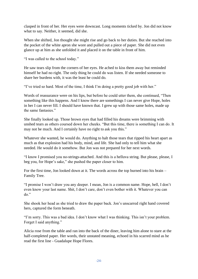clasped in front of her. Her eyes were downcast. Long moments ticked by. Jon did not know what to say. Neither, it seemed, did she.

When she shifted, Jon thought she might rise and go back to her duties. But she reached into the pocket of the white apron she wore and pulled out a piece of paper. She did not even glance up at him as she unfolded it and placed it on the table in front of him.

"I was called to the school today."

He saw tears slip from the corners of her eyes. He ached to kiss them away but reminded himself he had no right. The only thing he could do was listen. If she needed someone to share her burdens with, it was the least he could do.

"I've tried so hard. Most of the time, I think I'm doing a pretty good job with her."

Words of reassurance were on his lips, but before he could utter them, she continued, "Then something like this happens. And I know there are somethings I can never give Hope, holes in her I can never fill. I should have known that. I grew up with those same holes, made up the same fantasies."

She finally looked up. Those brown eyes that had filled his dreams were brimming with unshed tears as others coursed down her cheeks. "But this time, there is something I can do. It may not be much. And I certainly have no right to ask you this."

Whatever she wanted, he would do. Anything to halt those tears that ripped his heart apart as much as that explosion had his body, mind, and life. She had only to tell him what she needed. He would do it somehow. But Jon was not prepared for her next words.

"I know I promised you no-strings-attached. And this is a helluva string. But please, please, I beg you, for Hope's sake," she pushed the paper closer to him.

For the first time, Jon looked down at it. The words across the top burned into his brain – Family Tree.

"I promise I won't draw you any deeper. I mean, Jon is a common name. Hope, hell, I don't even know your last name. Shit, I don't care, don't even bother with it. Whatever you can  $do.$ "

She shook her head as she tried to draw the paper back. Jon's unscarred right hand covered hers, captured the form beneath.

"I'm sorry. This was a bad idea. I don't know what I was thinking. This isn't your problem. Forget I said anything."

Alicia rose from the table and ran into the back of the diner, leaving him alone to stare at the half-completed paper. Her words, their unstated meaning, echoed in his scarred mind as he read the first line - Guadalupe Hope Flores.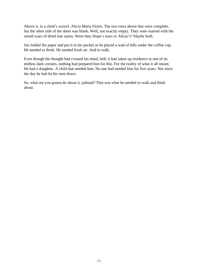Above it, in a child's scrawl, Alicia Maria Flores. The two rows above that were complete, but the other side of the sheet was blank. Well, not exactly empty. They were marred with the raised scars of dried tear stains. Were they Hope's tears or Alicia's? Maybe both.

Jon folded the paper and put it in his pocket as he placed a wad of bills under the coffee cup. He needed to think. He needed fresh air. And to walk.

Even though the thought had crossed his mind, hell, it had taken up residence in one of its endless dark corners, nothing had prepared him for this. For the reality of what it all meant. He had a daughter. A child that needed him. No one had needed him for five years. Not since the day he had let his men down.

So, what are you gonna do about it, jarhead? That was what he needed to walk and think about.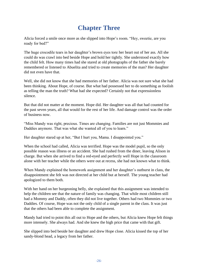# **Chapter Three**

<span id="page-25-0"></span>Alicia forced a smile once more as she slipped into Hope's room. "Hey, sweetie, are you ready for bed?"

The huge crocodile tears in her daughter's brown eyes tore her heart out of her ass. All she could do was crawl into bed beside Hope and hold her tightly. She understood exactly how the child felt. How many times had she stared at old photographs of the father she barely remembered or listened to Abuelita and tried to create memories of the man? Her daughter did not even have that.

Well, she did not know that she had memories of her father. Alicia was not sure what she had been thinking. About Hope, of course. But what had possessed her to do something as foolish as telling the man the truth? What had she expected? Certainly not that expressionless silence.

But that did not matter at the moment. Hope did. Her daughter was all that had counted for the past seven years, all that would for the rest of her life. And damage control was the order of business now.

"Miss Mandy was right, precious. Times are changing. Families are not just Mommies and Daddies anymore. That was what she wanted all of you to learn."

Her daughter stared up at her, "But I hurt you, Mama. I disappointed you."

When the school had called, Alicia was terrified. Hope was the model pupil, so the only possible reason was illness or an accident. She had rushed from the diner, leaving Alison in charge. But when she arrived to find a red-eyed and perfectly well Hope in the classroom alone with her teacher while the others were out at recess, she had not known what to think.

When Mandy explained the homework assignment and her daughter's outburst in class, the disappointment she felt was not directed at her child but at herself. The young teacher had apologized to them both.

With her hand on her burgeoning belly, she explained that this assignment was intended to help the children see that the nature of family was changing. That while most children still had a Mommy and Daddy, often they did not live together. Others had two Mommies or two Daddies. Of course, Hope was not the only child of a single parent in the class. It was just that the others had been able to complete the assignment.

Mandy had tried to point this all out to Hope and the others, but Alicia knew Hope felt things more intensely. She always had. And she knew the high price that came with that gift.

She slipped into bed beside her daughter and drew Hope close. Alicia kissed the top of her sandy-blond head, a legacy from her father.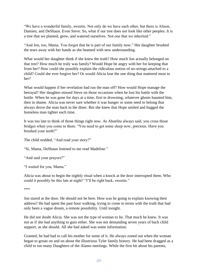"We have a wonderful family, sweetie. Not only do we have each other, but there is Alison, Damien, and DeShaun. Even Steve. So, what if our tree does not look like other peoples. It is a tree that we planted, grew, and watered ourselves. Not one that we inherited."

"And Jon, too, Mama. You forgot that he is part of our family now." Her daughter brushed the tears away with her hands as she beamed with new understanding.

What would her daughter think if she knew the truth? How much Jon actually belonged on that tree? How much he truly was family? Would Hope be angry with her for keeping that from her? How could she possibly explain the ridiculous notion of no-strings-attached to a child? Could she ever forgive her? Or would Alicia lose the one thing that mattered most to her?

What would happen if her revelation had run the man off? How would Hope manage the betrayal? Her daughter missed Steve on those occasions when he lost his battle with the bottle. When he was gone for days at a time, first in drowning, whatever ghosts haunted him, then in shame. Alicia was never sure whether it was hunger or some need to belong that always drove the man back to the diner. But she knew that Hope smiled and hugged the homeless man tighter each time.

It was too late to think of those things right now. As Abuelita always said, you cross those bridges when you come to them. "You need to get some sleep now, precious. Have you brushed your teeth?"

The child nodded, "And read your story?"

"Si, Mama, DeShaun listened to me read Madeline."

"And said your prayers?"

"I waited for you, Mama."

Alicia was about to begin the nightly ritual when a knock at the door interrupted them. Who could it possibly be this late at night? "I'll be right back, sweetie."

\*\*\*

Jon stared at the door. He should not be here. How was he going to explain knowing their address? He had spent the past hour walking, trying to come to terms with the truth that had only been a vague dream, a remote possibility. Until tonight.

He did not doubt Alicia. She was not the type of woman to lie. That much he knew. It was not as if she had anything to gain either. She was not demanding seven years of back child support, as she should. All she had asked was some information.

Granted, he had had to call his mother for some of it. He always zoned out when the woman began to groan on and on about the illustrious Tyler family history. He had been dragged as a child to too many Daughters of the Alamo meetings. While the first bit about his parents,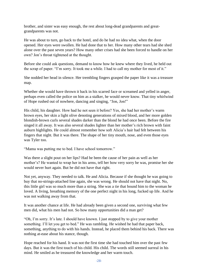brother, and sister was easy enough, the rest about long-dead grandparents and greatgrandparents was not.

He was about to turn, go back to the hotel, and do he had no idea what, when the door opened. Her eyes were swollen. He had done that to her. How many other tears had she shed alone over the past seven years? How many other crises had she been forced to handle on her own? Jon's throat tightened at the thought.

Before she could ask questions, demand to know how he knew where they lived, he held out the scrap of paper. "I'm sorry. It took me a while. I had to call my mother for most of it."

She nodded her head in silence. Her trembling fingers grasped the paper like it was a treasure map.

Whether she would have thrown it back in his scarred face or screamed and yelled in anger, perhaps even called the police on him as a stalker, he would never know. That tiny whirlwind of Hope rushed out of nowhere, dancing and singing, "Jon, Jon!"

His child, his daughter. How had he not seen it before? Yes, she had her mother's warm brown eyes, her skin a light olive denoting generations of mixed blood, and her more golden blondish-brown curls several shades darker than the blond he had once been. Before the fire singed it all away. It was also several shades lighter than her mother's rich brown with faint auburn highlights. He could almost remember how soft Alicia's hair had felt between his fingers that night. But it was there. The shape of her tiny mouth, nose, and even those eyes was Tyler too.

"Mama was putting me to bed. I have school tomorrow."

Was there a slight pout on her lips? Had he been the cause of her pain as well as her mother's? He wanted to wrap her in his arms, tell her how very sorry he was, promise her she would never hurt again. But he did not have that right.

Not yet, anyway. They needed to talk. He and Alicia. Because if she thought he was going to buy that no-strings-attached line again, she was wrong. He should not have that night. No, this little girl was so much more than a string. She was a tie that bound him to the woman he loved. A living, breathing memory of the one perfect night in his long, fucked up life. And he was not walking away from that.

It was another chance at life. He had already been given a second one, surviving what few men did, what his men had not. So how many opportunities did a man get?

"Oh, I'm sorry. It's late. I should have known. I just stopped by to give your mother something. I'll let you get to bed." He was rambling. He wished he had that paper back, something, anything to do with his hands. Instead, he placed them behind his back. There was nothing at-ease about his stance, though.

Hope reached for his hand. It was not the first time she had touched him over the past few days. But it was the first touch of his child. His child. The words still seemed surreal in his mind. He smiled as he treasured the knowledge and her warm touch.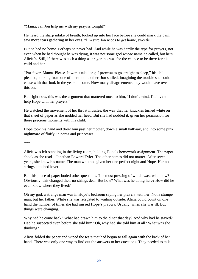"Mama, can Jon help me with my prayers tonight?"

He heard the sharp intake of breath, looked up into her face before she could mask the pain, saw more tears gathering in her eyes. "I'm sure Jon needs to get home, sweetie."

But he had no home. Perhaps he never had. And while he was hardly the type for prayers, not even when he had thought he was dying, it was not some god whose name he called, but hers, Alicia's. Still, if there was such a thing as prayer, his was for the chance to be there for his child and her.

"Por favor, Mama. Please. It won't take long. I promise to go straight to sleep," his child pleaded, looking from one of them to the other. Jon smiled, imagining the trouble she could cause with that look in the years to come. How many disagreements they would have over this one.

But right now, this was the argument that mattered most to him, "I don't mind. I'd love to help Hope with her prayers."

He watched the movement of her throat muscles, the way that her knuckles turned white on that sheet of paper as she nodded her head. But she had nodded it, given her permission for these precious moments with his child.

Hope took his hand and drew him past her mother, down a small hallway, and into some pink nightmare of fluffy unicorns and princesses.

\*\*\*

Alicia was left standing in the living room, holding Hope's homework assignment. The paper shook as she read – Jonathan Edward Tyler. The other names did not matter. After seven years, she knew his name. The man who had given her one perfect night and Hope. Her nostrings-attached lover.

But this piece of paper boded other questions. The most pressing of which was: what now? Obviously, this changed their no-strings deal. But how? What was he doing here? How did he even know where they lived?

Oh my god, a strange man was in Hope's bedroom saying her prayers with her. Not a strange man, but her father. While she was relegated to waiting outside. Alicia could count on one hand the number of times she had missed Hope's prayers. Usually, when she was ill. But things were changing.

Why had he come back? What had drawn him to the diner that day? And why had he stayed? Had he suspected even before she told him? Oh, why had she told him at all? What was she thinking?

Alicia folded the paper and wiped the tears that had begun to fall again with the back of her hand. There was only one way to find out the answers to her questions. They needed to talk.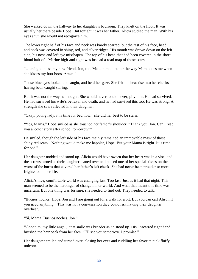She walked down the hallway to her daughter's bedroom. They knelt on the floor. It was usually her there beside Hope. But tonight, it was her father. Alicia studied the man. With his eyes shut, she would not recognize him.

The lower right half of his face and neck was barely scarred, but the rest of his face, head, and neck was covered in shiny, red, and silver ridges. His mouth was drawn down on the left side; his nose and left eye misshapen. The top of his head that had been covered in the short blond hair of a Marine high-and-tight was instead a road map of those scars.

"…and god bless my new friend, Jon, too. Make him all better the way Mama does me when she kisses my boo-boos. Amen."

Those blue eyes looked up, caught, and held her gaze. She felt the heat rise into her cheeks at having been caught staring.

But it was not the way he thought. She would never, could never, pity him. He had survived. He had survived his wife's betrayal and death, and he had survived this too. He was strong. A strength she saw reflected in their daughter.

"Okay, young lady, it is time for bed now," she did her best to be stern.

"Yes, Mama." Hope smiled as she touched her father's shoulder, "Thank you, Jon. Can I read you another story after school tomorrow?"

He smiled, though the left side of his face mainly remained an immovable mask of those shiny red scars. "Nothing would make me happier, Hope. But your Mama is right. It is time for bed."

Her daughter nodded and stood up. Alicia would have sworn that her heart was in a vise, and the screws turned as their daughter leaned over and placed one of her special kisses on the worst of the burns that covered her father's left cheek. She had never been prouder or more frightened in her life.

Alicia's nice, comfortable world was changing fast. Too fast. Just as it had that night. This man seemed to be the harbinger of change in her world. And what that meant this time was uncertain. But one thing was for sure, she needed to find out. They needed to talk.

"Buenos noches, Hope. Jon and I are going out for a walk for a bit. But you can call Alison if you need anything." This was not a conversation they could risk having their daughter overhear.

"Si, Mama. Buenos noches, Jon."

"Goodnite, my little angel," that smile was broader as he stood up. His unscarred right hand brushed the hair back from her face. "I'll see you tomorrow. I promise."

Her daughter smiled and turned over, closing her eyes and cuddling her favorite pink fluffy unicorn.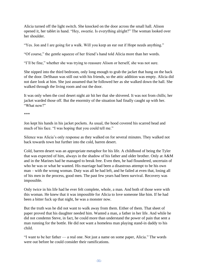Alicia turned off the light switch. She knocked on the door across the small hall. Alison opened it, her tablet in hand. "Hey, sweetie. Is everything alright?" The woman looked over her shoulder.

"Yes. Jon and I are going for a walk. Will you keep an ear out if Hope needs anything."

"Of course," the gentle squeeze of her friend's hand told Alicia more than her words.

"I'll be fine," whether she was trying to reassure Alison or herself, she was not sure.

She nipped into the third bedroom, only long enough to grab the jacket that hung on the back of the door. DeShaun was still out with his friends, so the attic addition was empty. Alicia did not dare look at him. She just assumed that he followed her as she walked down the hall. She walked through the living room and out the door.

It was only when the cool desert night air hit her that she shivered. It was not from chills; her jacket warded those off. But the enormity of the situation had finally caught up with her. "What now?"

\*\*\*

Jon kept his hands in his jacket pockets. As usual, the hood covered his scarred head and much of his face. "I was hoping that you could tell me."

Silence was Alicia's only response as they walked on for several minutes. They walked not back towards town but further into the cold, barren desert.

Cold, barren desert was an appropriate metaphor for his life. A childhood of being the Tyler that was expected of him, always in the shadow of his father and older brother. Only at A&M and in the Marines had he managed to break free. Even then, he had floundered, uncertain of who he was or what he wanted. His marriage had been a disastrous attempt to be his own man – with the wrong woman. Duty was all he had left, and he failed at even that, losing all of his men in the process, good men. The past few years had been survival. Recovery was impossible.

Only twice in his life had he ever felt complete, whole, a man. And both of those were with this woman. He knew that it was impossible for Alicia to love someone like him. If he had been a bitter fuck up that night, he was a monster now.

But the truth was he did not want to walk away from them. Either of them. That sheet of paper proved that his daughter needed him. Wanted a man, a father in her life. And while he did not condemn Steve, in fact, he could more than understand the power of pain that sent a man running for the bottle. He did not want a homeless man playing stand-in daddy to his child.

"I want to be her father — a real one. Not just a name on some paper, Alicia." The words were out before he could consider their ramifications.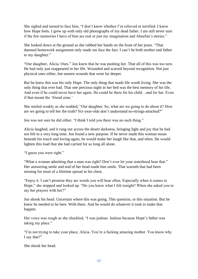She sighed and turned to face him, "I don't know whether I'm relieved or terrified. I know how Hope feels. I grew up with only old photographs of my dead father. I am still never sure if the few memories I have of him are real or just my imagination and Abuelita's stories."

She looked down at the ground as she rubbed her hands on the front of her jeans. "That damned homework assignment only made me face the fact. I can't be both mother and father to my daughter."

"Our daughter, Alicia. Ours." Jon knew that he was pushing her. That all of this was too new. He had only just reappeared in her life. Wounded and scarred beyond recognition. Not just physical ones either, but unseen wounds that went far deeper.

But he knew this was his only Hope. The only thing that made life worth living. She was the only thing that ever had. That one precious night in her bed was the best memory of his life. And even if he could never have her again. He could be there for his child…and for her. Even if that meant the 'friend zone.'

She smiled weakly as she nodded, "Our daughter. So, what are we going to do about it? How are we going to tell her the truth? Six-year-olds don't understand no-strings-attached?"

Jon was not sure he did either. "I think I told you there was no such thing."

Alicia laughed, and it rang out across the desert darkness, bringing light and joy that he had not felt in a very long time. Jon found a new purpose. If he never made this woman moan beneath his touch and loving again, he would make her laugh like that, and often. He would lighten this load that she had carried for so long all alone.

"I guess you were right."

"What a woman admitting that a man was right? Don't ever let your sisterhood hear that." Her answering smile and nod of her head made him smile. That warmth that had been missing for most of a lifetime spread in his chest.

"Enjoy it. I can't promise they are words you will hear often. Especially when it comes to Hope," she stopped and looked up. "Do you know what I felt tonight? When she asked you to say her prayers with her?"

Jon shook his head. Uncertain where this was going. This question, or this situation. But he knew he needed to be here. With them. And he would do whatever it took to make that happen.

Her voice was rough as she chuckled, "I was jealous. Jealous because Hope's father was taking my place."

"I'm not trying to take your place, Alicia. You're a fucking amazing mother. You know why I say that?"

She shook her head.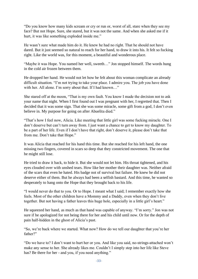"Do you know how many kids scream or cry or run or, worst of all, stare when they see my face? But not Hope. Sure, she stared, but it was not the same. And when she asked me if it hurt, it was like something exploded inside me."

He wasn't sure what made him do it. He knew he had no right. That he should not have dared. But it just seemed so natural to reach for her hand, to draw it into his. It felt so fucking right. Like the world was, for this moment, a beautiful and wonderous place.

"Maybe it was Hope. You named her well, sweeth…" Jon stopped himself. The words hung in the cold air frozen between them.

He dropped her hand. He would not let how he felt about this woman complicate an already difficult situation. "I'm not trying to take your place. I admire you. The job you have done with her. All alone. I'm sorry about that. If I had known…"

She stared off at the moon, "That is my own fault. You know I made the decision not to ask your name that night. When I first found out I was pregnant with her, I regretted that. Then I decided that it was some sign. That she was some miracle, some gift from a god, I don't even believe in. My purpose for going on after Abuelita died."

"That's how I feel now, Alicia. Like meeting that little girl was some fucking miracle. One I don't deserve but can't turn away from. I just want a chance to get to know my daughter. To be a part of her life. Even if I don't have that right, don't deserve it, please don't take that from me. Don't take that Hope."

It was Alicia that reached for his hand this time. But she reached for his left hand, the one missing two fingers, covered in scars so deep that they constricted movement. The one that he might still lose.

He tried to draw it back, to hide it. But she would not let him. His throat tightened, and his eyes clouded over with unshed tears. How like her mother their daughter was. Neither afraid of the scars that even he hated. His badge not of survival but failure. He knew he did not deserve either of them. But he always had been a selfish bastard. And this time, he wanted so desperately to hang onto the Hope that they brought back to his life.

"I would never do that to you. Or to Hope. I meant what I said; I remember exactly how she feels. Most of the other children have a Mommy and a Daddy, even when they don't live together. But not having a father leaves this huge hole, especially in a little girl's heart."

He squeezed her hand, as much as that hand was capable of anyway. "I'm sorry." Jon was not sure if he apologized for not being there for her and his child until now. Or for the depth of pain half-hidden in the ghost of Alicia's past.

"So, we're back where we started. What now? How do we tell our daughter that you're her father?"

"Do we have to? I don't want to hurt her or you. And like you said, no-strings-attached won't make any sense to her. She already likes me. Couldn't I simply step into her life like Steve has? Be there for her - and you, if you need anything."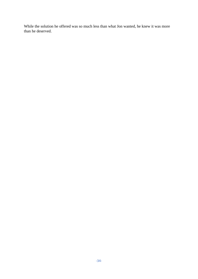While the solution he offered was so much less than what Jon wanted, he knew it was more than he deserved.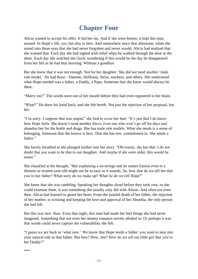## **Chapter Four**

<span id="page-34-0"></span>Alicia wanted to accept his offer. It hid her sin. And if she were honest, it kept this man around. In Hope's life, yes, but also in hers. And somewhere since that afternoon, when she stared into those eyes that she had never forgotten and never would, Alicia had realized that she wanted that. Each day she had sighed with relief when he walked through the door at the diner. Each day she watched the clock, wondering if this would be the day he disappeared from her life as he had that morning. Without a goodbye.

But she knew that it was not enough. Not for her daughter. She did not need another 'male role model.' He had those - Damien, DeShaun, Steve, teachers, and others. She understood what Hope needed was a father, a Daddy, a Papa. Someone that she knew would always be there.

"Marry me?" The words were out of her mouth before they had even registered in her brain.

"What?" He drew his hand back, and she felt bereft. Not just the rejection of her proposal, but her.

"I'm sorry. I suppose that was stupid," she lied to cover her hurt. "It's just that I do know how Hope feels. She doesn't need another Steve, even one who won't go off for days and abandon her for the bottle and drugs. She has male role models. What she needs is a sense of belonging. Someone that she knows is hers. That she has ties, commitment to. She needs a father."

She barely breathed as she plunged further into her story. "Obviously, she has that. I do not doubt that you want to be that to our daughter. And maybe if she were older, this would be easier."

She chuckled at the thought, "But explaining a no-strings and no names liaison even to a thirteen or sixteen-year-old might not be as easy as it sounds. So, how else do we tell her that you're her father? What story do we make up? What lie do we tell Hope?"

She knew that she was rambling. Speaking her thoughts aloud before they took root, or she could examine them. It was something she usually only did with Alison. And often not even then. Alicia had learned to guard her heart. From the painful death of her father, the rejection of her mother, to winning and keeping the love and approval of her Abuelita, the only person she had left.

But this was new. Raw. Even that night, this man had made her feel things she had never imagined. Something that not even her steamy romance novels alluded to. Or perhaps it was that words could never capture the vulnerability she felt.

"I guess we are back to 'what now.' We know that Hope needs a father; you want to step into your natural role as that father. But how? How, Jon? How do we tell our little girl that you're her Daddy?"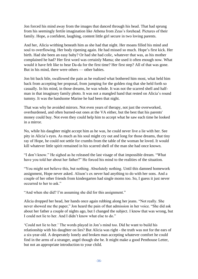Jon forced his mind away from the images that danced through his head. That had sprung from his seemingly fertile imagination like Athena from Zeus's forehead. Pictures of their family. Hope, a confident, laughing, content little girl secure in two loving parents.

And her, Alicia writhing beneath him as she had that night. Her moans filled his mind and soul to overflowing. Her body ripening again. He had missed so much. Hope's first kick. Her birth. Had she been an easy baby? Or had she had colic, whatever that was, as his mother complained he had? Her first word was certainly Mama; she used it often enough now. What would it have felt like to hear Da-da for the first time? Her first step? All of that was gone. But in his mind, there were others — other babies.

Jon bit back bile, swallowed the pain as he realized what bothered him most, what held him back from accepting her proposal, from jumping for the golden ring that she held forth so casually. In his mind, in those dreams, he was whole. It was not the scarred shell and halfman in that imaginary family photo. It was not a mangled hand that rested on Alicia's round tummy. It was the handsome Marine he had been that night.

That was why he avoided mirrors. Not even years of therapy, not just the overworked, overburdened, and often burned-out ones at the VA either, but the best that his parents' money could buy. Not even they could help him to accept what he saw each time he looked in a mirror.

No, while his daughter might accept him as he was, he could never live a lie with her. See pity in Alicia's eyes. As much as his soul might cry out and long for those dreams, that tiny ray of Hope, he could not settle for crumbs from the table of the woman he loved. It would kill whatever little spirit remained in his scarred shell of the man she had once known.

"I don't know." He sighed as he released the last visage of that impossible dream. "What have you told her about her father?" He forced his mind to the realities of the situation.

"You might not believe this, but nothing. Absolutely nothing. Until this damned homework assignment, Hope never asked. Alison's ex never had anything to do with her sons. And a couple of her other friends from kindergarten had single moms too. So, I guess it just never occurred to her to ask."

"And when she did? I'm assuming she did for this assignment."

Alicia dropped her head, her hands once again rubbing along her jeans. "Not really. She never showed me the paper," Jon heard the pain of that admission in her voice. "She did ask about her father a couple of nights ago, but I changed the subject. I know that was wrong, but I could not lie to her. And I didn't know what else to do."

'Could not lie to her.' The words played in Jon's mind too. Did he want to build his relationship with his daughter on lies? But Alicia was right - the truth was not for the ears of a six-year-old. A desperately lonely and broken man accepting whatever comfort he could find in the arms of a stranger, angel though she be. It might make a good Penthouse Letter, but not an appropriate introduction to your child.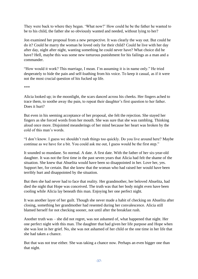They were back to where they began. 'What now?' How could he be the father he wanted to be to his child, the father she so obviously wanted and needed, without lying to her?

Jon examined her proposal from a new perspective. It was clearly the way out. But could he do it? Could he marry the woman he loved only for their child? Could he live with her day after day, night after night, wanting something he could never have? What choice did he have? Hell, maybe this was some new torturous punishment for his failings as a man and a commander.

"How would it work? This marriage, I mean. I'm assuming it is in name only." He tried desperately to hide the pain and self-loathing from his voice. To keep it casual, as if it were not the most crucial question of his fucked up life.

\*\*\*

Alicia looked up; in the moonlight, the scars danced across his cheeks. Her fingers ached to trace them, to soothe away the pain, to repeat their daughter's first question to her father. Does it hurt?

But even in his seeming acceptance of her proposal, she felt the rejection. She stayed her fingers as she forced words from her mouth. She was sure that she was rambling. Thinking aloud once more. Disjointed meanderings of her mind because her heart was broken by the cold of this man's words.

"I don't know. I guess we shouldn't rush things too quickly. Do you live around here? Maybe continue as we have for a bit. You could ask me out, I guess would be the first step."

It sounded so mundane. So normal. A date. A first date. With the father of her six-year-old daughter. It was not the first time in the past seven years that Alicia had felt the shame of the situation. She knew that Abuelita would have been so disappointed in her. Love her, yes. Support her, for certain. But she knew that the woman who had raised her would have been terribly hurt and disappointed by the situation.

But then she had never had to face that reality. Her grandmother, her beloved Abuelita, had died the night that Hope was conceived. The truth was that her body might even have been cooling while Alicia lay beneath this man. Enjoying her one perfect night.

It was another layer of her guilt. Though she never made a habit of checking on Abuelita after closing, something her grandmother had resented during her convalescence. Alicia still blamed herself for not checking sooner, not until after the breakfast rush.

Another truth was – she did not regret, was not ashamed of, what happened that night. Her one perfect night with this man. The daughter that had given her life purpose and Hope when she was lost in her grief. No, she was not ashamed of her child or the one time in her life that she had taken a chance.

But that was not true either. She was taking a chance now. Perhaps an even bigger one than that night.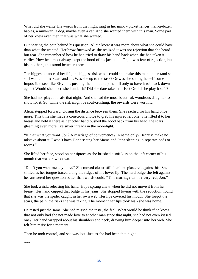What did she want? His words from that night rang in her mind - picket fences, half-a-dozen babies, a mini-van, a dog, maybe even a cat. And she wanted them with this man. Some part of her knew even then that was what she wanted.

But hearing the pain behind his question, Alicia knew it was more about what she could have than what she wanted. Her brow furrowed as she realized it was not rejection that she heard but fear. She remembered how he had tried to draw his hand back when she had taken it earlier. How he almost always kept the hood of his jacket up. Oh, it was fear of rejection, but his, not hers, that stood between them.

The biggest chance of her life, the biggest risk was – could she make this man understand she still wanted him? Scars and all. Was she up to the task? Or was she setting herself some impossible task like Sisyphus pushing the boulder up the hill only to have it roll back down again? Would she be crushed under it? Did she dare take that risk? Or did she play it safe?

She had not played it safe that night. And she had the most beautiful, wondrous daughter to show for it. So, while the risk might be soul-crushing, the rewards were worth it.

Alicia stepped forward, closing the distance between them. She reached for his hand once more. This time she made a conscious choice to grab his injured left one. She lifted it to her breast and held it there as her other hand pushed the hood back from his head, the scars gleaming even more like silver threads in the moonlight.

"Is that what you want, Jon? A marriage of convenience? In name only? Because make no mistake about it, I won't have Hope seeing her Mama and Papa sleeping in separate beds or rooms."

She lifted her face, stood on her tiptoes as she brushed a soft kiss on the left corner of his mouth that was drawn down.

"Don't you want me anymore?" She moved closer still, her hips plastered against his. She smiled as her tongue traced along the ridges of his lower lip. The hard bulge she felt against her answered her question better than words could. "This marriage will be very real, Jon."

She took a risk, releasing his hand. Hope sprang anew when he did not move it from her breast. Her hand cupped that bulge in his jeans. She stopped toying with the seduction, found that she was the spider caught in her own web. Her lips covered his mouth. She forgot the scars, the pain, the risks she was taking. The moment her lips took his - she was home.

He tasted just the same. She had missed the taste, the feel. What would he think if he knew that not only had she not made love to another man since that night, she had not even kissed one? Her hand wrapped about his shoulders and neck, drawing him deeper into her web. She felt him resist for a moment.

Then he took control, and she was lost. Just as she had been that night.

\*\*\*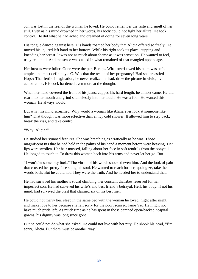Jon was lost in the feel of the woman he loved. He could remember the taste and smell of her still. Even as his mind drowned in her words, his body could not fight her allure. He took control. He did what he had ached and dreamed of doing for seven long years.

His tongue danced against hers. His hands roamed her body that Alicia offered so freely. He moved his injured left hand to her bottom. While his right took its place, cupping and kneading her breast. It was not as much about shame as it was sensation. He wanted to feel, truly feel it all. And the sense was dulled in what remained of that mangled appendage.

Her breasts were fuller. Gone were the pert B-cups. What overflowed his palm was soft, ample, and most definitely a C. Was that the result of her pregnancy? Had she breastfed Hope? That fertile imagination, he never realized he had, drew the picture in vivid, liveaction color. His cock hardened even more at the thought.

When her hand covered the front of his jeans, cupped his hard length, he almost came. He did roar into her mouth and grind shamelessly into her touch. He was a fool. He wanted this woman. He always would.

But why, his mind screamed. Why would a woman like Alicia ever look at someone like him? That thought was more effective than an icy cold shower. It allowed him to step back, break the kiss, and take control.

"Why, Alicia?"

He studied her stunned features. She was breathing as erratically as he was. Those magnificent tits that he had held in the palms of his hand a moment before were heaving. Her lips were swollen. Her hair mussed, falling about her face in soft tendrils from the ponytail. He longed to touch it. To drew this woman back into his arms and never let her go. But...

"I won't be some pity fuck." The vitriol of his words shocked even him. And the look of pain that crossed her pretty face stung his soul. He wanted to reach for her, apologize, take the words back. But he could not. They were the truth. And he needed her to understand that.

He had survived his mother's social climbing, her constant diatribes reserved for her imperfect son. He had survived his wife's and best friend's betrayal. Hell, his body, if not his mind, had survived the blast that claimed six of his best men.

He could not marry her, sleep in the same bed with the woman he loved, night after night, and make love to her because she felt sorry for the poor, scarred, lame Vet. He might not have much pride left. As much time as he has spent in those damned open-backed hospital gowns, his dignity was long since gone.

But he could not do what she asked. He could not live with her pity. He shook his head, "I'm sorry, Alicia. But there must be another way."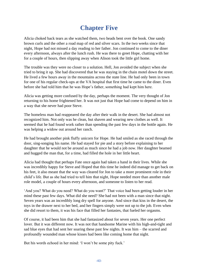## **Chapter Five**

Alicia choked back tears as she watched them, two heads bent over the book. One sandy brown curls and the other a road map of red and silver scars. In the two weeks since that night, Hope had not missed a day reading to her father. Jon continued to come to the diner every afternoon, always after the lunch rush. He was there to greet Hope, chatting with her for a couple of hours, then slipping away when Alison took the little girl home.

The trouble was they were no closer to a solution. Hell, Jon avoided the subject when she tried to bring it up. She had discovered that he was staying in the chain motel down the street. He lived a few hours away in the mountains across the state line. He had only been in town for one of his regular check-ups at the VA hospital that first time he came to the diner. Even before she had told him that he was Hope's father, something had kept him here.

Alicia was getting more confused by the day, perhaps the moment. The very thought of Jon returning to his home frightened her. It was not just that Hope had come to depend on him in a way that she never had poor Steve.

The homeless man had reappeared the day after their walk in the desert. She had almost not recognized him. Not only was he clean, but shaven and wearing new clothes as well. It seemed that he had found work rather than spending the past few days in the bottle again. He was helping a widow out around her ranch.

He had brought another pink fluffy unicorn for Hope. He had smiled as she raced through the door, sing-songing his name. He had stayed for pie and a story before explaining to her daughter that he would not be around as much since he had a job now. Her daughter beamed and hugged the man that, for a time, had filled the hole in her little heart.

Alicia had thought that perhaps Fate once again had taken a hand in their lives. While she was incredibly happy for Steve and Hoped that this time he indeed did manage to get back on his feet, it also meant that the way was cleared for Jon to take a more prominent role in their child's life. But as she had tried to tell him that night, Hope needed more than another male role model, a couple of hours every afternoon, and someone to listen to her read.

'And you? What do you need? What do you want?' That voice had been getting louder in her mind these past few days. What did she need? She had not been with a man since that night. Seven years was an incredibly long dry spell for anyone. And since that kiss in the desert, the toys in the drawer next to her bed, and her fingers simply were not up to the job. Even when she did resort to them, it was his face that filled her fantasies, that fueled her orgasms.

Of course, it had been him that she had fantasized about for seven years. Her one perfect lover. But it was different now. It was not that handsome Marine with his high-and-tight and sad blue eyes that had sent her soaring these past few nights. It was him – the scarred and profoundly wounded man whose kisses had been like coming home that night.

But his words echoed in her mind: 'I won't be some pity fuck.'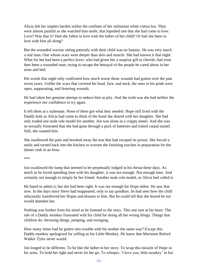Alicia felt her nipples harden within the confines of her utilitarian white cotton bra. They were almost painful as she watched him smile, that lopsided one that she had come to love. Love? Was that it? Had she fallen in love with the father of her child? Or had she been in love with him all along?

But the wounded warrior sitting patiently with their child was no fantasy. He was very much a real man. One whose scars went deeper than skin and muscle. She had known it that night. What for her had been a perfect lover, who had given her a surprise gift to cherish, had even then been a wounded man, trying to escape the betrayal of the people he cared about in her arms and bed.

His words that night only confirmed how much worse those wounds had gotten over the past seven years. Unlike the scars that covered his head, face, and neck, the ones to his pride were open, suppurating, and festering wounds.

He had taken her genuine attempt to seduce him as pity. And the truth was she had neither the experience nor confidence to try again.

It left them at a stalemate. None of them got what they needed. Hope still lived with the Daddy hole as Alicia had come to think of the bond she shared with her daughter. She had only traded one male role model for another. Jon was alone in a crappy motel. And she was so sexually frustrated that she had gone through a pack of batteries and risked carpal tunnel. Still, she wanted him.

She swallowed the pain and brushed away the tear that had escaped its prison. She forced a smile and turned back into the kitchen to oversee the finishing touches in preparation for the dinner rush in an hour.

\*\*\*

Jon swallowed the lump that seemed to be perpetually lodged in his throat these days. As much as he loved spending time with his daughter, it was not enough. Not enough time. And certainly not enough to simply be her friend. Another male role model, as Alicia had called it.

He hated to admit it, but she had been right. It was not enough for Hope either. He saw that now. In the days since Steve had reappeared, only to say goodbye, he had seen how the child reluctantly transferred her Hopes and dreams to him. But he could tell that she feared he too would abandon her.

Nothing was further from his mind as he listened to the story. This one tore at his heart. The tale of a Daddy monkey frustrated with his child for doing all the wrong things. Things that children do: throwing things, jumping, and swinging.

How many times had he gotten into trouble with his mother the same way? Except this Daddy monkey apologized for yelling as his Little Monkey. He knew that Marianne Buford Walker Tyler never would.

Jon longed to be different. To be like the father in her story. To wrap this miracle of Hope in his arms. To hold her tight and never let her go. To whisper, 'I love you, little monkey' in her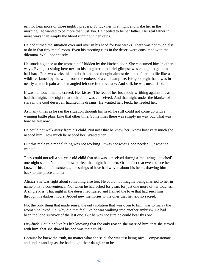ear. To hear more of those nightly prayers. To tuck her in at night and wake her in the morning. He wanted to be more than just Jon. He needed to be her father. Her real father in more ways than simply the blood running in her veins.

He had turned the situation over and over in his head for two weeks. There was not much else to do in that tiny motel room. Even his morning runs in the desert were consumed with the dilemma. Well, not entirely.

He snuck a glance at the woman half-hidden by the kitchen door. She consumed him in other ways. Even just sitting here next to his daughter, that brief glimpse was enough to get him half hard. For two weeks, his libido that he had thought almost dead had flared to life like a wildfire flamed by the wind from the embers of a cold campfire. His good right hand was in nearly as much pain as the mangled left one from overuse. And still, he was unsatisfied.

It was her touch that he craved. Her kisses. The feel of her lush body writhing against his as it had that night. The night that their child was conceived. And that night under the blanket of stars in the cool desert air haunted his dreams. He wanted her. Fuck, he needed her.

As many times as he ran the situation through his head, he still could not come up with a winning battle plan. Like that other time. Sometimes there was simply no way out. That was how he felt now.

He could not walk away from his child. Not now that he knew her. Knew how very much she needed him. How much he needed her. Wanted her.

But this male role model thing was not working. It was not what Hope needed. Or what he wanted.

They could not tell a six-year-old child that she was conceived during a 'no-strings-attached' one-night stand. No matter how perfect that night had been. Or the fact that even before he knew of his child's existence, the strings of love had woven about his heart, drawing him back to this place and her.

Alicia? She was right about something else too. He could not imagine being married to her in name only, a convenience. Not when he had ached for years for just one more of her touches. A single kiss. That night in the desert had fueled and flamed the love that had seen him through his darkest hours. Added new memories to the ones that he held so sacred.

No, the only thing that made sense, the only solution that was open to him, was to marry the woman he loved. So, why did that feel like he was walking into another ambush? He had been the lone survivor of the last one. But he was not sure he could bear this one.

Pity-fuck. Could he live his life knowing that the only reason she married him, that she stayed with him, that she shared his bed was their child?

Because he knew the truth, no matter what she said, she was just being nice. Compassionate and understanding as she had taught their daughter to be.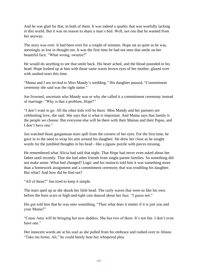And he was glad for that, in both of them. It was indeed a quality that was woefully lacking in this world. But it was no reason to share a man's bed. Well, not one that he wanted from her anyway.

The story was over. It had been over for a couple of minutes. Hope sat as quiet as he was, seemingly as lost in thought too. It was the first time he had not seen that smile on her beautiful face. "What wrong, sweetie?"

He would do anything to see that smile back. His heart ached, and the blood pounded in his head. Hope looked up at him with those same warm brown eyes of her mother, glazed over with unshed tears this time.

"Mama and I are invited to Miss Mandy's wedding." His daughter paused, "Commitment ceremony she said was the right name."

Jon frowned, uncertain who Mandy was or why she called it a commitment ceremony instead of marriage. "Why is that a problem, Hope?"

"I don't want to go. All the other kids will be there. Miss Mandy and her partners are celebrating love, she said. She says that is what is important. And Mama says that family is the people we choose. But everyone else will be there with their Mamas and their Papas, and I don't have one."

Jon watched those gargantuan tears spill from the corners of her eyes. For the first time, he gave in to the need to wrap his arm around his daughter. He drew her close as he sought words for the jumbled thoughts in his head - like a jigsaw puzzle with pieces missing.

He remembered what Alicia had said that night. That Hope had never even asked about her father until recently. That she had other friends from single-parent families. So something did not make sense. What had changed? Logic and his instincts told him it was something more than a homework assignment and a commitment ceremony that was troubling his daughter. But what? And how did he find out?

"All of them?" Jon tried to keep it simple.

The tears sped up as she shook her little head. The curly waves that were so like his own before the burn scars or high-and-tight cuts danced about her face. "I guess not."

His gut told him that he was onto something, "Then what does it matter if it is just you and your Mama?"

"Cause Amy will be bringing her new daddies. She has two of them. It's not fair. I don't even have one."

Her innocent words ate at his soul as she pulled from his embrace and rushed over to Alison. "Take me home, Ali," he could barely hear her whispered plea.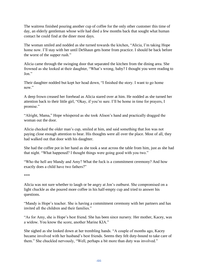The waitress finished pouring another cup of coffee for the only other customer this time of day, an elderly gentleman whose wife had died a few months back that sought what human contact he could find at the diner most days.

The woman smiled and nodded as she turned towards the kitchen, "Alicia, I'm taking Hope home now. I'll stay with her until DeShaun gets home from practice. I should be back before the worst of the supper rush."

Alicia came through the swinging door that separated the kitchen from the dining area. She frowned as she looked at their daughter, "What's wrong, baby? I thought you were reading to Jon."

Their daughter nodded but kept her head down, "I finished the story. I want to go home now."

A deep frown creased her forehead as Alicia stared over at him. He nodded as she turned her attention back to their little girl, "Okay, if you're sure. I'll be home in time for prayers, I promise."

"Alright, Mama," Hope whispered as she took Alison's hand and practically dragged the woman out the door.

Alicia checked the older man's cup, smiled at him, and said something that Jon was not paying close enough attention to hear. His thoughts were all over the place. Most of all, they had walked out that door with his daughter.

She had the coffee pot in her hand as she took a seat across the table from him, just as she had that night. "What happened? I thought things were going good with you two."

"Who the hell are Mandy and Amy? What the fuck is a commitment ceremony? And how exactly does a child have two fathers?"

\*\*\*

Alicia was not sure whether to laugh or be angry at Jon's outburst. She compromised on a light chuckle as she poured more coffee in his half-empty cup and tried to answer his questions.

"Mandy is Hope's teacher. She is having a commitment ceremony with her partners and has invited all the children and their families."

"As for Amy, she is Hope's best friend. She has been since nursery. Her mother, Kacey, was a widow. You know the score, another Marine KIA."

She sighed as she looked down at her trembling hands. "A couple of months ago, Kacey became involved with her husband's best friends. Seems they felt duty-bound to take care of them." She chuckled nervously, "Well, perhaps a bit more than duty was involved."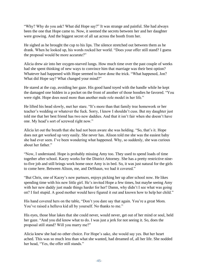"Why? Why do you ask? What did Hope say?" It was strange and painful. She had always been the one that Hope came to. Now, it seemed the secrets between her and her daughter were growing. And the biggest secret of all sat across the booth from her.

He sighed as he brought the cup to his lips. The silence stretched out between them as he drank. When he looked up, his words rocked her world. "Does your offer still stand? I guess the proposal would be more accurate?"

Alicia drew air into her oxygen-starved lungs. How much time over the past couple of weeks had she spent thinking of new ways to convince him that marriage was their best option? Whatever had happened with Hope seemed to have done the trick. "What happened, Jon? What did Hope say? What changed your mind?"

He stared at the cup, avoiding her gaze. His good hand toyed with the handle while he kept the damaged one hidden in a pocket on the front of another of those hoodies he favored. "You were right. Hope does need more than another male role model in her life."

He lifted his head slowly, met her stare. "It's more than that family tree homework or her teacher's wedding or whatever the fuck. Sorry, I know I shouldn't cuss. But my daughter just told me that her best friend has two new daddies. And that it isn't fair when she doesn't have one. My head's sort of screwed right now."

Alicia let out the breath that she had not been aware she was holding. "So, that's it. Hope does not get worked up very easily. She never has. Alison told me she was the easiest baby she had ever seen. I've been wondering what happened. Why, so suddenly, she was curious about her father."

"Now, I understand. Hope is probably missing Amy too. They used to spend loads of time together after school. Kacey works for the District Attorney. She has a pretty restrictive nineto-five job and still brings work home once Amy is in bed. So, it was just natural for the girls to come here. Between Alison, me, and DeShaun, we had it covered."

"But Chris, one of Kacey's new partners, enjoys picking her up after school now. He likes spending time with his new little girl. He's invited Hope a few times, but maybe seeing Amy with her new daddy just made things harder for her? Damn, why didn't I see what was going on? I feel stupid. A good mother would have figured it out and known how to help her child."

His hand covered hers on the table, "Don't you dare say that again. You're a great Mom. You've raised a helluva kid all by yourself. No thanks to me."

His eyes, those blue lakes that she could never, would never, get out of her mind or soul, held her gaze. "And you did know what to do. I was just a jerk for not seeing it. So, does the proposal still stand? Will you marry me?"

Alicia knew she had no other choice. For Hope's sake, she would say yes. But her heart ached. This was so much less than what she wanted, had dreamed of, all her life. She nodded her head, "Yes, the offer still stands."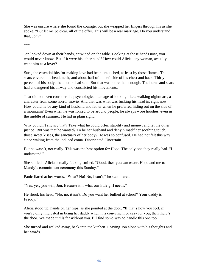She was unsure where she found the courage, but she wrapped her fingers through his as she spoke. "But let me be clear, all of the offer. This will be a real marriage. Do you understand that, Jon?"

\*\*\*

Jon looked down at their hands, entwined on the table. Looking at those hands now, you would never know. But if it were his other hand? How could Alicia, any woman, actually want him as a lover?

Sure, the essential bits for making love had been untouched, at least by those flames. The scars covered his head, neck, and about half of the left side of his chest and back. Thirtypercent of his body, the doctors had said. But that was more than enough. The burns and scars had endangered his airway and constricted his movements.

That did not even consider the psychological damage of looking like a walking nightmare, a character from some horror movie. And that was what was fucking his head in, right now. How could he be any kind of husband and father when he preferred hiding out on the side of a mountain? Even when he was forced to be around people, he always wore hoodies, even in the middle of summer. He hid in plain sight.

Why couldn't she see that? Take what he could offer, stability and money, and let the other just be. But was that he wanted? To be her husband and deny himself her soothing touch, those sweet kisses, the sanctuary of her body? He was so confused. He had not felt this way since waking from the induced coma. Disoriented. Uncertain.

But he wasn't, not really. This was the best option for Hope. The only one they really had. "I understand"

She smiled - Alicia actually fucking smiled. "Good, then you can escort Hope and me to Mandy's commitment ceremony this Sunday."

Panic flared at her words. "What? No! No, I can't," he stammered.

"Yes, yes, you will, Jon. Because it is what our little girl needs."

He shook his head, "No, no, it isn't. Do you want her bullied at school? Your daddy is Freddy."

Alicia stood up, hands on her hips, as she pointed at the door. "If that's how you feel, if you're only interested in being her daddy when it is convenient or easy for you, then there's the door. We made it this far without you. I'll find some way to handle this one too."

She turned and walked away, back into the kitchen. Leaving Jon alone with his thoughts and her words.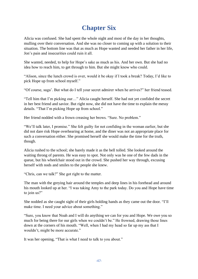## **Chapter Six**

Alicia was confused. She had spent the whole night and most of the day in her thoughts, mulling over their conversation. And she was no closer to coming up with a solution to their situation. The bottom line was that as much as Hope wanted and needed her father in her life, Jon's pain and insecurities could ruin it all.

She wanted, needed, to help for Hope's sake as much as his. And her own. But she had no idea how to reach him, to get through to him. But she might know who could.

"Alison, since the lunch crowd is over, would it be okay if I took a break? Today, I'd like to pick Hope up from school myself."

"Of course, suga'. But what do I tell your secret admirer when he arrives?" her friend teased.

"Tell him that I'm picking our…" Alicia caught herself. She had not yet confided the secret in her best friend and savior. But right now, she did not have the time to explain the messy details. "That I'm picking Hope up from school."

Her friend nodded with a frown creasing her brows. "Sure. No problem."

"We'll talk later, I promise." She felt guilty for not confiding in the woman earlier, but she did not dare risk Hope overhearing at home, and the diner was not an appropriate place for such a conversation either. She promised herself she would make the time for the truth, though.

Alicia rushed to the school; she barely made it as the bell tolled. She looked around the waiting throng of parents. He was easy to spot. Not only was he one of the few dads in the queue, but his wheelchair stood out in the crowd. She pushed her way through, excusing herself with nods and smiles to the people she knew.

"Chris, can we talk?" She got right to the matter.

The man with the greying hair around the temples and deep lines in his forehead and around his mouth looked up at her. "I was taking Amy to the park today. Do you and Hope have time to join us?"

She nodded as she caught sight of their girls holding hands as they came out the door. "I'll make time. I need your advice about something."

"Sure, you know that Noah and I will do anything we can for you and Hope. We owe you so much for being there for our girls when we couldn't be." He frowned, drawing those lines down at the corners of his mouth. "Well, when I had my head so far up my ass that I wouldn't, might be more accurate."

It was her opening, "That is what I need to talk to you about."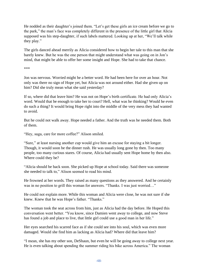He nodded as their daughter's joined them. "Let's get these girls an ice cream before we go to the park," the man's face was completely different in the presence of the little girl that Alicia supposed was his step-daughter, if such labels mattered. Looking up at her, "We'll talk while they play."

The girls danced ahead merrily as Alicia considered how to begin her tale to this man that she barely knew. But he was the one person that might understand what was going on in Jon's mind, that might be able to offer her some insight and Hope. She had to take that chance.

\*\*\*

Jon was nervous. Worried might be a better word. He had been here for over an hour. Not only was there no sign of Hope yet, but Alicia was not around either. Had she given up on him? Did she truly mean what she said yesterday?

If so, where did that leave him? He was not on Hope's birth certificate. He had only Alicia's word. Would that be enough to take her to court? Hell, what was he thinking? Would he even do such a thing? It would bring Hope right into the middle of the very mess they had wanted to avoid.

But he could not walk away. Hope needed a father. And the truth was he needed them. Both of them.

"Hey, suga, care for more coffee?" Alison smiled.

"Sure," at least nursing another cup would give him an excuse for staying a bit longer. Though, it would soon be the dinner rush. He was usually long gone by then. Too many people, too many curious stares. Of course, Alicia had usually sent Hope home by then also. Where could they be?

"Alicia should be back soon. She picked up Hope at school today. Said there was someone she needed to talk to," Alison seemed to read his mind.

He frowned at her words. They raised as many questions as they answered. And he certainly was in no position to grill this woman for answers. "Thanks. I was just worried…"

He could not explain more. While this woman and Alicia were close, he was not sure if she knew. Knew that he was Hope's father. "Thanks."

The woman took the seat across from him, just as Alicia had the day before. He Hoped this conversation went better. "You know, since Damien went away to college, and now Steve has found a job and place to live, that little girl could use a good man in her life."

Her eyes searched his scarred face as if she could see into his soul, which was even more damaged. Would she find him as lacking as Alicia had? Where did that leave him?

"I mean, she has my other son, DeShaun, but even he will be going away to college next year. He is even talking about spending the summer riding his bike across America." The woman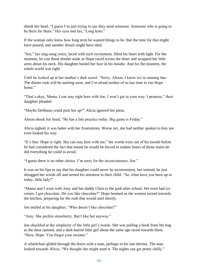shook her head, "I guess I'm just trying to say they need someone. Someone who is going to be there for them." Her eyes met his, "Long term."

If the woman only knew how long term he wanted things to be. But the time for that might have passed, and another dream might have died.

"Jon," her sing-song voice, laced with such excitement, filled his heart with light. For the moment, he cast those doubts aside as Hope raced across the diner and wrapped her little arms about his neck. His daughter buried her face in his hoodie. And for the moment, the whole world was right.

Until he looked up at her mother's dark scowl. "Sorry, Alison, I know we're running late. The dinner rush will be starting soon, and I'm afraid neither of us has time to run Hope home."

"That's okay, Mama. I can stay right here with Jon. I won't get in your way. I promise," their daughter pleaded.

"Maybe DeShaun could pick her up?" Alicia ignored her pleas.

Alison shook her head, "He has a late practice today. Big game is Friday."

Alicia sighed; it was laden with her frustrations. Worse yet, she had neither spoken to him nor even looked his way.

"It's fine. Hope is right. She can stay here with me," the words were out of his mouth before he had considered the fact that meant he would be forced to endure hours of those stares he did everything he could to avoid.

"I guess there is no other choice. I'm sorry for the inconvenience, Jon."

It was on his lips to say that his daughter could never be inconvenient, but instead, he just shrugged her words off and turned his attention to their child. "So, what have you been up to today, little lady?"

"Mama and I went with Amy and her daddy Chris to the park after school. We even had ice cream. I got chocolate. Do you like chocolate?" Hope beamed as the women turned towards the kitchen, preparing for the rush that would start shortly.

Jon smiled at his daughter, "Who doesn't like chocolate?"

"Amy. She prefers strawberry. But I like her anyway."

Jon chuckled at the simplicity of the little girl's words. She was pulling a book from her bag as the door opened, and a dark-haired little girl about the same age raced towards them. "Here, Hope. You forgot your sweater."

A wheelchair glided through the doors with a man, perhaps in his late thirties. The man looked towards Alicia, "We thought she might need it. The nights can get pretty chilly."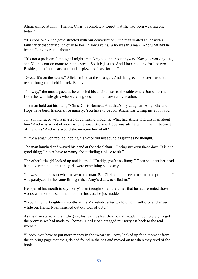Alicia smiled at him, "Thanks, Chris. I completely forgot that she had been wearing one today."

"It's cool. We kinda got distracted with our conversation," the man smiled at her with a familiarity that caused jealousy to boil in Jon's veins. Who was this man? And what had he been talking to Alicia about?

"It's not a problem. I thought I might treat Amy to dinner out anyway. Kacey is working late, and Noah is out on maneuvers this week. So, it is just us. And I hate cooking for just two. Besides, the diner beats fast food or pizza. At least for me."

"Great. It's on the house," Alicia smiled at the stranger. And that green monster bared its teeth, though Jon held it back. Barely.

"No way," the man argued as he wheeled his chair closer to the table where Jon sat across from the two little girls who were engrossed in their own conversation.

The man held out his hand, "Chris, Chris Bennett. And that's my daughter, Amy. She and Hope have been friends since nursery. You have to be Jon. Alicia was telling me about you."

Jon's mind raced with a myriad of confusing thoughts. What had Alicia told this man about him? And why was it obvious who he was? Because Hope was sitting with him? Or because of the scars? And why would she mention him at all?

"Have a seat," Jon replied, hoping his voice did not sound as gruff as he thought.

The man laughed and waved his hand at the wheelchair. "I bring my own these days. It is one good thing; I never have to worry about finding a place to sit."

The other little girl looked up and laughed, "Daddy, you're so funny." Then she bent her head back over the book that the girls were examining so closely.

Jon was at a loss as to what to say to the man. But Chris did not seem to share the problem, "I was paralyzed in the same firefight that Amy's dad was killed in."

He opened his mouth to say 'sorry' then thought of all the times that he had resented those words when others said them to him. Instead, he just nodded.

"I spent the next eighteen months at the VA rehab center wallowing in self-pity and anger while our friend Noah finished out our tour of duty."

As the man stared at the little girls, his features lost their jovial façade. "I completely forgot the promise we had made to Thomas. Until Noah dragged my sorry ass back to the real world."

"Daddy, you have to put more money in the swear jar." Amy looked up for a moment from the coloring page that the girls had found in the bag and moved on to when they tired of the book.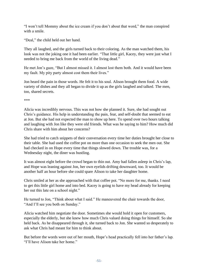"I won't tell Mommy about the ice cream if you don't about that word," the man conspired with a smile.

"Deal," the child held out her hand.

They all laughed, and the girls turned back to their coloring. As the man watched them, his look was not the joking one it had been earlier. "That little girl, Kacey, they were just what I needed to bring me back from the world of the living dead."

He met Jon's gaze, "But I almost missed it. I almost lost them both. And it would have been my fault. My pity party almost cost them their lives."

Jon heard the pain in those words. He felt it to his soul. Alison brought them food. A wide variety of dishes and they all began to divide it up as the girls laughed and talked. The men, too, shared secrets.

\*\*\*

Alicia was incredibly nervous. This was not how she planned it. Sure, she had sought out Chris's guidance. His help in understanding the pain, fear, and self-doubt that seemed to eat at Jon. But she had not expected the man to show up here. To spend over two hours talking and laughing with Jon like they were old friends. What was he saying to him? How much did Chris share with him about her concerns?

She had tried to catch snippets of their conversation every time her duties brought her close to their table. She had used the coffee pot on more than one occasion to seek the men out. She had checked in on Hope every time that things slowed down. The trouble was, for a Wednesday night, the diner was bustling.

It was almost eight before the crowd began to thin out. Amy had fallen asleep in Chris's lap, and Hope was leaning against Jon, her own eyelids drifting downward, too. It would be another half an hour before she could spare Alison to take her daughter home.

Chris smiled at her as she approached with that coffee pot. "No more for me, thanks. I need to get this little girl home and into bed. Kacey is going to have my head already for keeping her out this late on a school night."

He turned to Jon, "Think about what I said." He maneuvered the chair towards the door, "And I'll see you both on Sunday."

Alicia watched him negotiate the door. Sometimes she would hold it open for customers, especially the elderly, but she knew how much Chris valued doing things for himself. So she held back. As he disappeared through it, she turned back to Jon. She wanted so desperately to ask what Chris had meant for him to think about.

But before the words were out of her mouth, Hope's head practically fell into her father's lap. "I'll have Alison take her home."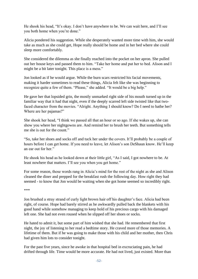He shook his head, "It's okay. I don't have anywhere to be. We can wait here, and I'll see you both home when you're done."

Alicia pondered his suggestion. While she desperately wanted more time with him, she would take as much as she could get, Hope really should be home and in her bed where she could sleep more comfortably.

She considered the dilemma as she finally reached into the pocket on her apron. She pulled out her house keys and passed them to him. "Take her home and put her to bed. Alison and I might be a bit later tonight. This place is a mess."

Jon looked as if he would argue. While the burn scars restricted his facial movements, making it harder sometimes to read these things, Alicia felt like she was beginning to recognize quite a few of them. "Please," she added. "It would be a big help."

He gave her that lopsided grin, the mostly unmarked right side of his mouth turned up in the familiar way that it had that night, even if the deeply scarred left side twisted like that twofaced character from the movies. "Alright. Anything I should know? Do I need to bathe her? Where are her pajamas?"

She shook her head, "I think we passed all that an hour or so ago. If she wakes up, she can show you where her nightgowns are. And remind her to brush her teeth. But something tells me she is out for the count."

"So, take her shoes and socks off and tuck her under the covers. It'll probably be a couple of hours before I can get home. If you need to leave, let Alison's son DeShaun know. He'll keep an ear out for her."

He shook his head as he looked down at their little girl, "As I said, I got nowhere to be. At least nowhere that matters. I'll see you when you get home."

For some reason, those words rang in Alicia's mind for the rest of the night as she and Alison cleaned the diner and prepped for the breakfast rush the following day. How right they had seemed - to know that Jon would be waiting when she got home seemed so incredibly right.

\*\*\*

Jon brushed a stray strand of curly light brown hair off his daughter's face. Alicia had been right, of course. Hope had barely stirred as he awkwardly pulled back the blankets with his good hand while somehow managing to keep hold of his precious cargo with his damaged left one. She had not even roused when he slipped off her shoes or socks.

He hated to admit it, but some part of him wished that she had. He remembered that first night, the joy of listening to her read a bedtime story. He craved more of those memories. A lifetime of them. But if he was going to make those with his child and her mother, then Chris had given him lots to consider tonight.

For the past five years, since he awoke in that hospital bed in excruciating pain, he had drifted through life. Time would be more accurate. He had not lived, just existed. More than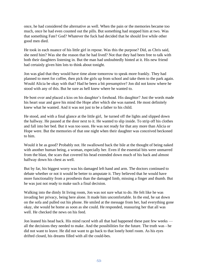once, he had considered the alternative as well. When the pain or the memories became too much, once he had even counted out the pills. But something had stopped him at two. Was that something Fate? God? Whatever the fuck had decided that he should live while other good men died.

He took in each nuance of his little girl in repose. Was this the purpose? Did, as Chris said, she need him? Was she the reason that he had lived? Not that they had been free to talk with both their daughters listening in. But the man had undoubtedly hinted at it. His new friend had certainly given him lots to think about tonight.

Jon was glad that they would have time alone tomorrow to speak more frankly. They had planned to meet for coffee, then pick the girls up from school and take them to the park again. Would Alicia be okay with that? Had he been a bit presumptive? Jon did not know where he stood with any of this. But he sure as hell knew where he wanted to.

He bent over and placed a kiss on his daughter's forehead. His daughter? Just the words made his heart soar and gave his mind the Hope after which she was named. He most definitely knew what he wanted. And it was not just to be a father to his child.

He stood, and with a final glance at the little girl, he turned off the lights and slipped down the hallway. He paused at the door next to it. He wanted to slip inside. To strip off his clothes and fall into her bed. But it was too soon. He was not ready for that any more than Alicia or Hope were. But the memories of that one night when their daughter was conceived beckoned to him.

Would it be as good? Probably not. He swallowed back the bile at the thought of being naked with another human being, a woman, especially her. Even if the essential bits were unmarred from the blast, the scars that covered his head extended down much of his back and almost halfway down his chest as well.

But by far, his biggest worry was his damaged left hand and arm. The doctors continued to debate whether or not it would be better to amputate it. They believed that he would have more functionality from a prosthesis than the damaged limb, missing a finger and thumb. But he was just not ready to make such a final decision.

Walking into the dimly lit living room, Jon was not sure what to do. He felt like he was invading her privacy, being here alone. It made him uncomfortable. In the end, he sat down on the sofa and pulled out his phone. He smiled at the message from her, had everything gone okay, she would be home as soon as she could. He responded, reassuring her that all was well. He checked the news on his feed.

Jon leaned his head back. His mind raced with all that had happened these past few weeks all the decisions they needed to make. And the possibilities for the future. The truth was - he did not want to leave. He did not want to go back to that lonely hotel room. As his eyes drifted closed, his dreams filled with all the could-bes.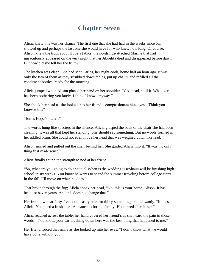## **Chapter Seven**

Alicia knew this was her chance. The first one that she had had in the weeks since Jon showed up and perhaps the last one she would have for who knew how long. Of course, Alison knew the truth about Hope's father, the no-strings-attached Marine that had miraculously appeared on the very night that her Abuelita died and disappeared before dawn. But how did she tell her the truth?

The kitchen was clean. She had sent Carlos, her night cook, home half an hour ago. It was only the two of them as they scrubbed down tables, put up chairs, and refilled all the condiment bottles, ready for the morning.

Alicia jumped when Alison placed her hand on her shoulder. "Go ahead, spill it. Whatever has been bothering you lately. I think I know, anyway."

She shook her head as she looked into her friend's compassionate blue eyes. "Think you know what?"

"Jon is Hope's father."

The words hung like specters in the silence. Alicia grasped the back of the chair she had been cleaning. It was all that kept her standing. She should say something. But no words formed in her addled brain. She could not even move her head that was weighed down like lead.

Alison smiled and pulled out the chair behind her. She guided Alicia into it. "It was the only thing that made sense."

Alicia finally found the strength to nod at her friend.

"So, what are you going to do about it? When is the wedding? DeShaun will be finishing high school in six weeks. You know he wants to spend the summer traveling before college starts in the fall. I'll move on when he does."

That broke through the fog; Alicia shook her head, "No, this is your home, Alison. It has been for seven years. And this does not change that."

Her friend, who at forty-five could easily pass for thirty-something, smiled wanly. "It does, Alicia. You need a fresh start. A chance to form a family. Hope needs her father."

Alicia reached across the table; her hand covered her friend's as she heard the pain in those words. "You know, your car breaking down here was the best thing that happened to me."

Her friend forced that smile as she looked up into her eyes. "I don't know what we would have done without you."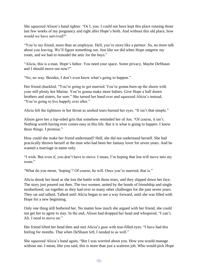She squeezed Alison's hand tighter. "Or I, you. I could not have kept this place running those last few weeks of my pregnancy and right after Hope's birth. And without this old place, how would we have survived?"

"You're my friend, more than an employee. Hell, you're more like a partner. So, no more talk about you leaving. We'll figure something out. Just like we did when Hope outgrew my room, and we had to remodel the attic for the boys."

"Alicia, this is a man. Hope's father. You need your space. Some privacy. Maybe DeShaun and I should move out now?"

"No, no way. Besides, I don't even know what's going to happen."

Her friend chuckled, "You're going to get married. You're gonna burn up the sheets with your still plenty hot Marine. You're gonna make more babies. Give Hope a half dozen brothers and sisters, for sure." She turned her hand over and squeezed Alicia's instead, "You're going to live happily ever after."

Alicia felt the tightness in her throat as unshed tears burned her eyes. "It isn't that simple."

Alison gave her a lop-sided grin that somehow reminded her of Jon. "Of course, it isn't. Nothing worth having ever comes easy in this life. But it is what is going to happen. I know these things. I promise."

How could she make her friend understand? Hell, she did not understand herself. She had practically thrown herself at the man who had been her fantasy lover for seven years. And he wanted a marriage in name only.

"I wish. But even if, you don't have to move. I mean, I'm hoping that Jon will move into my room."

"What do you mean, 'hoping'? Of course, he will. Once you're married, that is."

Alicia shook her head as she lost the battle with those tears, and they slipped down her face. The story just poured out then. The two women, united by the bonds of friendship and single motherhood, sat together as they had over so many other challenges for the past seven years. They sat and talked. Talked until Alicia began to see a way forward, until she was filled with Hope for a new beginning.

Only one thing still bothered her. No matter how much she argued with her friend, she could not get her to agree to stay. In the end, Alison had dropped her head and whispered, "I can't, Ali. I need to move on."

Her friend lifted her head then and met Alicia's gaze with tear-filled eyes. "I have had this feeling for months. That when DeShaun left, I needed to as well."

She squeezed Alicia's hand again, "But I was worried about you. How you would manage without me. I mean, like you said, this is more than just a waitress job. Who would pick Hope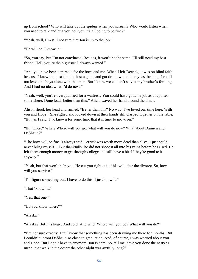up from school? Who will take out the spiders when you scream? Who would listen when you need to talk and hug you, tell you it's all going to be fine?"

"Yeah, well, I'm still not sure that Jon is up to the job."

"He will be. I know it."

"So, you say, but I'm not convinced. Besides, it won't be the same. I'll still need my best friend. Hell, you're the big sister I always wanted."

"And you have been a miracle for the boys and me. When I left Derrick, it was on blind faith because I knew the next time he lost a game and got drunk would be my last beating. I could not leave the boys alone with that man. But I knew we couldn't stay at my brother's for long. And I had no idea what I'd do next."

"Yeah, well, you're overqualified for a waitress. You could have gotten a job as a reporter somewhere. Done loads better than this," Alicia waved her hand around the diner.

Alison shook her head and smiled, "Better than this? No way. I've loved our time here. With you and Hope." She sighed and looked down at their hands still clasped together on the table, "But, as I said, I've known for some time that it is time to move on."

"But where? What? Where will you go, what will you do now? What about Damien and DeShaun?"

"The boys will be fine. I always said Derrick was worth more dead than alive. I just could never bring myself… But thankfully, he did not shoot it all into his veins before he ODed. He left them enough money to get through college and still have a bit. If they're good to it anyway."

"Yeah, but that won't help you. He cut you right out of his will after the divorce. So, how will you survive?"

"I'll figure something out. I have to do this. I just know it."

"That 'know' it?"

"Yes, that one."

"Do you know where?"

"Alaska"

"Alaska? But it is huge. And cold. And wild. Where will you go? What will you do?"

"I'm not sure exactly. But I know that something has been drawing me there for months. But I couldn't uproot DeShaun so close to graduation. And, of course, I was worried about you and Hope. But I don't have to anymore. Jon is here. So, tell me, have you done the nasty? I mean, that walk in the desert the other night was awfully long?"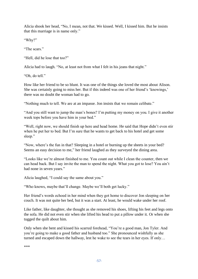Alicia shook her head, "No, I mean, not that. We kissed. Well, I kissed him. But he insists that this marriage is in name only."

"Why?"

"The scars."

"Hell, did he lose that too?"

Alicia had to laugh. "No, at least not from what I felt in his jeans that night."

"Oh, do tell."

How like her friend to be so blunt. It was one of the things she loved the most about Alison. She was certainly going to miss her. But if this indeed was one of her friend's 'knowings,' there was no doubt the woman had to go.

"Nothing much to tell. We are at an impasse. Jon insists that we remain celibate."

"And you still want to jump the man's bones? I'm putting my money on you. I give it another week tops before you have him in your bed."

"Well, right now, we should finish up here and head home. He said that Hope didn't even stir when he put her to bed. But I'm sure that he wants to get back to his hotel and get some sleep."

"Now, where's the fun in that? Sleeping in a hotel or burning up the sheets in your bed? Seems an easy decision to me," her friend laughed as they surveyed the dining area.

"Looks like we're almost finished to me. You count out while I clean the counter, then we can head back. But I say invite the man to spend the night. What you got to lose? You ain't had none in seven years."

Alicia laughed, "I could say the same about you."

"Who knows, maybe that'll change. Maybe we'll both get lucky."

Her friend's words echoed in her mind when they got home to discover Jon sleeping on her couch. It was not quite her bed, but it was a start. At least, he would wake under her roof.

Like father, like daughter, she thought as she removed his shoes, lifting his feet and legs onto the sofa. He did not even stir when she lifted his head to put a pillow under it. Or when she tugged the quilt about him.

Only when she bent and kissed his scarred forehead, "You're a good man, Jon Tyler. And you're going to make a good father and husband too." She pronounced wishfully as she turned and escaped down the hallway, lest he wake to see the tears in her eyes. If only…

\*\*\*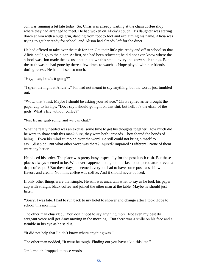Jon was running a bit late today. So, Chris was already waiting at the chain coffee shop where they had arranged to meet. He had woken on Alicia's couch. His daughter was staring down at him with a huge grin, dancing from foot to foot and exclaiming his name. Alicia was trying to get her ready for school, and Alison had already left for the diner.

He had offered to take over the task for her. Get their little girl ready and off to school so that Alicia could go to the diner. At first, she had been reluctant; he did not even know where the school was. Jon made the excuse that in a town this small, everyone knew such things. But the truth was he had gone by there a few times to watch as Hope played with her friends during recess. He had missed so much.

"Hey, man, how's it going?"

"I spent the night at Alicia's." Jon had not meant to say anything, but the words just tumbled out.

"Wow, that's fast. Maybe I should be asking your advice," Chris replied as he brought the paper cup to his lips. "Docs say I should go light on this shit, but hell, it's the elixir of the gods. What's life without coffee?"

"Just let me grab some, and we can chat."

What he really needed was an excuse, some time to get his thoughts together. How much did he want to share with this man? Sure, they were both jarheads. They shared the bonds of being… Even his mind stumbled over the word. He still could not bring himself to say…disabled. But what other word was there? Injured? Impaired? Different? None of them were any better.

He placed his order. The place was pretty busy, especially for the post-lunch rush. But these places always seemed to be. Whatever happened to a good old-fashioned percolator or even a drip coffee pot? But these days, it seemed everyone had to have some posh-ass shit with flavors and cream. Not him: coffee was coffee. And it should never be iced.

If only other things were that simple. He still was uncertain what to say as he took his paper cup with straight black coffee and joined the other man at the table. Maybe he should just listen.

"Sorry, I was late. I had to run back to my hotel to shower and change after I took Hope to school this morning."

The other man chuckled, "You don't need to say anything more. Not even my best drill sergeant voice will get Amy moving in the morning." But there was a smile on his face and a twinkle in his eye as he said it.

"It did not help that I didn't know where anything was."

The other man nodded, "It must be tough. Finding out you have a kid this late."

Jon's mouth dropped at those words.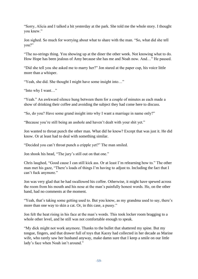"Sorry, Alicia and I talked a bit yesterday at the park. She told me the whole story. I thought you knew."

Jon sighed. So much for worrying about what to share with the man. "So, what did she tell you?"

"The no-strings thing. You showing up at the diner the other week. Not knowing what to do. How Hope has been jealous of Amy because she has me and Noah now. And…" He paused.

"Did she tell you she asked me to marry her?" Jon stared at the paper cup, his voice little more than a whisper.

"Yeah, she did. She thought I might have some insight into…"

"Into why I want…"

"Yeah." An awkward silence hung between them for a couple of minutes as each made a show of drinking their coffee and avoiding the subject they had come here to discuss.

"So, do you? Have some grand insight into why I want a marriage in name only?"

"Because you're still being an asshole and haven't dealt with your shit yet."

Jon wanted to throat punch the other man. What did he know? Except that was just it. He did know. Or at least had to deal with something similar.

"Decided you can't throat punch a cripple yet?" The man smiled.

Jon shook his head, "The jury's still out on that one."

Chris laughed, "Good cause I can still kick ass. Or at least I'm relearning how to." The other man met his gaze, "There's loads of things I'm having to adjust to. Including the fact that I can't fuck anymore."

Jon was very glad that he had swallowed his coffee. Otherwise, it might have spewed across the room from his mouth and his nose at the man's painfully honest words. He, on the other hand, had no comments at the moment.

"Yeah, that's taking some getting used to. But you know, as my grandma used to say, there's more than one way to skin a cat. Or, in this case, a pussy."

Jon felt the heat rising in his face at the man's words. This took locker room bragging to a whole other level, and he still was not comfortable enough to speak.

"My dick might not work anymore. Thanks to the bullet that shattered my spine. But my tongue, fingers, and that drawer full of toys that Kacey had collected in her decade as Marine wife, who rarely saw her husband anyway, make damn sure that I keep a smile on our little lady's face when Noah isn't around."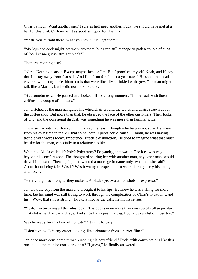Chris paused, "Want another one? I sure as hell need another. Fuck, we should have met at a bar for this chat. Caffeine isn't as good as liquor for this talk."

"Yeah, you're right there. What you havin"? I'll get them."

"My legs and cock might not work anymore, but I can still manage to grab a couple of cups of Joe. Let me guess, straight black?"

"Is there anything else?"

"Nope. Nothing beats it. Except maybe Jack or Jim. But I promised myself, Noah, and Kacey that I'd stay away from that shit. And I'm clean for almost a year now." He shook his head covered with long, surfer blond curls that were liberally sprinkled with grey. The man might talk like a Marine, but he did not look like one.

"But sometimes…" He paused and looked off for a long moment. "I'll be back with those coffees in a couple of minutes."

Jon watched as the man navigated his wheelchair around the tables and chairs strewn about the coffee shop. But more than that, he observed the face of the other customers. Their looks of pity, and the occasional disgust, was something he was more than familiar with.

The man's words had shocked him. To say the least. Though why he was not sure. He knew from his own time in the VA that spinal cord injuries could cause… Damn, he was having trouble with words today. Impotence. Erectile disfunction. He tried to imagine what that must be like for the man, especially in a relationship like…

What had Alicia called it? Poly? Polyamory? Polyandry, that was it. The idea was way beyond his comfort zone. The thought of sharing her with another man, any other man, would drive him insane. Then, again, if he wanted a marriage in name only, what had she said? About it not being fair. Was it? Was it wrong to expect her to wear his ring, carry his name, and not…?

"Here you go, as strong as they make it. A black eye, two added shots of expresso."

Jon took the cup from the man and brought it to his lips. He knew he was stalling for more time, but his mind was still trying to work through the complexities of Chris's situation…and his. "Wow, that shit is strong," he exclaimed as the caffeine hit his senses.

"Yeah, I'm breaking all the rules today. The docs say no more than one cup of coffee per day. That shit is hard on the kidneys. And since I also pee in a bag, I gotta be careful of those too."

Was he ready for this kind of honesty? "It can't be easy."

"I don't know. Is it any easier looking like a character from a horror film?"

Jon once more considered throat punching his new 'friend.' Fuck, with conversations like this one, could the man be considered that? "I guess," he finally answered.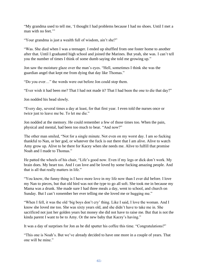"My grandma used to tell me, 'I thought I had problems because I had no shoes. Until I met a man with no feet."

"Your grandma is just a wealth full of wisdom, ain't she?"

"Was. She died when I was a teenager. I ended up shuffled from one foster home to another after that. Until I graduated high school and joined the Marines. But yeah, she was. I can't tell you the number of times I think of some dumb saying she told me growing up."

Jon saw the moisture glaze over the man's eyes. "Hell, sometimes I think she was the guardian angel that kept me from dying that day like Thomas."

"Do you ever…" the words were out before Jon could stop them.

"Ever wish it had been me? That I had not made it? That I had been the one to die that day?"

Jon nodded his head slowly.

"Every day, several times a day at least, for that first year. I even told the nurses once or twice just to leave me be. To let me die."

Jon nodded at the memory. He could remember a few of those times too. When the pain, physical and mental, had been too much to bear. "And now?"

The other man smiled, "Not for a single minute. Not even on my worst day. I am so fucking thankful to Nan, or her god, or whatever the fuck is out there that I am alive. Alive to watch Amy grow up. Alive to be there for Kacey when she needs me. Alive to fulfill that promise Noah and I made to Thomas."

He patted the wheels of his chair, "Life's good now. Even if my legs or dick don't work. My brain does. My heart too. And I can love and be loved by some fucking amazing people. And that is all that really matters in life."

"You know, the funny thing is I have more love in my life now than I ever did before. I love my Nan to pieces, but that old bird was not the type to go all soft. She took me in because my Mama was a drunk. She made sure I had three meals a day, went to school, and church on Sunday. But I can't remember her ever telling me she loved me or hugging me."

"When I fell, it was the old 'big boys don't cry' thing. Like I said, I love the woman. And I know she loved me too. She was sixty years old, and she didn't have to take me in. She sacrificed not just her golden years but money she did not have to raise me. But that is not the kinda parent I want to be to Amy. Or the new baby that Kacey's having."

It was a day of surprises for Jon as he did sputter his coffee this time. "Congratulations?"

"This one is Noah's. But we've already decided to have one more in a couple of years. That one will be mine."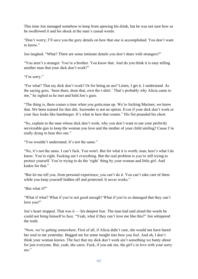This time Jon managed somehow to keep from spewing his drink, but he was not sure how as he swallowed it and his shock at the man's casual words.

"Don't worry; I'll save you the gory details on how that one is accomplished. You don't want to know."

Jon laughed. "What? There are some intimate details you don't share with strangers?"

"You aren't a stranger. You're a brother. You know that. And do you think it is easy telling another man that your dick don't work?"

"I'm sorry."

"For what? That my dick don't work? Or for being an ass? Listen, I get it. I understand. As the saying goes, 'been there, done that, own the t-shirt.' That's probably why Alicia came to me," he sighed as he met and held Jon's gaze.

"The thing is, there comes a time when you gotta man up. We're fucking Marines; we know that. We been trained for that shit. Surrender is not an option. Even if your dick don't work or your face looks like hamburger. It's what in here that counts." His fist pounded his chest.

"So, explain to the man whose dick don't work, why you don't want to use your perfectly serviceable gun to keep the woman you love and the mother of your child smiling? Cause I'm really dying to hear this one."

"You wouldn't understand. It's not the same."

"No, it's not the same. I can't fuck. You won't. But for what it is worth, man, here's what I do know. You're right. Fucking ain't everything. But the real problem is you're still trying to protect yourself. You're trying to do the 'right' thing by your woman and little girl. And kudos for that."

"But let me tell you, from personal experience, you can't do it. You can't take care of them while you keep yourself hidden off and protected. It never works."

"But what if?"

"What if what? What if you're not good enough? What if you're so damaged that they can't love you?"

Jon's heart stopped. That was it — his deepest fear. The man had said aloud the words he could not bring himself to face. "Yeah, what if they can't love me like this?" Jon whispered the truth.

"Now, we're getting somewhere. First of all, if Alicia didn't care, she would not have bared her soul to me yesterday. Begged me for some insight into how you feel. And oh, I don't think your woman knows. The fact that my dick don't work ain't something we banty about for just everyone. But, yeah, she cares. Fuck, if you ask me, the girl's in love with your sorry ass."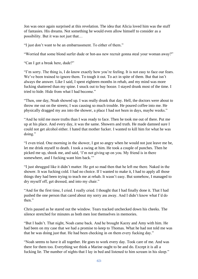Jon was once again surprised at this revelation. The idea that Alicia loved him was the stuff of fantasies. His dreams. Not something he would even allow himself to consider as a possibility. But it was not just that…

"I just don't want to be an embarrassment. To either of them."

"Worried that some blond surfer dude or hot-ass new recruit gonna steal your woman away?"

"Can I get a break here, dude?"

"I'm sorry. The thing is, I do know exactly how you're feeling. It is not easy to face our fears. We've been trained to ignore them. To tough it out. To act in spite of them. But that isn't always the answer. Like I said, I spent eighteen months in rehab, and my mind was more fucking shattered than my spine. I snuck out to buy booze. I stayed drunk most of the time. I tried to hide. Hide from what I had become."

"Then, one day, Noah showed up. I was really drunk that day. Hell, the doctors were about to throw me out on the streets; I was causing so much trouble. He poured coffee into me. He physically dragged my ass into the shower, a place I had not been in days, maybe weeks."

"And he told me more truths than I was ready to face. Then he took me out of there. Put me up at his place. And every day, it was the same. Showers and truth. He made damned sure I could not get alcohol either. I hated that mother fucker. I wanted to kill him for what he was doing."

"I even tried. One morning in the shower, I got so angry when he would not just leave me be, let me drink myself to death. I took a swing at him. He took a couple of punches. Then he picked me up, shook me, and said, 'I'm not giving up on you. My friend is in there somewhere, and I fucking want him back."

"I just shrugged like it didn't matter. He got so mad then that he left me there. Naked in the shower. It was fucking cold. I had no choice. If I wanted to make it, I had to apply all those things they had been trying to teach me at rehab. It wasn't easy. But somehow, I managed to dry myself off, get dressed, and into my chair."

"And for the first time, I cried. I really cried. I thought that I had finally done it. That I had pushed the one person that cared about my sorry ass away. And I didn't know what I'd do then"

Chris paused as he stared out the window. Tears tracked unchecked down his cheeks. The silence stretched for minutes as both men lost themselves in memories.

"But I hadn't. That night, Noah came back. And he brought Kacey and Amy with him. He had been on my case that we had a promise to keep to Thomas. What he had not told me was that he was doing just that. He had been checking in on them every fucking day."

"Noah seems to have it all together. He goes to work every day. Took care of me. And was there for them too. Everything we think a Marine ought to be and do. Except it is all a fucking lie. The number of nights that I lay in bed and listened to him scream in his sleep."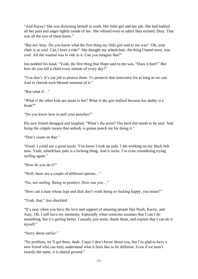"And Kacey? She was drowning herself in work. Her little girl and her job. She had bottled all her pain and anger tightly inside of her. She refused even to admit they existed. Duty. That was all the two of them knew."

"But not Amy. Do you know what the first thing my little girl said to me was? 'Oh, your chair is so cool. Can I have a ride?' She thought my wheelchair, the thing I hated most, was cool. All she wanted was to ride in it. Can you imagine that?"

Jon nodded his head, "Yeah, the first thing that Hope said to me was, "Does it hurt?" But how do you tell a child every minute of every day?"

"You don't. It's our job to protect them. To preserve that innocence for as long as we can. And to cherish each blessed moment of it."

"But what if…"

"What if the other kids are mean to her? What if she gets bullied because her daddy is a freak?"

"Do you know how to pull your punches?"

His new friend shrugged and laughed, "What's the point? The hard shit needs to be said. And being the cripple means that nobody is gonna punch me for doing it."

"Don't count on that."

"Good. I could use a good tussle. You know I took up judo. I am working on my black belt now. Yeah, wheelchair judo is a fucking thing. And it rocks. I'm even considering trying surfing again."

"How do you do it?"

"Well, there are a couple of different options…"

"No, not surfing. Being so positive. How can you…"

"How can a man whose legs and dick don't work being so fucking happy, you mean?"

"Yeah, that," Jon chuckled.

"It's easy when you have the love and support of amazing people like Noah, Kacey, and Amy. Oh, I still have my moments. Especially when someone assumes that I can't do something, but it's getting better. I usually just smile, thank them, and explain that I can do it myself."

"Sorry about earlier."

"No problem, we'll get there, dude. Cause I don't know about you, but I'm glad to have a new friend who can truly understand what it feels like to be different. Even if we aren't exactly the same, it is shared ground."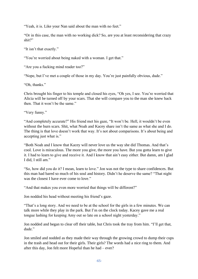"Yeah, it is. Like your Nan said about the man with no feet."

"Or in this case, the man with no working dick? So, are you at least reconsidering that crazy shit?"

"It isn't that exactly."

"You're worried about being naked with a woman. I get that."

"Are you a fucking mind reader too?"

"Nope, but I've met a couple of those in my day. You're just painfully obvious, dude."

"Oh, thanks."

Chris brought his finger to his temple and closed his eyes, "Oh yes, I see. You're worried that Alicia will be turned off by your scars. That she will compare you to the man she knew back then. That it won't be the same."

"Very funny."

"And completely accurate?" His friend met his gaze, "It won't be. Hell, it wouldn't be even without the burn scars. Shit, what Noah and Kacey share isn't the same as what she and I do. The thing is that love doesn't work that way. It's not about comparisons. It's about being and accepting just what is."

"Both Noah and I know that Kacey will never love us the way she did Thomas. And that's cool. Love is miraculous. The more you give, the more you have. But you gotta learn to give it. I had to learn to give and receive it. And I know that ain't easy either. But damn, am I glad I did, I still am."

"So, how did you do it? I mean, learn to love." Jon was not the type to share confidences. But this man had bared so much of his soul and history. Didn't he deserve the same? "That night was the closest I have ever come to love."

"And that makes you even more worried that things will be different?"

Jon nodded his head without meeting his friend's gaze.

"That's a long story. And we need to be at the school for the girls in a few minutes. We can talk more while they play in the park. But I'm on the clock today. Kacey gave me a real tongue lashing for keeping Amy out so late on a school night yesterday."

Jon nodded and began to clear off their table, but Chris took the tray from him. "I'll get that, dude."

Jon smiled and nodded as they made their way through the growing crowd to dump their cups in the trash and head out for their girls. Their girls? The words had a nice ring to them. And after this day, Jon felt more Hopeful than he had – ever?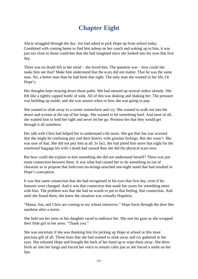## **Chapter Eight**

Alicia struggled through the day. Jon had asked to pick Hope up from school today. Combined with coming home to find him asleep on her couch and waking up to him, it was just too close to those could-bes that she had imagined since she looked into his eyes that first day.

There was no doubt left in her mind – she loved him. The question was – how could she make him see that? Make him understand that the scars did not matter. That he was the same man. No, a better man than he had been that night. The only man she wanted in her life. Or Hope's.

Her thoughts kept straying down those paths. She had messed up several orders already. She felt like a tightly capped bottle of soda. All of this was shaking and shaking her. The pressure was building up inside, and she was unsure when or how she was going to pop.

She wanted to slink away to a corner somewhere and cry. She wanted to walk out into the desert and scream at the top of her lungs. She wanted to hit something hard. And most of all, she wanted him to hold her tight and never let her go. Promise her that they would get through it all somehow.

Her talk with Chris had helped her to understand a bit more. She got that Jon was worried that she might be confusing pity and their history with genuine feelings. But she wasn't. She was sure of that. She did not pity him at all. In fact, she had pitied him more that night for the emotional baggage his wife's death had caused than she did the physical scars now.

But how could she explain to him something she did not understand herself? There was just some connection between them. It was what had caused her to do something so out of character as to propose that ludicrous no-strings-attached one-night stand that had resulted in Hope's conception.

It was that same connection that she had recognized in his eyes that first day, even if his features were changed. And it was that connection that made her yearn for something more with him. The problem was that she had no words to put to that feeling, that connection. And until she found them, she knew the situation was virtually Hopeless.

"Mama, Jon, and Chris are coming to my school tomorrow." Hope burst through the door like sunshine after a storm.

She held out her arms as her daughter raced to embrace her. She met his gaze as she wrapped their little girl in her arms. "Thank you."

She was uncertain if she was thanking him for picking up Hope at school or this most precious gift of all. Those tears that she had wanted to slink away and cry gathered in her eyes. She released Hope and brought the back of her hand up to wipe them away. She drew fresh air into her lungs and forced her voice to remain calm just as she forced a smile on her lips.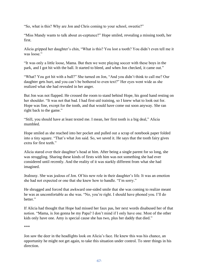"So, what is this? Why are Jon and Chris coming to your school, sweetie?"

"Miss Mandy wants to talk about ax-ceptunce?" Hope smiled, revealing a missing tooth, her first.

Alicia gripped her daughter's chin, "What is this? You lost a tooth? You didn't even tell me it was loose."

"It was only a little loose, Mama. But then we were playing soccer with these boys in the park, and I got hit with the ball. It started to bleed, and when Jon checked, it came out."

"What? You got hit with a ball?" She turned on Jon, "And you didn't think to call me? Our daughter gets hurt, and you can't be bothered to even text?" Her eyes went wide as she realized what she had revealed in her anger.

But Jon was not flapped. He crossed the room to stand behind Hope, his good hand resting on her shoulder. "It was not that bad. I had first-aid training, so I knew what to look out for. Hope was fine, except for the tooth, and that would have come out soon anyway. She ran right back to the game."

"Still, you should have at least texted me. I mean, her first tooth is a big deal," Alicia mumbled.

Hope smiled as she reached into her pocket and pulled out a scrap of notebook paper folded into a tiny square. "That's what Jon said. So, we saved it. He says that the tooth fairy gives extra for first teeth."

Alicia stared over their daughter's head at him. After being a single parent for so long, she was struggling. Sharing these kinds of firsts with him was not something she had ever considered until recently. And the reality of it was starkly different from what she had imagined.

Jealousy. She was jealous of Jon. Of his new role in their daughter's life. It was an emotion she had not expected or one that she knew how to handle. "I'm sorry."

He shrugged and forced that awkward one-sided smile that she was coming to realize meant he was as uncomfortable as she was. "No, you're right. I should have phoned you. I'll do better."

If Alicia had thought that Hope had missed her faux pas, her next words disabused her of that notion. "Mama, is Jon gonna be my Papa? I don't mind if I only have one. Most of the other kids only have one. Amy is special cause she has two, plus her daddy that died."

\*\*\*

Jon saw the deer in the headlights look on Alicia's face. He knew this was his chance, an opportunity he might not get again, to take this situation under control. To steer things in his direction.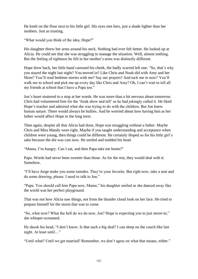He knelt on the floor next to his little girl. His eyes met hers, just a shade lighter than her mothers. Just as trusting.

"What would you think of the idea, Hope?"

His daughter threw her arms around his neck. Nothing had ever felt better. He looked up at Alicia. He could see that she was struggling to manage the situation. Well, almost nothing. But the feeling of rightness he felt in her mother's arms was distinctly different.

Hope drew back, her little hand caressed his cheek, the badly scarred left one. "So, that's why you stayed the night last night? You moved in? Like Chris and Noah did with Amy and her Mom? You'll read bedtime stories with me? Say our prayers? And tuck me in now? You'll walk me to school and pick me up every day like Chris and Amy? Oh, I can't wait to tell all my friends at school that I have a Papa too."

Jon's heart stuttered to a stop at her words. He was more than a bit nervous about tomorrow. Chris had volunteered him for the 'freak show and tell' as he had jokingly called it. He liked Hope's teacher and admired what she was trying to do with the children. But Jon knew human nature. There would always be bullies. And he worried about how having him as her father would affect Hope in the long term.

Then again, despite all that Alicia had done, Hope was struggling without a father. Maybe Chris and Miss Mandy were right. Maybe if you taught understanding and acceptance when children were young, then things could be different. He certainly Hoped so for his little girl's sake because the die was cast now. He smiled and nodded his head.

"Mama, I'm hungry. Can I eat, and then Papa take me home?"

Papa. Words had never been sweeter than those. As for the rest, they would deal with it. Somehow.

"I'll have Jorge make you some tamales. They're your favorite. But right now, take a seat and do some drawing, please. I need to talk to Jon."

"Papa. You should call him Papa now, Mama," his daughter smiled as she danced away like the world was her perfect playground.

That was not how Alicia saw things, not from the thunder cloud look on her face. He tried to prepare himself for the storm that was to come.

"So, what now? What the hell do we do now, Jon? Hope is expecting you to just move-in," she whisper-screamed.

He shook his head, "I don't know. Is that such a big deal? I can sleep on the couch like last night. At least until…"

"Until what? Until we get married? Remember, we don't agree on what that means, either."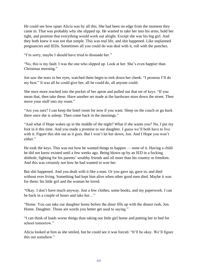He could see how upset Alicia was by all this. She had been on edge from the moment they came in. That was probably why she slipped up. He wanted to take her into his arms, hold her tight, and promise that everything would work out alright. Except she was his big girl. And they both knew it was not that simple. This was real life, and shit happened. Like unplanned pregnancies and IEDs. Sometimes all you could do was deal with it, roll with the punches.

"I'm sorry, maybe I should have tried to dissuade her."

"No, this is my fault. I was the one who slipped up. Look at her. She's even happier than Christmas morning."

Jon saw the tears in her eyes, watched them begin to trek down her cheek. "I promise I'll do my best." It was all he could give her, all he could do, all anyone could.

She once more reached into the pocket of her apron and pulled out that set of keys. "If you mean that, then take these. Have another set made at the hardware store down the street. Then move your stuff into my room."

"Are you sure? I can keep the hotel room for now if you want. Sleep on the couch or go back there once she is asleep. Then come back in the mornings."

"And what if Hope wakes up in the middle of the night? What if she wants you? No, I put my foot in it this time. And you made a promise to our daughter. I guess we'll both have to live with it. Figure this shit out as it goes. But I won't let her down, Jon. And I Hope you won't either."

He took the keys. This was not how he wanted things to happen — none of it. Having a child he did not know existed until a few weeks ago. Being blown up by an IED in a fucking shithole, fighting for his parents' wealthy friends and oil more than his country or freedom. And this was certainly not how he had wanted to woe her.

But shit happened. And you dealt with it like a man. Or you gave up, gave in, and died without ever living. Something had kept him alive when other good men died. Maybe it was for them: his little girl and the woman he loved.

"Okay. I don't have much anyway. Just a few clothes, some books, and my paperwork. I can be back in a couple of hours and take her…"

"Home. You can take our daughter home before the diner fills up with the dinner rush, Jon. Home. Daughter. Those are words you better get used to saying."

"I can think of loads worse things than taking our little girl home and putting her to bed for school tomorrow."

Alicia looked at him as she smiled, but he could see it was forced. "It'll be okay. We'll figure this out somehow."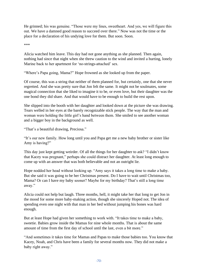He grinned; his was genuine. "Those were my lines, sweetheart. And yes, we will figure this out. We have a damned good reason to succeed over there." Now was not the time or the place for a declaration of his undying love for them. But soon. Soon.

\*\*\*

Alicia watched him leave. This day had not gone anything as she planned. Then again, nothing had since that night when she threw caution to the wind and invited a hurting, lonely Marine back to her apartment for 'no-strings-attached' sex.

"Where's Papa going, Mama?" Hope frowned as she looked up from the paper.

Of course, this was a string that neither of them planned for, but certainly, one that she never regretted. And she was pretty sure that Jon felt the same. It might not be soulmates, some magical connection that she liked to imagine it to be, or even love, but their daughter was the one bond they did share. And that would have to be enough to build the rest upon.

She slipped into the booth with her daughter and looked down at the picture she was drawing. Tears welled in her eyes at the barely recognizable stick people. The way that the man and woman were holding the little girl's hand between them. She smiled to see another woman and a bigger boy in the background as well.

"That's a beautiful drawing, Preciosa."

"It's our new family. How long until you and Papa get me a new baby brother or sister like Amy is having?"

This day just kept getting weirder. Of all the things for her daughter to ask? "I didn't know that Kacey was pregnant," perhaps she could distract her daughter. At least long enough to come up with an answer that was both believable and not an outright lie.

Hope nodded her head without looking up. "Amy says it takes a long time to make a baby. But she said it was going to be her Christmas present. Do I have to wait until Christmas too, Mama? Or can I have my baby sooner? Maybe for my birthday? That's still a long time away."

Alicia could not help but laugh. Three months, hell, it might take her that long to get Jon in the mood for some more baby-making action, though she sincerely Hoped not. The idea of spending even one night with that man in her bed without jumping his bones was hard enough.

But at least Hope had given her something to work with. "It takes time to make a baby, sweetie. Babies grow inside the Mamas for nine whole months. That is about the same amount of time from the first day of school until the last, even a bit more."

"And sometimes it takes time for Mamas and Papas to make those babies too. You know that Kacey, Noah, and Chris have been a family for several months now. They did not make a baby right away."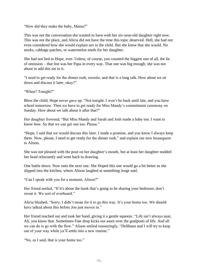"How did they make the baby, Mama?"

This was not the conversation she wanted to have with her six-year-old daughter right now. This was not the place, and Alicia did not have the time this topic deserved. Hell, she had not even considered how she would explain sex to the child. But she knew that she would. No storks, cabbage patches, or watermelon seeds for her daughter.

She had not lied to Hope, ever. Unless, of course, you counted the biggest one of all, the lie of omission – that Jon was her Papa in every way. That one was big enough; she was not about to add this sin to it.

"I need to get ready for the dinner rush, sweetie, and that is a long talk. How about we sit down and discuss it later, okay?"

"When? Tonight?"

Bless the child; Hope never gave up. "Not tonight. I won't be back until late, and you have school tomorrow. Then we have to get ready for Miss Mandy's commitment ceremony on Sunday. How about we talk about it after that?"

Her daughter frowned, "But Miss Mandy and Sarah and Josh made a baby too. I want to know how. So that we can get one too. Please."

"Hope, I said that we would discuss this later. I made a promise, and you know I always keep them. Now, please, I need to get ready for the dinner rush," and explain our new houseguest to Alison.

She was not pleased with the pout on her daughter's mouth, but at least her daughter nodded her head reluctantly and went back to drawing.

One battle down. Now onto the next one. She Hoped this one would go a bit better as she slipped into the kitchen, where Alison laughed at something Jorge said.

"Can I speak with you for a moment, Alison?"

Her friend smiled, "If it's about the hunk that's going to be sharing your bedroom, don't sweat it. We sort of overheard."

Alicia blushed, "Sorry, I didn't mean for it to go this way. It's your home too. We should have talked about this before Jon just moves in."

Her friend reached out and took her hand, giving it a gentle squeeze. "Life isn't always neat, Ali, you know that. Sometimes Fate drop kicks our asses over the goalposts of life. And all we can do is go with the flow." Alison smiled reassuringly, "DeShaun and I will try to keep out of your way while ya'll settle into a new routine."

"No, as I said, that is your home too."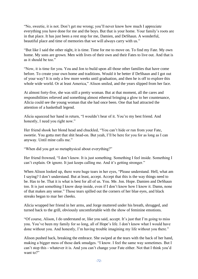"No, sweetie, it is not. Don't get me wrong; you'll never know how much I appreciate everything you have done for me and the boys. But that is your home. Your family's roots are in that place. It has just been a rest stop for me, Damien, and DeShaun. A wonderful, beautiful place and time of memories that we will always carry with us."

"But like I said the other night, it is time. Time for me to move on. To find my Fate. My own home. My sons are grown. Men with lives of their own and their Fates to live out. And that is as it should be too."

"Now, it is time for you. You and Jon to build upon all those other families that have come before. To create your own home and traditions. Would it be better if DeShaun and I got out of your way? It is only a few more weeks until graduation, and then he is off to explore this whole wide world. Or at least America," Alison smiled, and the years slipped from her face.

At almost forty-five, she was still a pretty woman. But at that moment, all the cares and responsibilities relieved and something almost ethereal bringing a glow to her countenance, Alicia could see the young woman that she had once been. One that had attracted the attention of a basketball legend.

Alicia squeezed her hand in return, "I wouldn't hear of it. You're my best friend. And honestly, I need you right now."

Her friend shook her blond head and chuckled, "You can't hide or run from your Fate, sweetie. You gotta met that shit head-on. But yeah, I'll be here for you for as long as I can anyway. Until mine calls me."

"When did you get so metaphysical about everything?"

Her friend frowned, "I don't know. It is just something. Something I feel inside. Something I can't explain. Or ignore. It just keeps calling me. And it's getting stronger."

When Alison looked up, there were huge tears in her eyes, "Please understand. Hell, what am I saying? I don't understand. But at least, accept. Accept that this is the way things need to be. Has to be. That it is what is best for all of us. You. Me. Jon. Hope. Damien and DeShaun too. It is just something I know deep inside, even if I don't know how I know it. Damn, none of that makes any sense." Those tears spilled out the corners of her blue eyes, and black streaks began to mar her cheeks.

Alicia wrapped her friend in her arms, and Jorge muttered under his breath, shrugged, and turned back to the grill, obviously uncomfortable with the show of feminine emotions.

"Of course, Alison, I do understand or, like you said, accept. It's just that I'm going to miss you. You've been my family for so long, all of Hope's life. I don't know what I would have done without you. And honestly, I'm having trouble imagining my life without you there."

Alison pushed back, breaking the embrace. She swiped at the tears with the back of her hand, making a bigger mess of those dark smudges. "I know. I feel the same way sometimes. But I can't stop this - whatever it is. And you can't change your Fate either. Not that I think you'd want  $to$ ?"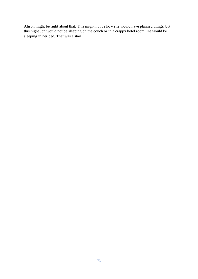Alison might be right about that. This might not be how she would have planned things, but this night Jon would not be sleeping on the couch or in a crappy hotel room. He would be sleeping in her bed. That was a start.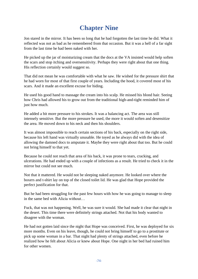## **Chapter Nine**

Jon stared in the mirror. It has been so long that he had forgotten the last time he did. What it reflected was not as bad as he remembered from that occasion. But it was a hell of a far sight from the last time he had been naked with her.

He picked up the jar of moisturizing cream that the docs at the VA insisted would help soften the scars and stop itching and oversensitivity. Perhaps they were right about that one thing. His reflection certainly would suggest so.

That did not mean he was comfortable with what he saw. He wished for the pressure shirt that he had worn for most of that first couple of years. Including the hood, it covered most of his scars. And it made an excellent excuse for hiding.

He used his good hand to massage the cream into his scalp. He missed his blond hair. Seeing how Chris had allowed his to grow out from the traditional high-and-tight reminded him of just how much.

He added a bit more pressure to his strokes. It was a balancing act. The area was still intensely sensitive. But the more pressure he used, the more it would soften and desensitize the area. He moved down to his neck and then his shoulders.

It was almost impossible to reach certain sections of his back, especially on the right side, because his left hand was virtually unusable. He toyed as he always did with the idea of allowing the damned docs to amputate it. Maybe they were right about that too. But he could not bring himself to that yet.

Because he could not reach that area of his back, it was prone to tears, cracking, and ulcerations. He had ended up with a couple of infections as a result. He tried to check it in the mirror but could not see much.

Not that it mattered. He would not be sleeping naked anymore. He looked over where the boxers and t-shirt lay on top of the closed toilet lid. He was glad that Hope provided the perfect justification for that.

But he had been struggling for the past few hours with how he was going to manage to sleep in the same bed with Alicia without…

Fuck, that was not happening. Well, he was sure it would. She had made it clear that night in the desert. This time there were definitely strings attached. Not that his body wanted to disagree with the woman.

He had not gotten laid since the night that Hope was conceived. First, he was deployed for six more months. Even on his leave, though, he could not bring himself to go to a prostitute or pick up some woman in a bar. That night had plenty of strings attached, even before he realized how he felt about Alicia or knew about Hope. One night in her bed had ruined him for other women.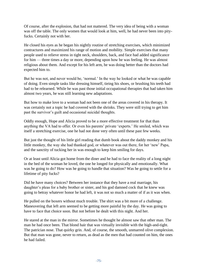Of course, after the explosion, that had not mattered. The very idea of being with a woman was off the table. The only women that would look at him, well, he had never been into pityfucks. Certainly not with her.

He closed his eyes as he began his nightly routine of stretching exercises, which minimized contractures and maximized his range of motion and mobility. Simple exercises that many people used to relieve stress in tight neck, shoulders, back, and face had added significance for him — three times a day or more, depending upon how he was feeling. He was almost religious about them. And except for his left arm, he was doing better than the doctors had expected him to.

But he was not, and never would be, 'normal.' In the way he looked or what he was capable of doing. Even simple tasks like dressing himself, tieing his shoes, or brushing his teeth had had to be relearned. While he was past those initial occupational therapies that had taken him almost two years, he was still learning new adaptations.

But how to make love to a woman had not been one of the areas covered in his therapy. It was certainly not a topic he had covered with the shrinks. They were still trying to get him past the survivor's guilt and occasional suicidal thoughts.

Oddly enough, Hope and Alicia proved to be a more effective treatment for that than anything the VA had to offer. Or even his parents' private 'experts.' He smiled, which was itself a stretching exercise, one he had not done very often until these past few weeks.

But just the thought of his little girl reading that dumb book about the daddy monkey and his little monkey, the way she had thanked god, or whatever was out there, for her 'new' Papa, and the sanctity of tucking her in was enough to keep him smiling for days.

Or at least until Alicia got home from the diner and he had to face the reality of a long night in the bed of the woman he loved, the one he longed for physically and emotionally. What was he going to do? How was he going to handle that situation? Was he going to settle for a lifetime of pity fucks?

Did he have many choices? Between her instance that they have a real marriage, his daughter's pleas for a baby brother or sister, and his god damned cock that he knew was going to betray whatever honor he had left, it was not so much a matter of if as it was when.

He pulled on the boxers without much trouble. The shirt was a bit more of a challenge. Maneuvering that left arm seemed to be getting more painful by the day. He was going to have to face that choice soon. But not before he dealt with this night. And her.

He stared at the man in the mirror. Sometimes he thought he almost saw that other man. The man he had once been. That blond hair that was virtually invisible with the high-and-tight. The patrician nose. That quirky grin. And, of course, the smooth, unmarred olive complexion. But that man was gone, never to return, as dead as the men that had counted on him, the ones he had failed.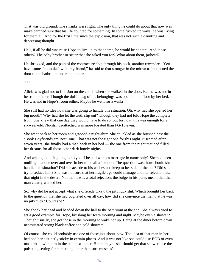That was old ground. The shrinks were right. The only thing he could do about that now was make damned sure that his life counted for something. In some fucked up ways, he was living for them all. And for the first time since the explosion, that was not such a daunting and depressing thought.

Hell, if all he did was raise Hope to live up to that name, he would be content. And those others? The baby brother or sister that she asked you for? What about them, jarhead?

He shrugged, and the pain of the contracture shot through his back, another reminder. "You have some shit to deal with, my friend," he said to that stranger in the mirror as he opened the door to the bathroom and ran into her.

\*\*\*

Alicia was glad not to find Jon on the couch when she walked in the door. But he was not in her room either. Though the duffle bag of his belongings was open on the floor by her bed. He was not in Hope's room either. Maybe he went for a walk?

She still had no idea how she was going to handle this situation. Oh, why had she opened her big mouth? Why had she let the truth slip out? Though they had not told Hope the complete truth. She knew that one day they would have to do so, but for now, this was enough for a six-year-old. No-strings-attached was more R-rated than PG-13 even.

She went back to her room and grabbed a night-shirt. She chuckled as she brushed past the 'Book Boyfriends are Best' one. That was not the right one for this night. It seemed after seven years, she finally had a man back in her bed — the one from the night that had filled her dreams for all those other dark lonely nights.

And what good is it going to do you if he still wants a marriage in name only? She had been mulling that one over and over in her mind all afternoon. The question was: how should she handle this situation? Did she accede to his wishes and keep to her side of the bed? Did she try to seduce him? She was not sure that her fragile ego could manage another rejection like that night in the desert. Not that it was a total rejection; the bulge in his pants meant that the man clearly wanted her.

So, why did he not accept what she offered? Okay, the pity fuck shit. Which brought her back to the question that she had cogitated over all day, how did she convince the man that he was no pity fuck? Could she?

She shook her head and headed down the hall to the bathroom at the end. She always tried to set a good example for Hope, brushing her teeth morning and night. Maybe even a shower? Though usually, she got those in the morning to wake her up. Being at the diner before dawn necessitated strong black coffee and cold showers.

Of course, she could probably use one of those just about now. The idea of that man in her bed had her distinctly sticky in certain places. And it was not like she could use BOB or even masturbate with him in the bed next to her. Hmm, maybe she should get that shower, use the pulsating setting for something other than sore muscles?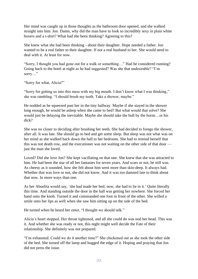Her mind was caught up in those thoughts as the bathroom door opened, and she walked straight into him. Jon. Damn, why did the man have to look so incredibly sexy in plain white boxers and a t-shirt? What had she been thinking? Agreeing to this?

She knew what she had been thinking - about their daughter. Hope needed a father. Jon wanted to be a real father to their daughter. If not a real husband to her. She would need to deal with it. At least for now.

"Sorry, I thought you had gone out for a walk or something…" Had he considered running? Going back to the hotel at night as he had suggested? Was she that undesirable? "I'm sorry…"

"Sorry for what, Alicia?"

"Sorry for getting us into this mess with my big mouth. I don't know what I was thinking," she was rambling. "I should brush my teeth. Take a shower, maybe."

He nodded as he squeezed past her in the tiny hallway. Maybe if she stayed in the shower long enough, he would be asleep when she came to bed? But what would that solve? She would just be delaying the inevitable. Maybe she should take the bull by the horns…or his dick?

She was no closer to deciding after brushing her teeth. She had decided to forego the shower, after all. It was late. She should go to bed and get some sleep. But sleep was not what was on her mind as she walked back down the hall to her bedroom. She had to remind herself that this was not death row, and the executioner was not waiting on the other side of that door just the man she loved.

Loved? Did she love Jon? She kept vacillating on that one. She knew that she was attracted to him. He had been the star of all her fantasies for seven years. And scars or not, he still was. As cheesy as it sounded, how she felt about him went more than skin-deep. It always had. Whether that was love or not, she did not know. And it was too damned late to think about that now. In more ways than one.

As her Abuelita would say, 'she had made her bed; now, she had to lie in it.' Quite literally this time. And standing outside the door in the hall was getting her nowhere. She forced her hand onto the knob. Turned it and commanded one foot in front of the other. She willed a smile onto her lips as well when she saw him sitting up on the side of the bed.

He turned when he heard her enter, "I thought we should talk."

Alicia's heart stopped. Her throat tightened, and all she could do was nod her head. This was it. And whether she was ready or not, this night might well decide the Fate of their relationship. She definitely was not prepared.

"I'm exhausted. Could we do it another time?" She chickened out as she took the other side of the bed. She turned off the lamp and hugged the edge of it. Hoping and praying that Jon did not press the issue.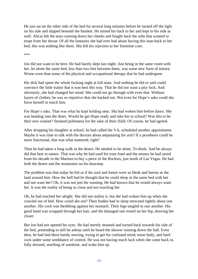He just sat on the other side of the bed for several long minutes before he turned off the light on his side and slipped beneath the blanket. He turned his back to her and kept to his side as well. Alicia felt the tears running down her cheeks and fought back the sobs that wanted to erupt from her throat. Of all the fantasies she had ever had about having this man back in her bed, this was nothing like them. She felt his rejection to her feminine core.

\*\*\*

Jon did not want to be here. He had barely slept last night. Just being in the same room with her, let alone the same bed, less than two feet between them, was some new form of torture. Worse even than some of the physical and occupational therapy that he had undergone.

His dick had spent the whole fucking night at full mast. And nothing he did or said could convince the little traitor that it was best this way. That he did not want a pity fuck. And obviously, she had changed her mind. She could not go through with even that. Without layers of clothes, he was so repulsive that she backed out. Not even for Hope's sake could she force herself to touch him.

For Hope's sake. That was what he kept holding onto. She had woken him before dawn. She was heading into the diner. Would he get Hope ready and take her to school? Was this to be their new routine? Strained politeness for the sake of their child. Of course, he had agreed.

After dropping his daughter at school, he had called the VA, scheduled another appointment. Maybe it was time to talk with the doctors about amputating his arm? If a prosthesis could be more functional, that was what mattered, right?

Then he had taken a long walk in the desert. He needed to be alone. To think. And he always did that best in nature. That was why he had used his trust fund and the money he had saved from his decade in the Marines to buy a piece of the Rockies, just north of Las Vegas. He had both the desert and the mountains on his doorstep.

The problem was that today he felt as if his soul and future were as bleak and barren as the land around him. How the hell had he thought that he could sleep in the same bed with her and not want her? Oh, it was not just the wanting. He had known that he would always want her. It was the reality of being so close and not touching her.

Oh, he had touched her alright. She did not realize it, but she had woken him up when she crawled out of bed. How could she not? Their bodies had in sleep entwined tightly about one another. His cock was throbbing against her stomach. Their legs tangled in one another. His good hand was wrapped through her hair, and the damaged one rested on her hip, drawing her closer.

But Jon had not opened his eyes. He had merely moaned and turned back towards his side of the bed, pretending to still be asleep until he heard the shower running down the hall. Even then, he had laid there barely moving, trying to get his confused mind, tense body, and hard cock under some semblance of control. He was not having much luck when she came back in, fully dressed, smelling of sunshine, and woke him up.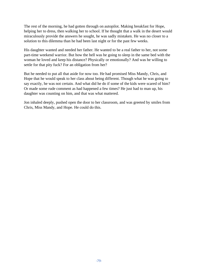The rest of the morning, he had gotten through on autopilot. Making breakfast for Hope, helping her to dress, then walking her to school. If he thought that a walk in the desert would miraculously provide the answers he sought, he was sadly mistaken. He was no closer to a solution to this dilemma than he had been last night or for the past few weeks.

His daughter wanted and needed her father. He wanted to be a real father to her, not some part-time weekend warrior. But how the hell was he going to sleep in the same bed with the woman he loved and keep his distance? Physically or emotionally? And was he willing to settle for that pity fuck? For an obligation from her?

But he needed to put all that aside for now too. He had promised Miss Mandy, Chris, and Hope that he would speak to her class about being different. Though what he was going to say exactly, he was not certain. And what did he do if some of the kids were scared of him? Or made some rude comment as had happened a few times? He just had to man up, his daughter was counting on him, and that was what mattered.

Jon inhaled deeply, pushed open the door to her classroom, and was greeted by smiles from Chris, Miss Mandy, and Hope. He could do this.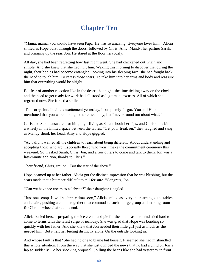### **Chapter Ten**

"Mama, mama, you should have seen Papa. He was so amazing. Everyone loves him," Alicia smiled as Hope burst through the doors, followed by Chris, Amy, Mandy, her partner Sarah, and bringing up the rear, Jon. He stared at the floor nervously.

All day, she had been regretting how last night went. She had chickened out. Plain and simple. And she knew that she had hurt him. Waking this morning to discover that during the night, their bodies had become entangled, looking into his sleeping face, she had fought back the need to touch him. To caress those scars. To take him into her arms and body and reassure him that everything would be alright.

But fear of another rejection like in the desert that night, the time ticking away on the clock, and the need to get ready for work had all stood as legitimate excuses. All of which she regretted now. She forced a smile.

"I'm sorry, Jon. In all the excitement yesterday, I completely forgot. You and Hope mentioned that you were talking to her class today, but I never found out about what?"

Chris and Sarah answered for him, high-fiving as Sarah shook her hips, and Chris did a bit of a wheely in the limited space between the tables. "Get your freak on," they laughed and sang as Mandy shook her head. Amy and Hope giggled.

"Actually, I wanted all the children to learn about being different. About understanding and accepting those who are. Especially those who won't make the commitment ceremony this weekend. So, I asked Sarah, Chris, Jon, and a few others to come and talk to them. Jon was a last-minute addition, thanks to Chris."

Their friend, Chris, smiled, "But the star of the show."

Hope beamed up at her father. Alicia got the distinct impression that he was blushing, but the scars made that a bit more difficult to tell for sure. "Congrats, Jon."

"Can we have ice cream to celebrate?" their daughter finagled.

"Just one scoop. It will be dinner time soon," Alicia smiled as everyone rearranged the tables and chairs, pushing a couple together to accommodate such a large group and making room for Chris's wheelchair at one end.

Alicia busied herself preparing the ice cream and pie for the adults as her mind tried hard to come to terms with the latest surge of jealousy. She was glad that Hope was bonding so quickly with her father. And she knew that Jon needed their little girl just as much as she needed him. But it left her feeling distinctly alone. On the outside looking in.

And whose fault is that? She had no one to blame but herself. It seemed she had mishandled this whole situation. From the way that she just dumped the news that he had a child on Jon's lap so suddenly. To her shocking proposal. Spilling the beans like she had yesterday in front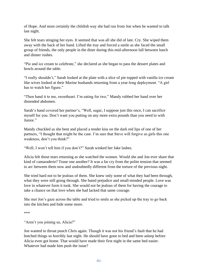of Hope. And most certainly the childish way she had run from Jon when he wanted to talk last night.

She felt tears stinging her eyes. It seemed that was all she did of late. Cry. She wiped them away with the back of her hand. Lifted the tray and forced a smile as she faced the small group of friends, the only people in the diner during this mid-afternoon lull between lunch and dinner rushes.

"Pie and ice cream to celebrate," she declared as she began to pass the dessert plates and bowls around the table.

"I really shouldn't," Sarah looked at the plate with a slice of pie topped with vanilla ice cream like wives looked at their Marine husbands returning from a year-long deployment. "A girl has to watch her figure."

"Then hand it to me, sweetheart. I'm eating for two," Mandy rubbed her hand over her distended abdomen.

Sarah's hand covered her partner's, "Well, sugar, I suppose just this once, I can sacrifice myself for you. Don't want you putting on any more extra pounds than you need to with Junior."

Mandy chuckled as she bent and placed a tender kiss on the dark red lips of one of her partners, "I thought that might be the case. I'm sure that Steve will forgive us girls this one weakness, don't you think?"

"Well, I won't tell him if you don't?" Sarah winked her fake lashes.

Alicia felt those tears returning as she watched the women. Would she and Jon ever share that kind of camaraderie? Tease one another? It was a far cry from the polite tension that seemed to arc between them now and undoubtedly different from the torture of the previous night.

She tried hard not to be jealous of them. She knew only some of what they had been through, what they were still going through. She hated prejudice and small-minded people. Love was love in whatever form it took. She would not be jealous of them for having the courage to take a chance on that love when she had lacked that same courage.

She met Jon's gaze across the table and tried to smile as she picked up the tray to go back into the kitchen and hide some more.

\*\*\*

"Aren't you joining us, Alicia?"

Jon wanted to throat punch Chris again. Though it was not his friend's fault that he had botched things so horribly last night. He should have gone to bed and been asleep before Alicia even got home. That would have made their first night in the same bed easier. Whatever had made him push the issue?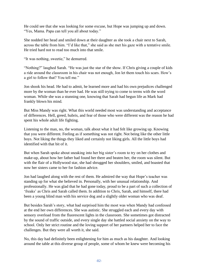He could see that she was looking for some excuse, but Hope was jumping up and down. "Yes, Mama. Papa can tell you all about today."

She nodded her head and smiled down at their daughter as she took a chair next to Sarah, across the table from him. "I'd like that," she said as she met his gaze with a tentative smile. He tried hard not to read too much into that smile.

"It was nothing, sweetie," he demurred.

"Nothing?" laughed Sarah. "He was just the star of the show. If Chris giving a couple of kids a ride around the classroom in his chair was not enough, Jon let them touch his scars. How's a girl to follow that? You tell me."

Jon shook his head. He had to admit, he learned more and had his own prejudices challenged more by the woman than he ever had. He was still trying to come to terms with the word woman. While she was a stunning one, knowing that Sarah had begun life as Mark had frankly blown his mind.

But Miss Mandy was right. What this world needed most was understanding and acceptance of differences. Hell, greed, hubris, and fear of those who were different was the reason he had spent his whole adult life fighting.

Listening to the man, no, the woman, talk about what it had felt like growing up. Knowing that you were different. Feeling as if something was not right. Not being like the other little boys. Not liking the things they liked and certainly not liking girls. All the little boys had identified with that bit of it.

But when Sarah spoke about sneaking into her big sister's room to try on her clothes and make-up, about how her father had found her there and beaten her, the room was silent. But with the flair of a Hollywood star, she had shrugged her shoulders, smiled, and boasted that now her sisters came to her for fashion advice.

Jon had laughed along with the rest of them. He admired the way that Hope's teacher was standing up for what she believed in. Personally, with her unusual relationship. And professionally. He was glad that he had gone today, proud to be a part of such a collection of 'freaks' as Chris and Sarah called them. In addition to Chris, Sarah, and himself, there had been a young blind man with his service dog and a slightly older woman who was deaf.

But besides Sarah's story, what had surprised him the most was when Mandy had confessed at the end her own differences. She was autistic. She struggled each and every day with sensory overload from the fluorescent lights in the classroom. She sometimes got distracted by the sound of traffic outside, and every single day she battled social anxiety on the way to school. Only her strict routine and the loving support of her partners helped her to face the challenges. But they were all worth it, she said.

No, this day had definitely been enlightening for him as much as his daughter. And looking around the table at this diverse group of people, some of whom he knew were becoming his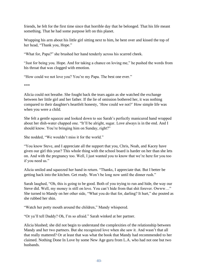friends, he felt for the first time since that horrible day that he belonged. That his life meant something. That he had some purpose left on this planet.

Wrapping his arm about his little girl sitting next to him, he bent over and kissed the top of her head, "Thank you, Hope."

"What for, Papa?" she brushed her hand tenderly across his scarred cheek.

"Just for being you. Hope. And for taking a chance on loving me," he pushed the words from his throat that was clogged with emotion.

"How could we not love you? You're my Papa. The best one ever."

\*\*\*

Alicia could not breathe. She fought back the tears again as she watched the exchange between her little girl and her father. If the lie of omission bothered her, it was nothing compared to their daughter's heartfelt honesty, 'How could we not?' How simple life was when you were a child.

She felt a gentle squeeze and looked down to see Sarah's perfectly manicured hand wrapped about her dish-water chapped one. "It'll be alright, sugar. Love always is in the end. And I should know. You're bringing him on Sunday, right?"

She nodded, "We wouldn't miss it for the world."

"You know Steve, and I appreciate all the support that you, Chris, Noah, and Kacey have given our girl this year? This whole thing with the school board is harder on her than she lets on. And with the pregnancy too. Well, I just wanted you to know that we're here for you too if you need us."

Alicia smiled and squeezed her hand in return. "Thanks, I appreciate that. But I better be getting back into the kitchen. Get ready. Won't be long now until the dinner rush."

Sarah laughed, "Oh, this is going to be good. Both of you trying to run and hide, the way our Steve did. Well, my money is still on love. You can't hide from that shit forever. Owww…" She turned to Mandy on her other side, "What you do that for, darling? It hurt," she pouted as she rubbed her shin.

"Watch her potty mouth around the children," Mandy whispered.

"Or ya'll tell Daddy? Oh, I'm so afraid." Sarah winked at her partner.

Alicia blushed; she did not begin to understand the complexities of the relationship between Mandy and her two partners. But she recognized love when she saw it. And wasn't that all that really mattered? Or at least that was what the book that Mandy had recommended to her claimed. Nothing Done In Love by some New Age guru from L.A. who had not one but two husbands.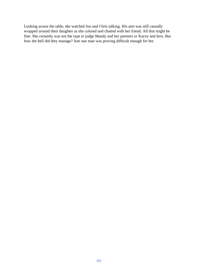Looking across the table, she watched Jon and Chris talking. His arm was still casually wrapped around their daughter as she colored and chatted with her friend. All that might be fine. She certainly was not the type to judge Mandy and her partners or Kacey and hers. But how the hell did they manage? Just one man was proving difficult enough for her.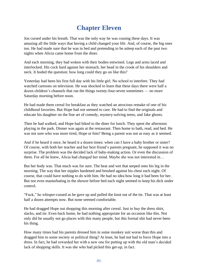### **Chapter Eleven**

Jon cursed under his breath. That was the only way he was cussing these days. It was amazing all the little ways that having a child changed your life. And, of course, the big ones too. He had made sure that he was in bed and pretending to be asleep each of the past two nights when Alicia came home from the diner.

And each morning, they had woken with their bodies entwined. Legs and arms laced and interlocked. His cock hard against her stomach, her head in the crook of his shoulders and neck. It boded the question: how long could they go on like this?

Yesterday had been his first full day with his little girl. No school to interfere. They had watched cartoons on television. He was shocked to learn that these days there were half a dozen children's channels that ran the things twenty-four-seven sometimes — no more Saturday morning before noon.

He had made them cereal for breakfast as they watched an atrocious remake of one of his childhood favorites. But Hope had not seemed to care. He had to find the originals and educate his daughter on the fine art of comedy, mystery-solving teens, and fake ghosts.

Then he had walked, and Hope had biked to the diner for lunch. They spent the afternoon playing in the park. Dinner was again at the restaurant. Then home to bath, read, and bed. He was not sure who was more tired, Hope or him? Being a parent was not as easy as it seemed.

And if he heard it once, he heard it a dozen times: when can I have a baby brother or sister? Of course, with both her teacher and her best friend's parents pregnant, he supposed it was no surprise. The problem was the decided lack of baby-making action. Or even the discussion of them. For all he knew, Alicia had changed her mind. Maybe she was not interested in…

But her body was. That much was for sure. The heat and wet that seeped onto his leg in the morning. The way that her nipples hardened and brushed against his chest each night. Of course, that could have nothing to do with him. He had no idea how long it had been for her. But not even masturbating in the shower before bed each night seemed to keep his dick under control.

"Fuck," he whisper-cussed as he gave up and pulled the knot out of the tie. That was at least half a dozen attempts now. But none seemed comfortable.

He had dragged Hope out shopping this morning after cereal. Just to buy the dress shirt, slacks, and tie. Even back home, he had nothing appropriate for an occasion like this. Not only did he usually not go places with this many people, but this formal shit had never been his thing.

How many times had his parents dressed him in some monkey suit worse than this and dragged him to some society or political thing? At least, he had not had to force Hope into a dress. In fact, he had rewarded her with a new one for putting up with the old man's decided lack of shopping skills. It was she who had picked this get-up, in fact.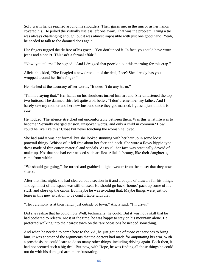Soft, warm hands reached around his shoulders. Their gazes met in the mirror as her hands covered his. He jerked the virtually useless left one away. That was the problem. Tying a tie was always challenging enough, but it was almost impossible with just one good hand. Yeah, he needed to talk to the damned docs again.

Her fingers tugged the tie free of his grasp. "You don't need it. In fact, you could have worn jeans and a t-shirt. This isn't a formal affair."

"Now, you tell me," he sighed. "And I dragged that poor kid out this morning for this crap."

Alicia chuckled, "She finagled a new dress out of the deal, I see? She already has you wrapped around her little finger."

He blushed at the accuracy of her words, "It doesn't do any harm."

"I'm not saying that." Her hands on his shoulders turned him around. She unfastened the top two buttons. The damned shirt felt quite a bit better. "I don't remember my father. And I barely saw my mother and her new husband once they got married. I guess I just think it is cute."

He nodded. The silence stretched out uncomfortably between them. Was this what life was to become? Sexually charged tension, unspoken words, and only a child in common? How could he live like this? Close but never touching the woman he loved.

She had said it was not formal, but she looked stunning with her hair up in some loose ponytail thingy. Whisps of it fell free about her face and neck. She wore a flowy hippie-type dress made of thin cotton material and sandals. As usual, her face was practically devoid of make-up. Not that she had ever needed such artifice. Alicia's beauty, like their daughter's, came from within.

"We should get going," she turned and grabbed a light sweater from the closet that they now shared.

After that first night, she had cleared out a section in it and a couple of drawers for his things. Though most of that space was still unused. He should go back 'home,' pack up some of his stuff, and close up the cabin. But maybe he was avoiding that. Maybe things were just too tense in this new situation to be comfortable with that.

"The ceremony is at their ranch just outside of town," Alicia said. "I'll drive."

Did she realize that he could not? Well, technically, he could. But it was not a skill that he had bothered to relearn. Most of the time, he was happy to stay on his mountain alone. He preferred walking into the nearest town on the rare occasions he needed something.

And when he needed to come here to the VA, he just got one of those car services to bring him. It was another of the arguments that the doctors had made for amputating his arm. With a prosthesis, he could learn to do so many other things, including driving again. Back then, it had not seemed such a big deal. But now, with Hope, he was finding all those things he could not do with his damaged arm more frustrating.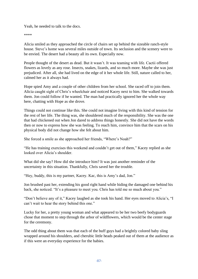Yeah, he needed to talk to the docs.

\*\*\*\*

Alicia smiled as they approached the circle of chairs set up behind the sizeable ranch-style house. Steve's home was several miles outside of town. Its seclusion and the scenery were to be envied. The desert had a beauty all its own. Especially now.

People thought of the desert as dead. But it wasn't. It was teaming with life. Cactii offered flowers as lovely as any rose. Insects, snakes, lizards, and so much more. Maybe she was just prejudiced. After all, she had lived on the edge of it her whole life. Still, nature called to her, calmed her as it always had.

Hope spied Amy and a couple of other children from her school. She raced off to join them. Alicia caught sight of Chris's wheelchair and noticed Kacey next to him. She walked towards them. Jon could follow if he wanted. The man had practically ignored her the whole way here, chatting with Hope as she drove.

Things could not continue like this. She could not imagine living with this kind of tension for the rest of her life. The thing was, she shouldered much of the responsibility. She was the one that had chickened out when Jon dared to address things honestly. She did not have the words then or now to express how she was feeling. To reach him, convince him that the scars on his physical body did not change how she felt about him.

She forced a smile as she approached her friends, "Where's Noah?"

"He has training exercises this weekend and couldn't get out of them," Kacey replied as she looked over Alicia's shoulder.

What did she say? How did she introduce him? It was just another reminder of the uncertainty in this situation. Thankfully, Chris saved her the trouble.

"Hey, buddy, this is my partner, Kacey. Kac, this is Amy's dad, Jon."

Jon brushed past her, extending his good right hand while hiding the damaged one behind his back, she noticed. "It's a pleasure to meet you. Chris has told me so much about you."

"Don't believe any of it," Kacey laughed as she took his hand. Her eyes moved to Alicia's, "I can't wait to hear the story behind this one."

Lucky for her, a pretty young woman and what appeared to be her two beefy bodyguards chose that moment to step through the arbor of wildflowers, which would be the center stage for the ceremony.

The odd thing about them was that each of the buff guys had a brightly colored baby sling wrapped around his shoulders, and cherubic little heads peaked out of them at the audience as if this were an everyday experience for the babies.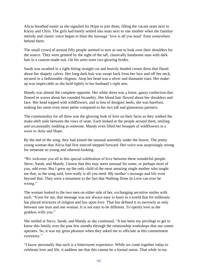Alicia breathed easier as she signaled for Hope to join them, filling the vacant seats next to Kacey and Chris. The girls had barely settled into seats next to one another when the familiar melody and classic voice began to blast the message 'love is all you need' from somewhere behind them.

The small crowd of around fifty people seemed to turn as one to look over their shoulders for the source. They were greeted by the sight of the tall, classically handsome man with dark hair in a custom-made suit. On his arms were two glowing brides.

Sarah was swathed in a tight-fitting straight cut and heavily beaded cream dress that flared about her shapely calves. Her long dark hair was swept back from her face and off her neck, secured in a fashionable chignon. Atop her head was a silver and diamante tiara. Her makeup was impeccable as she held tightly to her husband's right arm.

Mandy was almost the complete opposite. Her white dress was a loose, gauzy confection that flowed in waves about her rounded fecundity. Her blond hair flowed about her shoulders and face. Her head topped with wildflowers, and in lieu of designer heels, she was barefoot, making her seem even more petite compared to her two tall and glamorous partners.

The commonality for all three was the glowing look of love on their faces as they walked the make-shift aisle between the rows of seats. Each looked at the people around them, smiling and occasionally nodding at someone. Mandy even lifted her bouquet of wildflowers in a wave to Amy and Hope.

By the end of the song, they had joined the unusual assembly under the bower. The pretty young woman that Alicia had first noticed stepped forward. Her voice was surprisingly strong for someone so young and ethereal-looking.

"We welcome you all to this special celebration of love between these wonderful people: Steve, Sarah, and Mandy. I know that this may seem unusual for some, or perhaps most of you, odd even. But I grew up the only child of the most amazing single mother who taught me that, as the song said, love really is all you need. My mother's message and life went beyond that. They were a testament to the fact that Nothing Done In Love can ever be wrong."

The woman looked to the two men on either side of her, exchanging secretive smiles with each. "Even for me, that message was not always easy to learn in a world that for millennia has placed strictures of religion and law upon love. That has defined it so narrowly as only between one man and one woman. It is not easy to be different. To openly love as the goddess wills you."

She smiled at Steve, Sarah, and Mandy as she continued, "It has been my privilege to get to know this family over the past few months through the relationship workshops that our center operates. So, it was my great pleasure when they asked me to officiate at this commitment ceremony."

"I know personally that such is a bittersweet experience. While we come together today to celebrate love and life, it saddens me that this cannot be a formal union. That while in my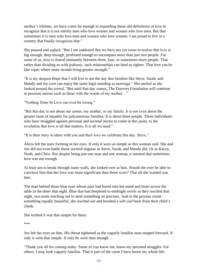mother's lifetime, we have come far enough in expanding those old definitions of love to recognize that it is not merely men who love women and women who love men. But that sometimes it is men who love men and women who love women. I am proud to live in a country that finally recognizes that."

She paused and sighed, "But I am saddened that we have not yet come to realize that love is big enough, deep enough, profound enough to encompass more than just two people. For some of us, love is shared intimately between three, four, or sometimes more people. That rather than dividing us with jealousy, such relationships can bind us tighter. That love can be like ropes where more strands bring greater strength."

"It is my deepest Hope that I will live to see the day that families like Steve, Sarah, and Mandy and my own can enjoy the same legal standing as marriage." She smiled as she looked around the crowd, "But until that day comes, The Danvers Foundation will continue to promote unions such as these with the words of my mother…"

"Nothing Done In Love can ever be wrong."

"But this day is not about our center, my mother, or my family. It is not even about the greater issue of equality for polyamorous families. It is about three people. Three individuals who have struggled against personal and societal norms to come to this point, to the revelation that love is all that matters. It is all we need."

"It is their story to share with you and their love we celebrate this day. Steve."

Alicia felt the tears forming in her eyes. If only it were as simple as this woman said. She and Jon did not even battle those societal stigmas as Steve, Sarah, and Mandy did. Or as Kacey, Noah, and Chris. But despite being just one man and one woman, it seemed that sometimes love was not enough.

At least not to break through some walls, she looked over at him. Would she ever be able to convince him that her love was more significant than those scars? That all she wanted was him.

The man behind those blue eyes whose pain had bored into her mind and heart across the table in the diner that night. Blue that had deepened to midnight swirls as they touched that night, two souls reaching out to steal something so precious. And in the process create something equally beautiful, she reached out and brushed a soft curl back from their child's cheek.

She wished it was that simple for them.

\*\*\*

Jon felt her eyes on him. His throat tightened as the vaguely familiar man stepped forward. If only it were that simple. If only he were man enough…

"Thank you all for coming today. Some of you know me, know my personal struggles. For others, I may look vaguely familiar. That is part of the curse I have borne my whole life.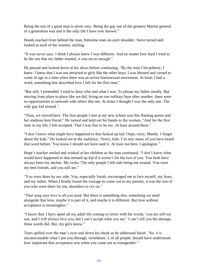Being the son of a great man is never easy. Being the gay son of the greatest Marine general of a generation was and is the only life I have ever known."

Hands reached from behind the man, feminine ones on each shoulder. Steve turned and looked at each of the women, smiling.

"It was never easy. I think I always knew I was different. And no matter how hard I tried to be the son that my father wanted, it was never enough."

He paused and looked down at his shoes before continuing, "By the time I hit puberty, I knew. I knew that I was not attracted to girls like the other boys. I was blessed and cursed to come of age in a time when there was an active homosexual movement. At least, I had a word, something that described how I felt for the first time."

"But still, I pretended. I tried to deny who and what I was. To please my father mostly. But moving from place to place like we did, living on one military base after another, there were no opportunities to network with others like me. At times I thought I was the only one. The only gay kid around."

"Then, we moved here. The first people I met at my new school was this flaming queen and her studious best friend." He turned and held out his hands to the women, "And for the first time in my life, I felt accepted. That I was free to be me. At least around them."

"I don't know what might have happened to that fucked up kid. Oops, sorry, Mandy. I forgot about the kids." He looked out at the audience, "Sorry, kids. I'm sure many of you have heard that word before. You know I should not have used it. At least not here. I apologize."

Hope's teacher smiled and winked at her children as the man continued, "I don't know what would have happened to that messed up kid if it weren't for the two of you. You both have always been my anchor. My rocks. The only people I felt safe being me around. You were my best friends, and you still are."

"You were there by my side. You, especially Sarah, encouraged me to face myself, my fears, and my father. When I finally found the courage to come out to my parents, it was the two of you who were there for me, shoulders to cry on."

"That song says love is all you need. But there is something else, something we need alongside that love, maybe it is part of it, and maybe it is different. But love without acceptance is meaningless."

"I know that. I have spent all my adult life coming to terms with the words, 'you are still my son, and I will always love you, but I can't accept what you are.' I can't tell you the damage those words did. But, my girls know."

Tears spilled over the man's eyes and down his cheek as he addressed Sarah. "So, it is unconscionable what I put you through, sweetheart. I, of all people, should have understood how important that acceptance was when you came out as transgender."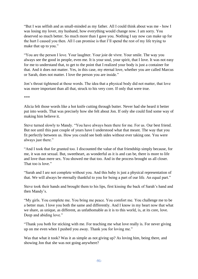"But I was selfish and as small-minded as my father. All I could think about was me - how I was losing my lover, my husband, how everything would change now. I am sorry. You deserved so much better. So much more than I gave you. Nothing I say now can make up for the hurt I caused you then. All I can promise is that I'll spend the rest of my life trying to make that up to you."

"You are the person I love. Your laughter. Your joie de vivre. Your smile. The way you always see the good in people, even me. It is your soul, your spirit, that I love. It was not easy for me to understand that, to get to the point that I realized your body is just a container for that. And it does not matter. Yes, in this case, my eternal love, whether you are called Marcus or Sarah, does not matter. I love the person you are inside."

Jon's throat tightened at those words. The idea that a physical body did not matter, that love was more important than all that, struck to his very core. If only that were true.

\*\*\*

Alicia felt those words like a hot knife cutting through butter. Never had she heard it better put into words. That was precisely how she felt about Jon. If only she could find some way of making him believe it.

Steve turned slowly to Mandy. "You have always been there for me. For us. Our best friend. But not until this past couple of years have I understood what that meant. The way that you fit perfectly between us. How you could see both sides without ever taking one. You were always just there."

"And I took that for granted too. I discounted the value of that friendship simply because, for me, it was not sexual. But, sweetheart, as wonderful as it is and can be, there is more to life and love than mere sex. You showed me that too. And in the process brought us all closer. That too is love."

"Sarah and I are not complete without you. And this baby is just a physical representation of that. We will always be eternally thankful to you for being a part of our life. An equal part."

Steve took their hands and brought them to his lips, first kissing the back of Sarah's hand and then Mandy's.

"My girls. You complete me. You bring me peace. You comfort me. You challenge me to be a better man. I love you both the same and differently. And I know in my heart now that what we share, as unique, as different, as unfathomable as it is to this world, is, at its core, love. Deep and abiding love."

"Thank you both for sticking with me. For teaching me what love really is. For never giving up on me even when I pushed you away. Thank you for loving me."

Was that what it took? Was it as simple as not giving up? As loving him, being there, and showing Jon that she was not going anywhere?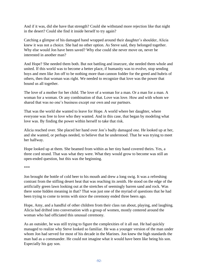And if it was, did she have that strength? Could she withstand more rejection like that night in the desert? Could she find it inside herself to try again?

Catching a glimpse of his damaged hand wrapped around their daughter's shoulder, Alicia knew it was not a choice. She had no other option. As Steve said, they belonged together. Why else would Jon have been saved? Why else could she never move on, never be interested in another man?

And Hope? She needed them both. But not battling and insecure, she needed them whole and united. If this world was to become a better place, if humanity was to evolve, stop sending boys and men like Jon off to be nothing more than cannon fodder for the greed and hubris of others, then that woman was right. We needed to recognize that love was the power that bound us all together.

The love of a mother for her child. The love of a woman for a man. Or a man for a man. A woman for a woman. Or any combination of that. Love was love. How and with whom we shared that was no one's business except our own and our partners.

That was the world she wanted to leave for Hope. A world where her daughter, where everyone was free to love who they wanted. And in this case, that began by modeling what love was. By finding the power within herself to take that risk.

Alicia reached over. She placed her hand over Jon's badly damaged one. He looked up at her, and she wanted, or perhaps needed, to believe that he understood. That he was trying to meet her halfway.

Hope looked up at them. She beamed from within as her tiny hand covered theirs. Yes, a three cord strand. That was what they were. What they would grow to become was still an open-ended question, but this was the beginning.

\*\*\*

Jon brought the bottle of cold beer to his mouth and drew a long swig. It was a refreshing contrast from the stifling desert heat that was reaching its zenith. He stood on the edge of the artificially green lawn looking out at the stretches of seemingly barren sand and rock. Was there some hidden meaning in that? That was just one of the myriad of questions that he had been trying to come to terms with since the ceremony ended three beers ago.

Hope, Amy, and a handful of other children from their class ran about, playing, and laughing. Alicia had drifted into conversation with a group of women, mostly centered around the woman who had officiated this unusual ceremony.

As an outsider, he was still trying to figure the complexities of it all out. He had quickly managed to realize why Steve looked so familiar. He was a younger version of the man under whom Jon had served for most of his decade in the Marines. Jon knew the high standards the man had as a commander. He could not imagine what it would have been like being his son. Especially his gay son.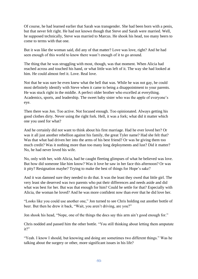Of course, he had learned earlier that Sarah was transgender. She had been born with a penis, but that never felt right. He had not known though that Steve and Sarah were married. Well, he supposed technically, Steve was married to Marcus. He shook his head, too many beers to come to terms with that one.

But it was like the woman said, did any of that matter? Love was love, right? And he had seen enough of this world to know there wasn't enough of it to go around.

The thing that he was struggling with most, though, was that moment. When Alicia had reached across and touched his hand, or what little was left of it. The way she had looked at him. He could almost feel it. Love. Real love.

Not that he was sure he even knew what the hell that was. While he was not gay, he could most definitely identify with Steve when it came to being a disappointment to your parents. He was stuck right in the middle. A perfect older brother who excelled at everything. Academics, sports, and leadership. The sweet baby sister who was the apple of everyone's eye.

Then there was Jon. Too active. Not focused enough. Too opinionated. Always getting his good clothes dirty. Never using the right fork. Hell, it was a fork; what did it matter which one you used for what?

And he certainly did not want to think about his first marriage. Had he ever loved her? Or was it all just another rebellion against his family, the great Tyler name? Had she felt that? Was that what had driven her into the arms of his best friend? Or was he giving them too much credit? Was it nothing more than too many long deployments and lust? Did it matter? No, he had never loved his wife.

No, only with her, with Alicia, had he caught fleeting glimpses of what he believed was love. But how did someone like him know? Was it love he saw in her face this afternoon? Or was it pity? Resignation maybe? Trying to make the best of things for Hope's sake?

And it was damned sure they needed to do that. It was the least they owed that little girl. The very least she deserved was two parents who put their differences and needs aside and did what was best for her. But was that enough for him? Could he settle for that? Especially with Alicia, the woman he loved? And he was more confident now than ever that he did love her.

"Looks like you could use another one," Jon turned to see Chris holding out another bottle of beer. But then he drew it back, "Wait, you aren't driving, are you?"

Jon shook his head, "Nope, one of the things the docs say this arm ain't good enough for."

Chris nodded and passed him the other bottle. "You still thinking about letting them amputate it?"

"Yeah. I know I should, but knowing and doing are sometimes two different things." Was he talking about the surgery or other, more significant issues in his life?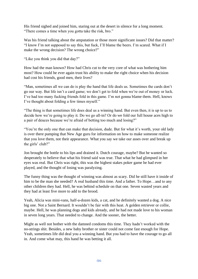His friend sighed and joined him, staring out at the desert in silence for a long moment. "There comes a time when you gotta take the risk, bro."

Was his friend talking about the amputation or those more significant issues? Did that matter? "I know I'm not supposed to say this, but fuck, I'll blame the beers. I'm scared. What if I make the wrong decision? The wrong choice?"

"Like you think you did that day?"

How had the man known? How had Chris cut to the very core of what was bothering him most? How could he ever again trust his ability to make the right choice when his decision had cost his friends, good men, their lives?

"Man, sometimes all we can do is play the hand that life deals us. Sometimes the cards don't go our way. But life isn't a card game; we don't get to fold when we're out of money or luck. I've had too many fucking friends fold in this game. I'm not gonna blame them. Hell, knows I've thought about folding a few times myself."

"The thing is that sometimes life does deal us a winning hand. But even then, it is up to us to decide how we're going to play it. Do we go all-in? Or do we fold our full house aces high to a pair of deuces because we're afraid of betting too much and losing?"

"You're the only one that can make that decision, dude. But for what it's worth, your old lady is over there pumping that New Age guru for information on how to make someone realize that you love them, not their appearance. What you say we take our asses over and break up the girls' club?"

Jon brought the bottle to his lips and drained it. Dutch courage, maybe? But he wanted so desperately to believe that what his friend said was true. That what he had glimpsed in her eyes was real. But Chris was right, this was the highest stakes poker game he had ever played, and the thought of losing was paralyzing.

The funny thing was the thought of winning was almost as scary. Did he still have it inside of him to be the man she needed? A real husband this time. And a father. To Hope...and to any other children they had. Hell, he was behind schedule on that one. Seven wasted years and they had at least five more to add to the brood.

Yeah, Alicia was mini-vans, half-a-dozen kids, a cat, and he definitely wanted a dog. A nice big one. Not a Saint Bernard. It wouldn't be fair with this heat. A golden retriever or collie, maybe. Hell, he was planning dogs and kids already, and he had not made love to his woman in seven long years. That needed to change. And the sooner, the better.

Might as well not bother with the damned condoms this time. They hadn't worked with the no-strings shit. Besides, a new baby brother or sister could not come fast enough for Hope. Yeah, sometimes life did deal you a winning hand. But you had to have the courage to go all in. And come what may, this hand he was betting it all.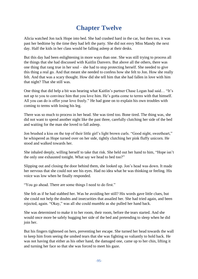### **Chapter Twelve**

Alicia watched Jon tuck Hope into bed. She had crashed hard in the car, but then too, it was past her bedtime by the time they had left the party. She did not envy Miss Mandy the next day. Half the kids in her class would be falling asleep at their desks.

But this day had been enlightening in more ways than one. She was still trying to process all the things that she had discussed with Kaitlin Danvers. But above all the others, there was one thing that rang true in her soul – she had to stop protecting herself. She needed to give this thing a real go. And that meant she needed to confess how she felt to Jon. How she really felt. And that was a scary thought. How did she tell him that she had fallen in love with him that night? That she still was.

One thing that did help a bit was hearing what Kaitlin's partner Chase Logan had said… "It's not up to you to convince him that you love him. He's gotta come to terms with that himself. All you can do is offer your love freely." He had gone on to explain his own troubles with coming to terms with losing his leg.

There was so much to process in her head. She was tired too. Bone tired. The thing was, she did not want to spend another night like the past three, carefully clutching her side of the bed and waiting for the man she loved to fall asleep.

Jon brushed a kiss on the top of their little girl's light brown curls. "Good night, sweetheart," he whispered as Hope turned over on her side, tightly clutching her pink fluffy unicorn. He stood and walked towards her.

She inhaled deeply, willing herself to take that risk. She held out her hand to him, "Hope isn't the only one exhausted tonight. What say we head to bed too?"

Slipping out and closing the door behind them, she looked up. Jon's head was down. It made her nervous that she could not see his eyes. Had no idea what he was thinking or feeling. His voice was low when he finally responded.

"You go ahead. There are some things I need to do first."

She felt as if he had stabbed her. Was he avoiding her still? His words gave little clues, but she could not help the doubts and insecurities that assailed her. She had tried again, and been rejected, again. "Okay," was all she could mumble as she pulled her hand back.

She was determined to make it to her room, their room, before the tears started. And she would once more be safely hugging her side of the bed and pretending to sleep when he did join her.

But his fingers tightened on hers, preventing her escape. She turned her head towards the wall to keep him from seeing the unshed tears that she was fighting so valiantly to hold back. He was not having that either as his other hand, the damaged one, came up to her chin, lifting it and turning her face so that she was forced to meet his gaze.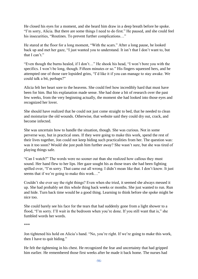He closed his eyes for a moment, and she heard him draw in a deep breath before he spoke. "I'm sorry, Alicia. But there are some things I need to do first." He paused, and she could feel his insecurities, "Routines. To prevent further complications..."

He stared at the floor for a long moment, "With the scars." After a long pause, he looked back up and met her gaze, "I just wanted you to understand. It isn't that I don't want to, but that I can't."

"Even though the burns healed, if I don't…" He shook his head, "I won't bore you with the specifics. I won't be long, though. Fifteen minutes or so." His fingers squeezed hers, and he attempted one of those rare lopsided grins, "I'd like it if you can manage to stay awake. We could talk a bit, perhaps?"

Alicia felt her heart sore to the heavens. She could feel how incredibly hard that must have been for him. But his explanation made sense. She had done a bit of research over the past few weeks, from the very beginning actually, the moment she had looked into those eyes and recognized her lover.

She should have realized that he could not just come straight to bed, that he needed to clean and moisturize the old wounds. Otherwise, that website said they could dry out, crack, and become infected.

She was uncertain how to handle the situation, though. She was curious. Not in some perverse way, but in practical ones. If they were going to make this work, spend the rest of their lives together, Jon could not keep hiding such practicalities from her. The question was: was it too soon? Would she just push him further away? She wasn't sure, but she was tired of playing things safe.

"Can I watch?" The words were no sooner out than she realized how callous they must sound. Her hand flew to her lips. Her gaze sought his as those tears she had been fighting spilled over, "I'm sorry. That came out all wrong. I didn't mean like that. I don't know. It just seems that if we're going to make this work…"

Couldn't she ever say the right things? Even when she tried, it seemed she always messed it up. She had probably set this whole thing back weeks or months. She just wanted to run. Run and hide. Turn back time would be a good thing. Learning to think before she spoke might be nice too.

She could barely see his face for the tears that had suddenly gone from a light shower to a flood, "I'm sorry. I'll wait in the bedroom when you're done. If you still want that is," she fumbled words her words.

\*\*\*

Jon tightened his hold on Alicia's hand. "No, you're right. If we're going to make this work, then I have to quit hiding."

He felt the tightening in his chest. He recognized the fear and uncertainty that had gripped him earlier. He remembered those first weeks after he made it back home. The nurses had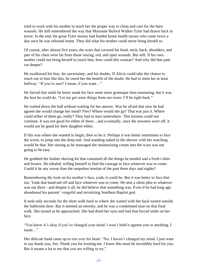tried to work with his mother to teach her the proper way to clean and care for the burn wounds. He still remembered the way that Marianne Buford Walker Tyler had drawn back in terror. In the end, the great Tyler money had funded home health nurses who came twice a day once he was released home. They did what his mother could never bring herself to.

Of course, after almost five years, the scars that covered his head, neck, back, shoulders, and part of his chest were far from those oozing, red, and open wounds. But still. If his own mother could not bring herself to touch him, how could this woman? And why did that pain cut deeper?

He swallowed his fear, his uncertainty, and his doubts. If Alicia could take the chance to reach out to him like this, he owed her the benefit of the doubt. He had to meet her at least halfway. "If you're sure? I mean, if you want..."

He forced that smile he knew made his face seem more grotesque than reassuring, but it was the best he could do. "Let me get some things from our room. I'll be right back."

He rushed down the hall without waiting for her answer. Was he afraid that now he had agreed she would change her mind? Flee? Where would she go? That was just it. Where could either of them go, really? They had to start somewhere. This tension could not continue. It was not good for either of them…and eventually, once the newness wore off, it would not be good for their daughter either.

If this was where she wanted to begin, then so be it. Perhaps it was better sometimes to face the worst, to jump into the deep end. And standing naked in the shower with her watching would be that. Her staring as he massaged the moisturizing cream into the scars was not going to be easy.

He grabbed the leather shaving kit that contained all the things he needed and a fresh t-shirt and boxers. He inhaled, willing himself to find the courage to face whatever was to come. Could it be any worse than the unspoken tension of the past three days and nights?

Remembering the look on his mother's face, yeah, it could be. But it was better to face that too. Yank that band-aid off and face whatever was to come. He sent a silent plea to whatever was out there - and despite it all, he did believe that something was. Even if he had long ago abandoned his parents' vengeful and terrorizing Southern Baptist god.

It took only seconds for the short walk back to where she waited with her back turned outside the bathroom door. But it seemed an eternity, and he was a condemned man on that final walk. She turned as he approached. She had dried her eyes and had that forced smile on her face.

"You know it's okay if you've changed your mind. I won't hold it against you or anything. I mean..."

Her delicate hand came up to rest over his heart. "No, I haven't changed my mind. I just want to say thank you, Jon. Thank you for trusting me. I know this must be incredibly hard for you. But it means a lot to me that you are willing to try."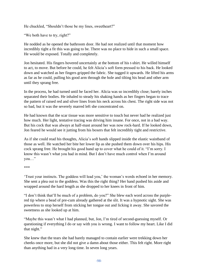He chuckled, "Shouldn't those be my lines, sweetheart?"

"We both have to try, right?"

He nodded as he opened the bathroom door. He had not realized until that moment how incredibly tight a fit this was going to be. There was no place to hide in such a small space. He would be exposed. Totally and completely.

Jon hesitated. His fingers hovered uncertainly at the bottom of his t-shirt. He willed himself to act, to move. But before he could, he felt Alicia's soft form pressed to his back. He looked down and watched as her fingers gripped the fabric. She tugged it upwards. He lifted his arms as far as he could, pulling his good arm through the hole and tilting his head and other arm until they sprang free.

In the process, he had turned until he faced her. Alicia was so incredibly close; barely inches separated their bodies. He inhaled to steady his shaking hands as her fingers began to trace the pattern of raised red and silver lines from his neck across his chest. The right side was not so bad, but it was the severely marred left she concentrated on.

He had known that the scar tissue was more sensitive to touch but never had he realized just how much. Her light, tentative tracing was driving him insane. For once, not in a bad way. But his cock that was always at half-mast around her was now rock-hard. If he looked down, Jon feared he would see it jutting from his boxers that felt incredibly tight and restrictive.

As if she could read his thoughts, Alicia's soft hands slipped inside the elastic waistband of those as well. He watched her bite her lower lip as she pushed them down over his hips. His cock sprang free. He brought his good hand up to cover what he could of it. "I'm sorry. I know this wasn't what you had in mind. But I don't have much control when I'm around you…"

\*\*\*

'Trust your instincts. The goddess will lead you,' the woman's words echoed in her memory. She sent a plea out to the goddess. Was this the right thing? Her hand pushed his aside and wrapped around the hard length as she dropped to her knees in front of him.

"I don't think that'll be much of a problem, do you?" She blew each word across the purplered tip where a bead of pre-cum already gathered at the slit. It was a hypnotic sight. She was powerless to stop herself from sticking her tongue out and licking it away. She savored the sweetness as she looked up at him.

"Maybe this wasn't what I had planned, but, Jon, I'm tired of second-guessing myself. Or questioning if everything I do or say with you is wrong. I want to follow my heart. Like I did that night."

She knew that the tears she had barely managed to contain earlier were trekking down her cheeks once more, but she did not give a damn about those either. This felt right. More right than anything had in a very long time. In seven long years.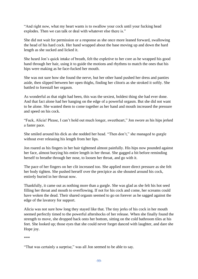"And right now, what my heart wants is to swallow your cock until your fucking head explodes. Then we can talk or deal with whatever else there is."

She did not wait for permission or a response as she once more leaned forward, swallowing the head of his hard cock. Her hand wrapped about the base moving up and down the hard length as she sucked and licked it.

She heard Jon's quick intake of breath, felt the expletive to her core as he wrapped his good hand through her hair, using it to guide the motions and rhythms to match the ones that his hips were making as he face-fucked her mouth.

She was not sure how she found the nerve, but her other hand pushed her dress and panties aside, then slipped between her open thighs, finding her clitoris as she stroked it softly. She battled to forestall her orgasm.

As wonderful as that night had been, this was the sexiest, boldest thing she had ever done. And that fact alone had her hanging on the edge of a powerful orgasm. But she did not want to be alone. She wanted them to come together as her hand and mouth increased the pressure and speed on his cock.

"Fuck, Alicia! Please, I can't hold out much longer, sweetheart," Jon swore as his hips jerked a faster pace.

She smiled around his dick as she nodded her head. "Then don't," she managed to gurgle without ever releasing his length from her lips.

Jon roared as his fingers in her hair tightened almost painfully. His hips now pounded against her face, almost burying his entire length in her throat. She gagged a bit before reminding herself to breathe through her nose, to loosen her throat, and go with it.

The pace of her fingers on her clit increased too. She applied more direct pressure as she felt her body tighten. She pushed herself over the precipice as she shouted around his cock, entirely buried in her throat now.

Thankfully, it came out as nothing more than a gurgle. She was glad as she felt his hot seed filling her throat and mouth to overflowing. If not for his cock and come, her screams could have woken the dead. Their shared orgasm seemed to go on forever as he sagged against the edge of the lavatory for support.

Alicia was not sure how long they stayed like that. The tiny jerks of his cock in her mouth seemed perfectly timed to the powerful aftershocks of her release. When she finally found the strength to move, she dropped back onto her bottom, sitting on the cold bathroom tiles at his feet. She looked up; those eyes that she could never forget danced with laughter, and dare she Hope joy.

\*\*\*

"That was certainly a surprise," was all Jon seemed to be able to say.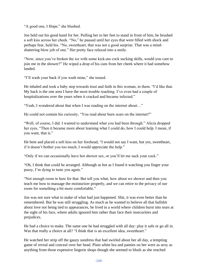"A good one, I Hope," she blushed.

Jon held out his good hand for her. Pulling her to her feet to stand in front of him, he brushed a soft kiss across her cheek. "No," he paused until her eyes that were filled with shock and perhaps fear, held his. "No, sweetheart, that was not a good surprise. That was a mindshattering blow job of one." Her pretty face relaxed into a smile.

"Now, since you've broken the ice with some kick-ass cock sucking skills, would you care to join me in the shower?" He wiped a drop of his cum from her cheek where it had somehow landed.

"I'll wash your back if you wash mine," she teased.

He inhaled and took a baby step towards trust and faith in this woman, in them. "I'd like that. My back is the one area I have the most trouble reaching. I've even had a couple of hospitalizations over the years when it cracked and became infected."

"Yeah, I wondered about that when I was reading on the internet about…"

He could not contain his curiosity, "You read about burn scars on the internet?"

"Well, of course, I did. I wanted to understand what you had been through." Alicia dropped her eyes, "Then it became more about learning what I could do, how I could help. I mean, if you want, that is."

He bent and placed a soft kiss on her forehead, "I would not say I want, but yes, sweetheart, if it doesn't bother you too much, I would appreciate the help."

"Only if we can occasionally have hot shower sex, or you'll let me suck your cock."

"Oh, I think that could be arranged. Although as hot as I found it watching you finger your pussy, I'm dying to taste you again."

"Not enough room in here for that. But tell you what, how about we shower and then you teach me how to massage the moisturizer properly, and we can retire to the privacy of our room for something a bit more comfortable."

Jon was not sure what to make of what had just happened. Shit, it was even better than he remembered. But he was still struggling. As much as he wanted to believe all that bullshit about love not being tied to appearances, he lived in a world where children burst into tears at the sight of his face, where adults ignored him rather than face their insecurities and prejudices.

He had a choice to make. The same one he had struggled with all day: play it safe or go all in. Was that really a choice at all? "I think that is an excellent idea, sweetheart."

He watched her strip off the gauzy sundress that had swirled about her all day, a tempting game of reveal and conceal over her head. Plain white bra and panties on her were as sexy as anything from those expensive lingerie shops though she seemed to blush as she reached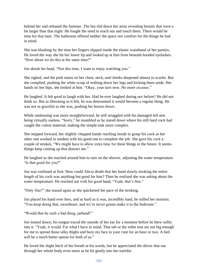behind her and released the fastener. The bra slid down her arms revealing breasts that were a bit larger than that night. He fought the need to reach out and touch them. There would be time for that later. The bathroom offered neither the space nor comfort for the things he had in mind.

She was blushing by the time her fingers slipped inside the elastic waistband of her panties. He loved the way she bit her lower lip and looked up at him from beneath hooded eyelashes. "How about we do this at the same time?"

Jon shook his head, "Not this time. I want to enjoy watching you."

She sighed, and the pink stains on her chest, neck, and cheeks deepened almost to scarlet. But she complied, pushing the white scrap of nothing down her legs and kicking them aside. Her hands on her hips, she looked at him. "Okay, your turn now. No more excuses."

He laughed. It felt good to laugh with her. Had he ever laughed during sex before? He did not think so. But as liberating as it felt, he was determined it would become a regular thing. He was not as graceful as she was, pushing his boxers down.

While undressing was more straightforward, he still struggled with his damaged left arm being virtually useless. "Sorry," he mumbled as he stared down where his still hard cock had caught the cotton material, making the simple task more complex.

She stepped forward, her slightly chapped hands reaching inside to grasp his cock as her other one worked in tandem with his good one to complete the job. She gave his cock a couple of strokes, "We might have to allow extra time for these things in the future. It seems things keep coming up that distract me."

He laughed as she reached around him to turn on the shower, adjusting the water temperature. "Is that good for you?"

Jon was confused at first. How could Alicia doubt that her hand slowly stroking the entire length of his cock was anything but good for him? Then he realized she was asking about the water temperature. He reached out with his good hand, "Yeah, that's fine."

"Only fine?" she teased again as she quickened the pace of the stroking.

Jon placed his hand over hers, and as hard as it was, incredibly hard, he stilled her motions. "You keep doing that, sweetheart, and we're never gonna make it to the bedroom."

"Would that be such a bad thing, jarhead?"

Jon leaned down; his tongue traced the outside of her ear for a moment before he blew softly into it. "Yeah, it would. For what I have in mind. That tub or the toilet seat are not big enough for me to spread those silky thighs and bury my face in your cunt for an hour or two. A bed will be a much better option for both of us."

He loved the slight hitch of her breath at his words, but he appreciated the shiver that ran through her whole body even more as he bit gently into her earlobe.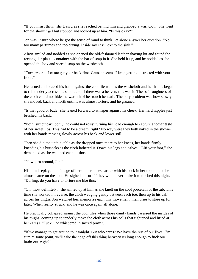"If you insist then," she teased as she reached behind him and grabbed a washcloth. She went for the shower gel but stopped and looked up at him. "Is this okay?"

Jon was unsure where he got the sense of mind to think, let alone answer her question. "No, too many perfumes and too drying. Inside my case next to the sink."

Alicia smiled and nodded as she opened the old-fashioned leather shaving kit and found the rectangular plastic container with the bar of soap in it. She held it up, and he nodded as she opened the box and spread soap on the washcloth.

"Turn around. Let me get your back first. Cause it seems I keep getting distracted with your front,"

He turned and braced his hand against the cool tile wall as the washcloth and her hands began to rub tenderly across his shoulders. If there was a heaven, this was it. The soft roughness of the cloth could not hide the warmth of her touch beneath. The only problem was how slowly she moved, back and forth until it was almost torture, and he groaned.

"Is that good or bad?" she leaned forward to whisper against his cheek. Her hard nipples just brushed his back.

"Both, sweetheart, both," he could not resist turning his head enough to capture another taste of her sweet lips. This had to be a dream, right? No way were they both naked in the shower with her hands moving slowly across his back and lower still.

Then she did the unthinkable as she dropped once more to her knees, her hands firmly kneading his buttocks as the cloth lathered it. Down his legs and calves, "Lift your foot," she demanded as she watched each of those.

"Now turn around, Jon."

His mind replayed the image of her on her knees earlier with his cock in her mouth, and he almost came on the spot. He sighed, unsure if they would ever make it to the bed this night. "Darling, do you have to torture me like this?"

"Oh, most definitely," she smiled up at him as she knelt on the cool porcelain of the tub. This time she worked in reverse, the cloth wedging gently between each toe, then up to his calf, across his thighs. Jon watched her, memorize each tiny movement, memories to store up for later. When reality struck, and he was once again all alone.

He practically collapsed against the cool tiles when those dainty hands caressed the insides of his thighs, coming up to tenderly move the cloth across his balls that tightened and lifted at her caress. "Fuck," he whispered in sacred prayer.

"If we manage to get around to it tonight. But who cares? We have the rest of our lives. I'm sure at some point, we'll take the edge off this thing between us long enough to fuck our brain out, right?"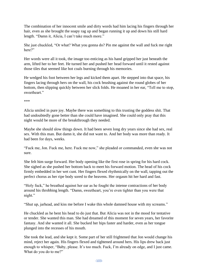The combination of her innocent smile and dirty words had him lacing his fingers through her hair, even as she brought the soapy rag up and began running it up and down his still hard length. "Damn it, Alicia, I can't take much more."

She just chuckled, "Or what? What you gonna do? Pin me against the wall and fuck me right here?"

Her words were all it took, the image too enticing as his hand gripped her just beneath the arm, lifted her to her feet. He turned her and pushed her head forward until it rested against those tiles that seemed like hot coals burning through his memories.

He wedged his foot between her legs and kicked them apart. He stepped into that space, his fingers lacing through hers on the wall, his cock brushing against the round globes of her bottom, then slipping quickly between her slick folds. He moaned in her ear, "Tell me to stop, sweetheart."

\*\*\*

Alicia smiled in pure joy. Maybe there was something to this trusting the goddess shit. That had undoubtedly gone better than she could have imagined. She could only pray that this night would be more of the breakthrough they needed.

Maybe she should slow things down. It had been seven long dry years since she had sex, real sex. With this man. But damn it, she did not want to. And her body was more than ready. It had been for days, weeks.

"Fuck me, Jon. Fuck me, here. Fuck me now," she pleaded or commanded, even she was not sure.

She felt him surge forward. Her body opening like the first rose in spring for his hard cock. She sighed as she pushed her bottom back to meet his forward motion. The head of his cock firmly embedded in her wet cunt. Her fingers flexed rhythmically on the wall, tapping out the perfect chorus as her ripe body sored to the heavens. Her orgasm hit her hard and fast.

"Holy fuck," he breathed against her ear as he fought the intense contractions of her body around his throbbing length. "Damn, sweetheart, you're even tighter than you were that night."

"Shut up, jarhead, and kiss me before I wake this whole damned house with my screams."

He chuckled as he bent his head to do just that. But Alicia was not in the mood for tentative or tender. She wanted this man. She had dreamed of this moment for seven years, her favorite fantasy. And she wanted it all. She bucked her hips faster and harder, even as her tongue plunged into the recesses of his mouth.

She took the lead, and she kept it. Some part of her still frightened that Jon would change his mind, reject her again. His fingers flexed and tightened around hers. His lips drew back just enough to whisper, "Baby, please. It's too much. Fuck, I'm already on edge, and I just came. What do you do to me?"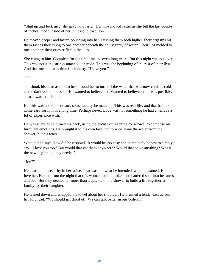"Shut up and fuck me," she gave no quarter. Her hips moved faster as she felt the last couple of inches imbed inside of her. "Please, please, Jon."

He moved deeper and faster, pounding into her. Pushing them both higher, their orgasms hit them fast as they clung to one another beneath the chilly spray of water. Their lips melded to one another; their cries stifled in the kiss.

She clung to him. Complete for the first time in seven long years. But this night was not over. This was not a 'no strings attached' charade. This was the beginning of the rest of their lives. And that meant it was time for honesty. "I love you."

\*\*\*

Jon shook his head as he reached around her to turn off the water that was now cold, as cold as the dark void in his soul. He wanted to believe her. Wanted to believe that it was possible. That it was that simple.

But this was not some dream, some fantasy he made up. This was real life, and that had not come easy for him in a long time. Perhaps never. Love was not something he had a helluva a lot of experience with.

He was silent as he turned his back, using the excuse of reaching for a towel to compose his turbulent emotions. He brought it to his own face, not to wipe away the water from the shower, but his tears.

What did he say? How did he respond? It would be too easy and completely honest to simply say, 'I love you too.' But would that get them anywhere? Would that solve anything? Was it the new beginning they needed?

"Jon?"

He heard the insecurity in her voice. That was not what he intended, what he wanted. He did love her. He had from the night that this woman took a broken and battered soul into her arms and bed. But they needed far more than a quickie in the shower to build a life together, a family for their daughter.

He leaned down and wrapped the towel about her shoulder. He brushed a tender kiss across her forehead. "We should get dried off. We can talk better in our bedroom."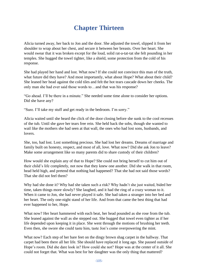# **Chapter Thirteen**

Alicia turned away, her back to Jon and the door. She adjusted the towel, slipped it from her shoulder to wrap about her chest, and secure it between her breasts. Over her heart. She would swear that it was broken except for the loud, solid rat-a-tat-tat she felt pounding in her temples. She hugged the towel tighter, like a shield, some protection from the cold of his response.

She had played her hand and lost. What now? If she could not convince this man of the truth, what future did they have? And most importantly, what about Hope? What about their child? She leaned her head against the cold tiles and felt the hot tears cascade down her cheeks. The only man she had ever said those words to…and that was his response?

"Go ahead. I'll be there in a minute." She needed some time alone to consider her options. Did she have any?

"Sure. I'll take my stuff and get ready in the bedroom. I'm sorry."

Alicia waited until she heard the click of the door closing before she sunk to the cool recesses of the tub. Until she gave her tears free rein. She held back the sobs, though she wanted to wail like the mothers she had seen at that wall, the ones who had lost sons, husbands, and lovers.

She, too, had lost. Lost something precious. She had lost her dreams. Dreams of marriage and family built on honesty, respect, and most of all, love. What now? Did she ask Jon to leave? Make some arrangement like so many parents did to share custody of their children?

How would she explain any of that to Hope? She could not bring herself to cut him out of their child's life completely, not now that they knew one another. Did she walk in that room, head held high, and pretend that nothing had happened? That she had not said those words? That she did not feel them?

Why had she done it? Why had she taken such a risk? Why hadn't she just waited, bided her time, taken things more slowly? She laughed, and it had the ring of a crazy woman to it. When it came to Jon, she had never played it safe. She had taken a stranger into her bed and her heart. The only one-night stand of her life. And from that came the best thing that had ever happened to her, Hope.

What now? Her heart hammered with each beat, her head pounded as she rose from the tub. She leaned against the wall as she stepped out. She hugged that towel even tighter as if her life depended upon keeping it in place. She went through the motions of brushing her teeth. Even then, she swore she could taste him, taste Jon's come overpowering the mint.

What now? Each step of her bare feet on the dingy brown shag carpet in the hallway. That carpet had been there all her life. She should have replaced it long ago. She paused outside of Hope's room. Did she dare look in? How could she not? Hope was at the center of it all. She could not forget that. What was best for her daughter was the only thing that mattered?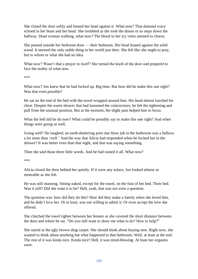She closed the door softly and leaned her head against it. What now? That damned voice echoed in her heart and her head. She trembled as she took the dozen or so steps down the hallway. Dead woman walking, what now? The blood in her icy veins seemed to chorus.

She paused outside her bedroom door — their bedroom. Her head leaned against the solid wood. It seemed the only stable thing in her world just then. She felt like she ought to pray, but to whom or what she had no idea.

What now? Wasn't that a prayer in itself? She turned the knob of the door and prepared to face the reality of what now.

\*\*\*

What now? Jon knew that he had fucked up. Big time. But how did he make this one right? Was that even possible?

He sat on the end of the bed with the towel wrapped around him. His head almost touched his chest. Despite the warm shower that had loosened the contractures, he felt the tightening and pull from the unusual position. But at the moment, the slight pain helped him to focus.

What the hell did he do now? What could he possibly say to make this one right? And when things were going so well.

Going well? He laughed; an earth-shattering porn star blow job in the bathroom was a helluva a lot more than 'well.' And the way that Alicia had responded when he fucked her in the shower? It was better even than that night, and that was saying something.

Then she said those three little words. And he had ruined it all. What now?

\*\*\*

Alicia closed the door behind her quietly. If it were any solace, Jon looked almost as miserable as she felt.

He was still stunning. Sitting naked, except for the towel, on the foot of her bed. Their bed. Was it still? Did she want it to be? Hell, yeah, that was not even a question.

The question was: how did they do this? How did they make a family when she loved him, and he didn't love her. Or at least, was not willing to admit it. Or even accept the love she offered.

She clutched the towel tighter between her breasts as she covered the short distance between the door and where he sat. "Do you still want to show me what to do? How to help?"

She stared at the ugly brown shag carpet. She should think about buying new. Right now, she wanted to think about anything but what happened in that bathroom. Well, at least at the end. The rest of it was kinda nice. Kinda nice? Hell, it was mind-blowing. At least her orgasms were.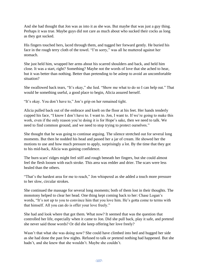And she had thought that Jon was as into it as she was. But maybe that was just a guy thing. Perhaps it was true. Maybe guys did not care as much about who sucked their cocks as long as they got sucked.

His fingers touched hers, laced through them, and tugged her forward gently. He buried his face in the rough terry cloth of the towel. "I'm sorry," was all he muttered against her stomach.

She just held him, wrapped her arms about his scarred shoulders and back, and held him close. It was a start, right? Something? Maybe not the words of love that she ached to hear, but it was better than nothing. Better than pretending to be asleep to avoid an uncomfortable situation?

She swallowed back tears, "It's okay," she lied. "Show me what to do so I can help out." That would be something useful, a good place to begin, Alicia assured herself.

"It's okay. You don't have to," Jon's grip on her remained tight.

Alicia pulled back out of the embrace and knelt on the floor at his feet. Her hands tenderly cupped his face, "I know I don't have to. I want to. Jon, I want to. If we're going to make this work, even if the only reason you're doing it is for Hope's sake, then we need to talk. We need to find common ground, and we need to stop trying to protect ourselves."

She thought that he was going to continue arguing. The silence stretched out for several long moments. But then he nodded his head and passed her a jar of cream. He showed her the motions to use and how much pressure to apply, surprisingly a lot. By the time that they got to his mid-back, Alicia was gaining confidence.

The burn scars' ridges might feel stiff and rough beneath her fingers, but she could almost feel the flesh loosen with each stroke. This area was redder and drier. The scars were less healed than the others.

"That's the hardest area for me to reach," Jon whispered as she added a touch more pressure to her slow, circular strokes.

She continued the massage for several long moments; both of them lost in their thoughts. The monotony helped to clear her head. One thing kept coming back to her: Chase Logan's words, "It's not up to you to convince him that you love him. He's gotta come to terms with that himself. All you can do is offer your love freely."

She had and look where that got them. What now? It seemed that was the question that controlled her life, especially when it came to Jon. Did she pull back, play it safe, and pretend she never said those words? Or did she keep offering her love freely?

Wasn't that what she was doing now? She could have climbed into bed and hugged her side as she had done the past few nights. Refused to talk or pretend nothing had happened. But she hadn't, and she knew that she wouldn't. Maybe she couldn't.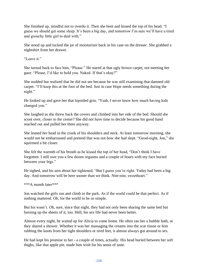She finished up, mindful not to overdo it. Then she bent and kissed the top of his head. "I guess we should get some sleep. It's been a big day, and tomorrow I'm sure we'll have a tired and grouchy little girl to deal with."

She stood up and tucked the jar of moisturizer back in his case on the dresser. She grabbed a nightshirt from her drawer.

"Leave it."

She turned back to face him, "Please." He stared at that ugly brown carpet, not meeting her gaze. "Please, I'd like to hold you. Naked. If that's okay?"

She nodded but realized that he did not see because he was still examining that damned old carpet. "I'll keep this at the foot of the bed. Just in case Hope needs something during the night."

He looked up and gave her that lopsided grin, "Yeah, I never knew how much having kids changed you."

She laughed as she threw back the covers and climbed into her side of the bed. Should she scoot over, closer to the center? She did not have time to decide because his good hand reached out and pulled her there anyway.

She leaned her head in the crook of his shoulders and neck. At least tomorrow morning, she would not be embarrassed and pretend that was not how she had slept. "Good-night, Jon," she squirmed a bit closer.

She felt the warmth of his breath as he kissed the top of her head, "Don't think I have forgotten. I still owe you a few dozen orgasms and a couple of hours with my face buried between your legs."

He sighed, and his arm about her tightened, "But I guess you're right. Today had been a big day. And tomorrow will be here sooner than we think. Nite-nite, sweetheart."

\*\*\*A month later\*\*\*

Jon watched the girls run and climb in the park. As if the world could be that perfect. As if nothing mattered. Oh, for the world to be so simple.

But his wasn't. Oh, sure, since that night, they had not only been sharing the same bed but burning up the sheets of it, too. Hell, his sex life had never been better.

Almost every night, he waited up for Alicia to come home. He often ran her a bubble bath, or they shared a shower. Whether it was her massaging the creams into the scar tissue or him rubbing the knots from her tight shoulders or tired feet, it almost always got around to sex.

He had kept his promise to her - a couple of times, actually. His head buried between her soft thighs, like that apple pie, made him wish for his sense of taste.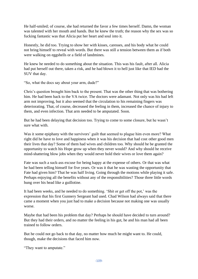He half-smiled; of course, she had returned the favor a few times herself. Damn, the woman was talented with her mouth and hands. But he knew the truth; the reason why the sex was so fucking fantastic was that Alicia put her heart and soul into it.

Honestly, he did too. Trying to show her with kisses, caresses, and his body what he could not bring himself to reveal with words. But there was still a tension between them as if both were walking on eggshells or a field of landmines.

He knew he needed to do something about the situation. This was his fault, after all. Alicia had put herself out there, taken a risk, and he had blown it to hell just like that IED had the SUV that day.

"So, what the docs say about your arm, dude?"

Chris's question brought him back to the present. That was the other thing that was bothering him. He had been back to the VA twice. The doctors were adamant. Not only was his bad left arm not improving, but it also seemed that the circulation to his remaining fingers was deteriorating. That, of course, decreased the feeling in them, increased the chance of injury to them, and even infection. That arm needed to be amputated. Soon.

But he had been delaying that decision too. Trying to come to some closure, but he wasn't sure what with.

Was it some epiphany with the survivors' guilt that seemed to plague him even more? What right did he have to love and happiness when it was his decision that had cost other good men their lives that day? Some of them had wives and children too. Why should he be granted the opportunity to watch his Hope grow up when they never would? And why should he receive mind-shattering blow jobs when they would never hold their wives or love them again?

Fate was such a suck-ass excuse for being happy at the expense of others. Or that was what he had been telling himself for five years. Or was it that he was wasting the opportunity that Fate had given him? That he was half living. Going through the motions while playing it safe. Perhaps enjoying all the benefits without any of the responsibilities? Those three little words hung over his head like a guillotine.

It had been weeks, and he needed to do something. 'Shit or get off the pot,' was the expression that his first Gunnery Sergeant had used. Chad Wilson had always said that there came a moment when you just had to make a decision because not making one was usually worse.

Maybe that had been his problem that day? Perhaps he should have decided to turn around? But they had their orders, and no matter the feeling in his gut, he and his man had all been trained to follow orders.

But he could not go back to that day, no matter how much he might want to. He could, though, make the decisions that faced him now.

"They want to amputate."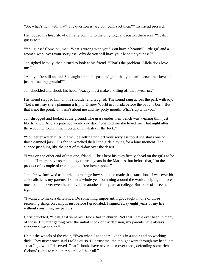"So, what's new with that? The question is: are you gonna let them?" his friend pressed.

He nodded his head slowly, finally coming to the only logical decision there was. "Yeah, I guess so."

"You guess? Come on, man. What's wrong with you? You have a beautiful little girl and a woman who loves your sorry ass. Why do you still have your head up your ass?"

Jon sighed heavily, then turned to look at his friend. "That's the problem. Alicia does love me."

"And you're still an ass? So caught up in the past and guilt that you can't accept her love and just be fucking grateful?"

Jon chuckled and shook his head, "Kacey must make a killing off that swear jar."

His friend slapped him on his shoulder and laughed. The sound rang across the park with joy, "Let's just say she's planning a trip to Disney World in Florida before the baby is born. But that's not the point. This isn't about me and my potty mouth. What's up with you?"

Jon shrugged and looked at the ground. The grass under their bench was wearing thin, just like he knew Alicia's patience would one day. "She told me she loved me. That night after the wedding. Commitment ceremony, whatever the fuck."

"You better watch it; Alicia will be getting rich off your sorry ass too if she starts one of those damned jars." His friend watched their little girls playing for a long moment. The silence just hung like the heat of mid-day over the desert.

"I was on the other end of that one, friend," Chris kept his eyes firmly ahead on the girls as he spoke. "I might have spent a lucky thirteen years in the Marines, but before that, I'm the product of a couple of tree-hugging, free love hippies."

Jon's brow furrowed as he tried to manage how someone made that transition. "I was ever bit as idealistic as my parents. I spent a whole year bumming around the world, helping in places most people never even heard of. Then another four years at college. But none of it seemed right."

"I wanted to make a difference. Do something important. I got caught in one of those recruiting stings on campus just before I graduated. I signed away eight years of my life without consulting my parents."

Chris chuckled, "Yeah, that went over like a fart in church. Not that I have ever been in many of those. But after getting over the initial shock of my decision, my parents have always supported my choice."

He hit the wheels of the chair, "Even when I ended up like this in a chair and no working dick. They never once said I told you so. But trust me, the thought went through my head lots - that I got what I deserved. That I should have never been over there, defending some rich fuckers' rights to rob other people of their oil."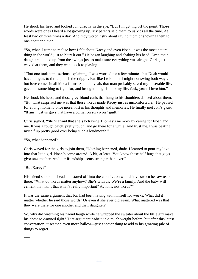He shook his head and looked Jon directly in the eye, "But I'm getting off the point. Those words were ones I heard a lot growing up. My parents said them to us kids all the time. At least two or three times a day. And they weren't shy about saying them or showing them to one another either."

"So, when I came to realize how I felt about Kacey and even Noah, it was the most natural thing in the world just to blurt it out." He began laughing and shaking his head. Even their daughters looked up from the swings just to make sure everything was alright. Chris just waved at them, and they went back to playing.

"That one took some serious explaining. I was worried for a few minutes that Noah would have the guts to throat punch the cripple. But like I told him, I might not swing both ways, but love comes in all kinda forms. So, hell, yeah, that man probably saved my miserable life, gave me something to fight for, and brought the girls into my life, fuck, yeah, I love him."

He shook his head, and those grey-blond curls that hung to his shoulders danced about them, "But what surprised me was that those words made Kacey just as uncomfortable." He paused for a long moment, once more, lost in his thoughts and memories. He finally met Jon's gaze, "It ain't just us guys that have a corner on survivors' guilt."

Chris sighed, "She's afraid that she's betraying Thomas's memory by caring for Noah and me. It was a rough patch, pretty touch, and go there for a while. And trust me, I was beating myself up pretty good over being such a loudmouth."

"So, what happened?"

Chris waved for the girls to join them, "Nothing happened, dude. I learned to pour my love into that little girl. Noah's come around. A bit, at least. You know those half hugs that guys give one another. And our friendship seems stronger than ever."

"But Kacey?"

His friend shook his head and stared off into the clouds. Jon would have sworn he saw tears there, "What do words matter anyhow? She's with us. We're a family. And the baby will cement that. Isn't that what's really important? Actions, not words?"

It was the same argument that Jon had been having with himself for weeks. What did it matter whether he said those words? Or even if she ever did again. What mattered was that they were there for one another and their daughter?

So, why did watching his friend laugh while he wrapped the sweater about the little girl make his chest so damned tight? That argument hadn't held much weight before, but after this latest conversation, it seemed even more hallow—just another thing to add to his growing pile of things to regret.

\*\*\*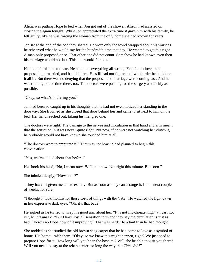Alicia was putting Hope to bed when Jon got out of the shower. Alison had insisted on closing the again tonight. While Jon appreciated the extra time it gave him with his family, he felt guilty; like he was forcing the woman from the only home she had known for years.

Jon sat at the end of the bed they shared. He wore only the towel wrapped about his waist as he rehearsed what he would say for the hundredth time that day. He wanted to get this right. A man only proposed once. That other one did not count. Somehow he had known even then his marriage would not last. This one would. It had to.

He had left this one too late. He had done everything all wrong. You fell in love, then proposed, got married, and had children. He still had not figured out what order he had done it all in. But there was no denying that the proposal and marriage were coming last. And he was running out of time there, too. The doctors were pushing for the surgery as quickly as possible.

"Okay, so what's bothering you?"

Jon had been so caught up in his thoughts that he had not even noticed her standing in the doorway. She frowned as she closed that door behind her and came to sit next to him on the bed. Her hand reached out, taking his mangled one.

The doctors were right. The damage to the nerves and circulation in that hand and arm meant that the sensation in it was never quite right. But now, if he were not watching her clutch it, he probably would not have known she touched him at all.

"The doctors want to amputate it." That was not how he had planned to begin this conversation.

"Yes, we've talked about that before."

He shook his head, "No, I mean now. Well, not now. Not right this minute. But soon."

She inhaled deeply, "How soon?"

"They haven't given me a date exactly. But as soon as they can arrange it. In the next couple of weeks, for sure."

"I thought it took months for those sorts of things with the VA?" He watched the light dawn in her expressive dark eyes, "Oh, it's that bad?"

He sighed as he turned to wrap his good arm about her. "It is not life-threatening," at least not yet, he left unsaid. "But I have lost all sensation in it, and they say the circulation is just as bad. There's no Hope now of it improving." That was harder to admit than he had thought.

She nodded as she studied the old brown shag carpet that he had come to love as a symbol of home. His home – with them. "Okay, so we knew this might happen, right? We just need to prepare Hope for it. How long will you be in the hospital? Will she be able to visit you there? Will you need to stay at the rehab center for long the way that Chris did?"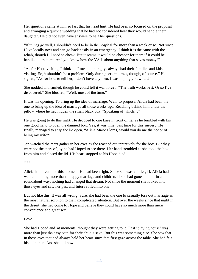Her questions came at him so fast that his head hurt. He had been so focused on the proposal and arranging a quickie wedding that he had not considered how they would handle their daughter. He did not even have answers to half her questions.

"If things go well, I shouldn't need to be in the hospital for more than a week or so. Not since I live locally now and can go back easily in an emergency. I think it is the same with the rehab, though I'll need to check. But it seems it would be cheaper for them if it could be handled outpatient. And you know how the VA is about anything that saves money?"

"As for Hope visiting, I think so. I mean, other guys always had their families and kids visiting. So, it shouldn't be a problem. Only during certain times, though, of course." He sighed, "As for how to tell her, I don't have any idea. I was hoping you would."

She nodded and smiled, though he could tell it was forced. "The truth works best. Or so I've discovered." She blushed, "Well, most of the time."

It was his opening. To bring up the idea of marriage. Well, to propose. Alicia had been the one to bring up the idea of marriage all those weeks ago. Reaching behind him under the pillow where he had hidden the small black box, "Speaking of which…"

He was going to do this right. He dropped to one knee in front of her as he fumbled with his one good hand to open the damned box. Yes, it was time, past time for this surgery. He finally managed to snap the lid open, "Alicia Marie Flores, would you do me the honor of being my wife?"

Jon watched the tears gather in her eyes as she reached out tentatively for the box. But they were not the tears of joy he had Hoped to see there. Her hand trembled as she took the box from him and closed the lid. His heart stopped as his Hope died.

\*\*\*

Alicia had dreamt of this moment. He had been right. Since she was a little girl, Alicia had wanted nothing more than a happy marriage and children. If she had gone about it in a roundabout way, nothing had changed that dream. Not since the moment she looked into those eyes and saw her past and future rolled into one.

But not like this. It was all wrong. Sure, she had been the one to casually toss out marriage as the most natural solution to their complicated situation. But over the weeks since that night in the desert, she had come to Hope and believe they could have so much more than mere convenience and great sex.

#### Love.

She had Hoped and, at moments, thought they were getting to it. That 'playing house' was more than just the easy path for their child's sake. But this was something else. She saw that in those eyes that had always held her heart since that first gaze across the table. She had felt his pain then. And she did now.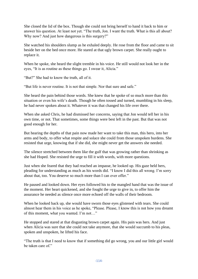She closed the lid of the box. Though she could not bring herself to hand it back to him or answer his question. At least not yet. "The truth, Jon. I want the truth. What is this all about? Why now? And just how dangerous is this surgery?"

She watched his shoulders slump as he exhaled deeply. He rose from the floor and came to sit beside her on the bed once more. He stared at that ugly brown carpet. She really ought to replace it.

When he spoke, she heard the slight tremble in his voice. He still would not look her in the eyes, "It is as routine as these things go. I swear it, Alicia."

"But?" She had to know the truth, all of it.

"But life is never routine. It is not that simple. Nor that sure and safe."

She heard the pain behind those words. She knew that he spoke of so much more than this situation or even his wife's death. Though he often tossed and turned, mumbling in his sleep, he had never spoken about it. Whatever it was that changed his life over there.

When she asked Chris, he had dismissed her concerns, saying that Jon would tell her in his own time, or not. That sometimes, some things were best left in the past. But that was not good enough for her.

But hearing the depths of that pain now made her want to take this man, this hero, into her arms and body, to offer what respite and solace she could from those unspoken burdens. She resisted that urge, knowing that if she did, she might never get the answers she needed.

The silence stretched between them like the gulf that was growing rather than shrinking as she had Hoped. She resisted the urge to fill it with words, with more questions.

Just when she feared that they had reached an impasse, he looked up. His gaze held hers, pleading for understanding as much as his words did. "I know I did this all wrong. I'm sorry about that, too. You deserve so much more than I can ever offer."

He paused and looked down. Her eyes followed his to the mangled hand that was the issue of the moment. Her heart quickened, and she fought the urge to give in, to offer him the assurance he needed as silence once more echoed off the walls of their bedroom.

When he looked back up, she would have sworn those eyes glistened with tears. She could almost hear them in his voice as he spoke, "Please. Please, I know this is not how you dreamt of this moment, what you wanted. I'm not…"

He stopped and stared at that disgusting brown carpet again. His pain was hers. And just when Alicia was sure that she could not take anymore, that she would succumb to his pleas, spoken and unspoken, he lifted his face.

"The truth is that I need to know that if something did go wrong, you and our little girl would be taken care of"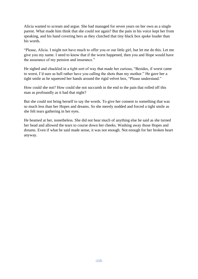Alicia wanted to scream and argue. She had managed for seven years on her own as a single parent. What made him think that she could not again? But the pain in his voice kept her from speaking, and his hand covering hers as they clutched that tiny black box spoke louder than his words.

"Please, Alicia. I might not have much to offer you or our little girl, but let me do this. Let me give you my name. I need to know that if the worst happened, then you and Hope would have the assurance of my pension and insurance."

He sighed and chuckled in a tight sort of way that made her curious, "Besides, if worst came to worst, I'd sure as hell rather have you calling the shots than my mother." He gave her a tight smile as he squeezed her hands around the rigid velvet box, "Please understand."

How could she not? How could she not succumb in the end to the pain that rolled off this man as profoundly as it had that night?

But she could not bring herself to say the words. To give her consent to something that was so much less than her Hopes and dreams. So she merely nodded and forced a tight smile as she felt tears gathering in her eyes.

He beamed at her, nonetheless. She did not hear much of anything else he said as she turned her head and allowed the tears to course down her cheeks. Washing away those Hopes and dreams. Even if what he said made sense, it was not enough. Not enough for her broken heart anyway.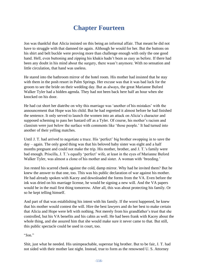## **Chapter Fourteen**

Jon was thankful that Alicia insisted on this being an informal affair. That meant he did not have to struggle with that damned tie again. Although he would for her. But the buttons on his shirt and belt buckle were proving more than challenge enough with only the one good hand. Hell, even buttoning and zipping his khakis hadn't been as easy as before. If there had been any doubt in his mind about the surgery, there wasn't anymore. With no sensation and little circulation, that hand was useless.

He stared into the bathroom mirror of the hotel room. His mother had insisted that he stay with them in the posh resort in Palm Springs. Her excuse was that it was bad luck for the groom to see the bride on their wedding day. But as always, the great Marianne Buford Walker Tyler had a hidden agenda. They had not been back here half an hour when she knocked on his door.

He had cut short her diatribe on why this marriage was 'another of his mistakes' with the announcement that Hope was his child. But he had regretted it almost before he had finished the sentence. It only served to launch the women into an attack on Alicia's character and supposed scheming to pass her bastard off as a Tyler. Of course, his mother's racism and classism were just below the surface with comments like 'those people.' It had turned into another of their yelling matches.

Until J. T. had arrived to negotiate a truce. His 'perfect' big brother swopping in to save the day – again. The only good thing was that his beloved baby sister was eight and a half months pregnant and could not make the trip. His mother, brother, and J. T.'s family were bad enough. Priscilla, J. T.'s equally 'perfect' wife, at least in the eyes of Marianne Buford Walker Tyler, was almost a clone of his mother and sister. A woman with 'breeding.'

Jon rested his scarred cheek against the cold, damp mirror. Why had he invited them? But he knew the answer to that one, too. This was his public declaration of war against his mother. He had already spoken with Kacey and downloaded the forms from the VA. Even before the ink was dried on his marriage license, he would be signing a new will. And the VA papers would be in the mail first thing tomorrow. After all, this was about protecting his family. Or so he kept telling himself.

And part of that was establishing his intent with his family. If the worst happened, he knew that his mother would contest the will. Hire the best lawyers and do her best to make certain that Alicia and Hope were left with nothing. Not merely from his grandfather's trust that she controlled, but his VA benefits and his cabin as well. He had been frank with Kacey about the whole thing, and she assured him that she would make sure it never came to that. But still, this public spectacle could be used in court, too.

"Jon."

Shit, just what he needed. His unimpeachable, superstar big brother. But to be fair, J. T. had not sided with their mother last night. Instead, true to form as the renowned U. S. Attorney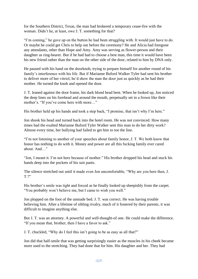for the Southern District, Texas, the man had brokered a temporary cease-fire with the woman. Didn't he, at least, owe J. T. something for that?

"I'm coming," he gave up on the button he had been struggling with. It would just have to do. Or maybe he could get Chris to help out before the ceremony? He and Alicia had foregone any attendants, other than Hope and Amy. Amy was serving as flower-person and their daughter as ring-bearer. But if he had had to choose a best man, this time it would have been his new friend rather than the man on the other side of the door, related to him by DNA only.

He paused with his hand on the doorknob, trying to prepare himself for another round of his family's interference with his life. But if Marianne Buford Walker Tyler had sent his brother to deliver more of her vitriol, he'd show the man the door just as quickly as he had their mother. He turned the knob and opened the door.

J. T. leaned against the door frame, his dark blond head bent. When he looked up, Jon noticed the deep lines on his forehead and around the mouth, perpetually set in a frown like their mother's. "If you've come here with more…"

His brother held up his hands and took a step back, "I promise, that isn't why I'm here."

Jon shook his head and turned back into the hotel room. He was not convinced. How many times had the exalted Marianne Buford Tyler Walker sent this man to do her dirty work? Almost every time, her bullying had failed to get him to toe the line.

"I'm not listening to another of your speeches about family honor, J. T. We both know that honor has nothing to do with it. Money and power are all this fucking family ever cared about. And…"

"Jon, I meant it. I'm not here because of mother." His brother dropped his head and stuck his hands deep into the pockets of his suit pants.

The silence stretched out until it made even Jon uncomfortable, "Why are you here then, J. T.?"

His brother's smile was tight and forced as he finally looked up sheepishly from the carpet. "You probably won't believe me, but I came to wish you well."

Jon plopped on the foot of the unmade bed. J. T. was correct. He was having trouble believing him. After a lifetime of sibling rivalry, much of it fostered by their parents, it was difficult to imagine anything else.

But J. T. was an attorney. A powerful and well-thought-of one. He could make the difference. "If you mean that, brother, then I have a favor to ask."

J. T. chuckled, "Why do I feel this isn't going to be as easy as all that?"

Jon did that half-smile that was getting surprisingly easier as the muscles in his cheek became more used to the stretching. They had done that for him. His daughter and her. They had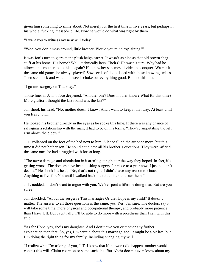given him something to smile about. Not merely for the first time in five years, but perhaps in his whole, fucking, messed-up life. Now he would do what was right by them.

"I want you to witness my new will today."

"Woe, you don't mess around, little brother. Would you mind explaining?"

It was Jon's turn to glare at the plush beige carpet. It wasn't as nice as that old brown shag stuff at his home. His home? Well, technically hers. Theirs? He wasn't sure. Why had he allowed his mother to do this – again? He knew her schemes, divide and conquer. Wasn't it the same old game she always played? Sow seeds of doubt laced with those knowing smiles. Then step back and watch the weeds choke out everything good. But not this time.

"I go into surgery on Thursday."

Those lines in J. T.'s face deepened. "Another one? Does mother know? What for this time? More grafts? I thought the last round was the last?"

Jon shook his head, "No, mother doesn't know. And I want to keep it that way. At least until you leave town."

He looked his brother directly in the eyes as he spoke this time. If there was any chance of salvaging a relationship with the man, it had to be on his terms. "They're amputating the left arm above the elbow."

J. T. collapsed on the foot of the bed next to him. Silence filled the air once more, but this time it did not bother Jon. He could anticipate all his brother's questions. They were, after all, the same ones he had struggled with for so long.

"The nerve damage and circulation in it aren't getting better the way they hoped. In fact, it's getting worse. The doctors have been pushing surgery for close to a year now. I just couldn't decide." He shook his head, "No, that's not right. I didn't have any reason to choose. Anything to live for. Not until I walked back into that diner and saw them."

J. T. nodded, "I don't want to argue with you. We've spent a lifetime doing that. But are you sure?"

Jon chuckled, "About the surgery? This marriage? Or that Hope is my child? It doesn't matter. The answer to all those questions is the same: yes. Yes, I'm sure. The doctors say it will take some time, more physical and occupational therapy, and probably more patience than I have left. But eventually, I'll be able to do more with a prosthesis than I can with this stub."

"As for Hope, yes, she's my daughter. And I don't owe you or mother any further explanation than that. So, yes, I'm certain about this marriage, too. It might be a bit late, but I'm doing the right thing for my family. Including changing my will."

"I realize what I'm asking of you, J. T. I know that if the worst did happen, mother would contest this will. Claim coercion or some such shit. But Alicia doesn't even know about my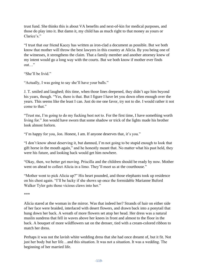trust fund. She thinks this is about VA benefits and next-of-kin for medical purposes, and those do play into it. But damn it, my child has as much right to that money as yours or Clarice's."

"I trust that our friend Kacey has written as iron-clad a document as possible. But we both know that mother will throw the best lawyers in this country at Alicia. By you being one of the witnesses, it strengthens the claim. That a family member and another attorney knew of my intent would go a long way with the courts. But we both know if mother ever finds out…"

"She'll be livid."

"Actually, I was going to say she'll have your balls."

J. T. smiled and laughed; this time, when those lines deepened, they didn't age him beyond his years, though. "Yes, there is that. But I figure I have let you down often enough over the years. This seems like the least I can. Just do me one favor, try not to die. I would rather it not come to that."

"Trust me, I'm going to do my fucking best not to. For the first time, I have something worth living for." Jon would have sworn that some shadow or trick of the lights made his brother look almost forlorn.

"I'm happy for you, Jon. Honest, I am. If anyone deserves that, it's you."

"I don't know about deserving it, but damned, I'm not going to be stupid enough to look that gift horse in the mouth again," and he honestly meant that. No matter what his past held, they were his future, and looking back would get him nowhere.

"Okay, then, we better get moving. Priscilla and the children should be ready by now. Mother went on ahead to collect Alicia in a limo. They'll meet us at the courthouse."

"Mother went to pick Alicia up?" His heart pounded, and those elephants took up residence on his chest again. "I'll be lucky if she shows up once the formidable Marianne Buford Walker Tyler gets those vicious claws into her."

\*\*\*

Alicia stared at the woman in the mirror. Was that indeed her? Strands of hair on either side of her face were braided, interlaced with desert flowers, and drawn back into a ponytail that hung down her back. A wreath of more flowers set atop her head. Her dress was a natural muslin sundress that fell in waves above her knees in front and almost to the floor in the back. A bouquet of more wildflowers sat on the dresser, tied with a cream-colored ribbon to match her dress.

Perhaps it was not the lavish white wedding dress that she had once dreamt of, but it fit. Not just her body but her life…and this situation. It was not a situation. It was a wedding. The beginning of her married life.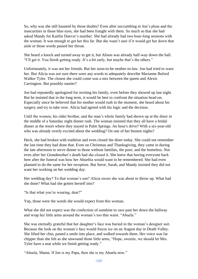So, why was she still haunted by those doubts? Even after succumbing to Jon's pleas and the insecurities in those blue eyes, she had been fraught with them. So much so that she had asked Mandy for Kaitlin Danver's number. She had already had two hour-long sessions with the woman. It was enough to get her this far. But she wasn't sure if it would get her down that aisle or those words passed her throat.

She heard a knock and turned away to get it, but Alison was already half-way down the hall. "I'll get it. You finish getting ready. It's a bit early, but maybe that's the others."

Unfortunately, it was not her friends. But her soon-to-be mother-in-law. Jon had tried to warn her. But Alicia was not sure there were any words to adequately describe Marianne Buford Walker Tyler. The closest she could come was a mix between the queen and Alexis Carrington. But possibly nastier?

Jon had repeatedly apologized for inviting his family, even before they showed up last night. But he insisted that in the long term, it would be best to confront the situation head-on. Especially since he believed that his mother would rush in the moment, she heard about his surgery and try to take over. Alicia had agreed with his logic and the decision.

Until the women, his older brother, and the man's whole family had shown up at the diner in the middle of a Saturday night dinner rush. The woman insisted that they all have a bridal dinner at the resort where they stayed in Palm Springs. An hour's drive? With a six-year-old who was already overly excited about the wedding? On one of her busiest nights?

Heck, she had broken with tradition and even closed the diner today. She could not remember the last time they had done that. Even on Christmas and Thanksgiving, they came in during the late afternoon to serve dinner to those without families, the poor, and the homeless. Not even after her Grandmother's death had she closed it. She knew that having everyone back here after the funeral was how her Abuelita would want to be remembered. She had even planned to do the same for her reception. But Steve, Sarah, and Mandy insisted they did not want her working on her wedding day.

Her wedding day? To that woman's son? Alicia swore she was about to throw up. What had she done? What had she gotten herself into?

"Is that what you're wearing, dear?"

Yep, those were the words she would expect from this woman.

What she did not expect was the confection of sunshine to race past her down the hallway and wrap her little arms around the woman's too thin waist. "Abuela."

She was eternally grateful that her daughter's face was buried in the woman's designer suit. Because the look on the woman's face would freeze ice on an August day in Death Valley. She lifted her chin, pasted a smile into place, and walked towards them. Her voice was far chipper than she felt as she unwound those little arms, "Hope, sweetie, we should let Mrs. Tyler have a seat while we finish getting ready."

"Abuela, Mama. If Jon is my Papa, then she is my Abuela now."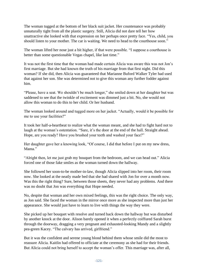The woman tugged at the bottom of her black suit jacket. Her countenance was probably unnaturally tight from all the plastic surgery. Still, Alicia did not dare tell her how unattractive she looked with that expression on her perhaps once pretty face. "Yes, child, you should listen to your mother. The car is waiting. We need to head to the courthouse soon."

The woman lifted her nose just a bit higher, if that were possible. "I suppose a courthouse is better than some questionable Vegas chapel, like last time."

It was not the first time that the woman had made certain Alicia was aware this was not Jon's first marriage. But she had known the truth of his marriage from that first night. Did this woman? If she did, then Alicia was guaranteed that Marianne Buford Walker Tyler had used that against her son. She was determined not to give this woman any further fodder against him.

"Please, have a seat. We shouldn't be much longer," she smiled down at her daughter but was saddened to see that the twinkle of excitement was dimmed just a bit. No, she would not allow this woman to do this to her child. Or her husband.

The woman looked around and tugged more on her jacket. "Actually, would it be possible for me to use your facilities?"

It took her half-a-heartbeat to realize what the woman meant, and she had to fight hard not to laugh at the woman's ostentation. "Sure, it's the door at the end of the hall. Straight ahead. Hope, are you ready? Have you brushed your teeth and washed your face?"

Her daughter gave her a knowing look, "Of course, I did that before I put on my new dress, Mama."

"Alright then, let me just grab my bouquet from the bedroom, and we can head out." Alicia forced one of those fake smiles as the woman turned down the hallway.

She followed her soon-to-be mother-in-law, though Alicia slipped into her room, their room now. She looked at the neatly made bed that she had shared with Jon for over a month now. Was this the right thing? Sure, between those sheets, they never had any problems. And there was no doubt that Jon was everything that Hope needed.

No, despite that woman and her own mixed feelings, this was the right choice. The only way, as Jon said. She faced the woman in the mirror once more as she inspected more than just her appearance. She would just have to learn to live with things the way they were.

She picked up her bouquet with resolve and turned back down the hallway but was disturbed by another knock at the door. Alison barely opened it when a perfectly coiffured Sarah burst through the doorway, dragging a very pregnant and exhausted-looking Mandy and a slightly pea-green Kacey. "The calvary has arrived, girlfriend."

But it was the confident and serene young blond behind them whose smile did the most to reassure Alicia. Kaitlin had offered to officiate at the ceremony as she had for their friends. But Alicia could not bring herself to accept the woman's offer. This marriage was, after all,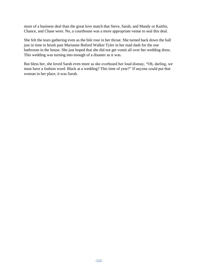more of a business deal than the great love match that Steve, Sarah, and Mandy or Kaitlin, Chance, and Chase were. No, a courthouse was a more appropriate venue to seal this deal.

She felt the tears gathering even as the bile rose in her throat. She turned back down the hall just in time to brush past Marianne Buford Walker Tyler in her mad dash for the one bathroom in the house. She just hoped that she did not get vomit all over her wedding dress. This wedding was turning into enough of a disaster as it was.

But bless her, she loved Sarah even more as she overheard her loud dismay, "Oh, darling, we must have a fashion word. Black at a wedding? This time of year?" If anyone could put that woman in her place, it was Sarah.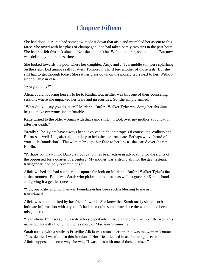# **Chapter Fifteen**

She had done it. Alicia had somehow made it down that aisle and mumbled her assent to this farce. She toyed with her glass of champagne. She had taken barely two sips in the past hour. She had not felt this sick since… No, she couldn't be. Well, of course, she could be. But now was definitely not the best time.

She looked towards the pool where her daughter, Amy, and J. T.'s middle son were splashing on the steps. Did timing really matter? Tomorrow, she'd buy another of those tests. But she still had to get through today. She sat her glass down on the mosaic table next to her. Without alcohol. Just in case.

"Are you okay?"

Alicia could not bring herself to lie to Kaitlin. But neither was this one of their counseling sessions where she unpacked her fears and insecurities. So, she simply smiled.

"What did you say you do, dear?" Marianne Buford Walker Tyler was doing her absolute best to make everyone uncomfortable.

Katie turned to the older woman with that same smile, "I took over my mother's foundation after her death."

"Really? The Tylers have always been involved in philanthropy. Of course, the Walkers and Bufords as well. It is, after all, our duty to help the less fortunate. Perhaps we've heard of your little foundation?" The woman brought her flute to her lips as she stared over the rim at Kaitlin.

"Perhaps you have. The Danvers Foundation has been active in advocating for the rights of the oppressed for a quarter of a century. My mother was a strong ally for the gay, lesbian, transgender, and poly communities."

Alicia wished she had a camera to capture the look on Marianne Buford Walker Tyler's face at that moment. But it was Sarah who picked up the baton as well as grasping Katie's hand and giving it a gentle squeeze.

"Yes, our Katie and the Danvers Foundation has been such a blessing to me as I transitioned."

Alicia was a bit shocked by her friend's words. She knew that Sarah rarely shared such intimate information with anyone. It had been quite some time since the woman had been misgendered.

"Transitioned?" It was J. T.'s wife who stepped into it. Alicia tried to remember the woman's name but honestly thought of her as more of Marianne's mini-me.

Sarah turned with a smile to Priscilla; Alicia was almost certain that was the woman's name. "Yes, dearie, I wasn't born this fabulous." Her friend leaned in as if sharing a secret, and Alicia supposed in some way she was, "I was born with one of those penises."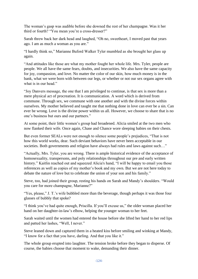The woman's gasp was audible before she downed the rest of her champagne. Was it her third or fourth? "You mean you're a cross-dresser?"

Sarah threw back her dark head and laughed, "Oh no, sweetheart, I moved past that years ago. I am as much a woman as you are."

"I hardly think so," Marianne Buford Walker Tyler mumbled as she brought her glass up again.

"And attitudes like those are what my mother fought her whole life. Mrs. Tyler, people are people. We all have the same fears, doubts, and insecurities. We also have the same capacity for joy, compassion, and love. No matter the color of our skin, how much money is in the bank, what we were born with between our legs, or whether or not our sex organs agree with what is in our head."

"Joy Danvers message, the one that I am privileged to continue, is that sex is more than a mere physical act of procreation. It is communication. A word which is derived from commune. Through sex, we commune with one another and with the divine forces within ourselves. My mother believed and taught me that nothing done in love can ever be a sin. Can ever be wrong. Love is the divine power within us all. However, we choose to share that is no one's business but ours and our partners."

At some point, their little women's group had broadened. Alicia smiled at the two men who now flanked their wife. Once again, Chase and Chance wore sleeping babies on their chests.

But even former SEALs were not enough to silence some people's prejudices, "That is not how this world works, dear. Such deviant behaviors have never been acceptable in our societies. Both governments and religion have always had rules and laws against such..."

"Actually, Mrs. Tyler, you are wrong. There is ample historical evidence of the acceptance of homosexuality, transpersons, and poly relationships throughout our pre and early written history." Kaitlin reached out and squeezed Alicia's hand, "I will be happy to email you those references as well as copies of my mother's book and my own. But we are not here today to debate the nature of love but to celebrate the union of your son and his family."

Steve, too, had joined their group, resting his hands on Sarah and Mandy's shoulders. "Would you care for more champagne, Marianne?"

"Yes, please," J. T.'s wife bubbled more than the beverage, though perhaps it was those four glasses of bubbly that spoke?

"I think you've had quite enough, Priscilla. If you'll excuse us," the older woman placed her hand on her daughter-in-law's elbow, helping the younger woman to her feet.

Sarah waited until the women had entered the house before she lifted her hand to her red lips and patted her lashes, "Well, I never."

Steve leaned down and captured them in a heated kiss before smiling and winking at Mandy, "I know for a fact that you have, darling. And that you like it."

The whole group erupted into laughter. The tension broke before they began to disperse. Of course, the babies choose that moment to wake, demanding their dinner.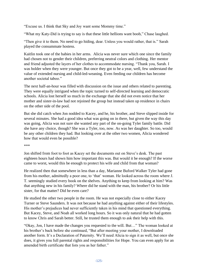"Excuse us. I think that Sky and Joy want some Mommy time."

"What my Katy-Did is trying to say is that these little hellions want boob," Chase laughed.

"Then give it to them. No need to go hiding, dear. Unless you would rather, that is." Sarah played the consummate hostess.

Kaitlin took one of the babies in her arms. Alicia was never sure which one since the family had chosen not to gender their children, preferring neutral colors and clothing. Her mentor and friend adjusted the layers of her clothes to accommodate nursing. "Thank you, Sarah. I was bolder when they were younger. But once they got to be a year, well, few understand the value of extended nursing and child-led-weaning. Even feeding our children has become another societal taboo."

The next half-an-hour was filled with discussion on the issue and others related to parenting. They were equally intrigued when the topic turned to self-directed learning and democratic schools. Alicia lost herself so much in the exchange that she did not even notice that her mother and sister-in-law had not rejoined the group but instead taken up residence in chairs on the other side of the pool.

But she did catch when Jon nodded to Kacey, and he, his brother, and Steve slipped inside for several minutes. She had a good idea what was going on in there, but given the way this day was going, Alicia was not sure she wanted any part of the on-going Tyler family battle. Did she have any choice, though? She was a Tyler, too, now. As was her daughter. So too, would be any other children they had. But looking over at the other two women, Alicia wondered how that would even be possible?

\*\*\*

Jon shifted from foot to foot as Kacey set the documents out on Steve's desk. The past eighteen hours had shown him how important this was. But would it be enough? If the worse came to worst, would this be enough to protect his wife and child from that woman?

He realized then that somewhere in less than a day, Marianne Buford Walker Tyler had gone from his mother, admittedly a poor one, to 'that' woman. He looked across the room where J. T. seemingly studied every book on the shelves. Anything to keep from looking at him? Was that anything new in his family? Where did he stand with the man, his brother? Or his little sister, for that matter? Did he even care?

He studied the other two people in the room. He was not especially close to either Kacey Turner or Steve Saunders. It was not because he had anything against either of their lifestyles. His mother's prejudices had never sufficiently taken in his mind that questioned everything. But Kacey, Steve, and Noah all worked long hours. So it was only natural that he had gotten to know Chris and Sarah better. Still, he trusted them enough to ask their help with this.

"Okay, Jon, I have made the changes you requested to the will. But…" The woman looked at his brother's back before she continued, "But after meeting your mother, I downloaded another form. It's a Declaration of Paternity. We'll need Alicia to sign it as well, but once she does, it gives you full parental rights and responsibilities for Hope. You can even apply for an amended birth certificate that lists you as her father."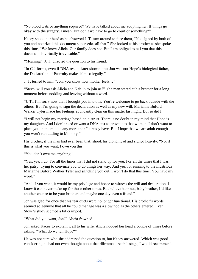"No blood tests or anything required? We have talked about me adopting her. If things go okay with the surgery, I mean. But don't we have to go to court or something?"

Kacey shook her head as he observed J. T. turn around to face them, "No, signed by both of you and notarized this document supersedes all that." She looked at his brother as she spoke this time, "We know Alicia. Our family does not. But I am obliged to tell you that this document is virtually irrevocable."

"Meaning?" J. T. directed the question to his friend.

"In California, even if DNA results later showed that Jon was not Hope's biological father, the Declaration of Paternity makes him so legally."

J. T. turned to him, "Jon, you know how mother feels…"

"Steve, will you ask Alicia and Kaitlin to join us?" The man stared at his brother for a long moment before nodding and leaving without a word.

"J. T., I'm sorry now that I brought you into this. You're welcome to go back outside with the others. But I'm going to sign the declaration as well as my new will. Marianne Buford Walker Tyler made her feelings abundantly clear on this matter last night. But so did I."

"I will not begin my marriage based on distrust. There is no doubt in my mind that Hope is my daughter. And I don't need or want a DNA test to prove it to that woman. I don't want to place you in the middle any more than I already have. But I hope that we are adult enough you won't run tattling to Mommy."

His brother, if the man had ever been that, shook his blond head and sighed heavily. "No, if this is what you want, I owe you this."

"You don't owe me anything."

"Yes, yes, I do. For all the times that I did not stand up for you. For all the times that I was her patsy, trying to convince you to do things her way. And yes, for running to the illustrious Marianne Buford Walker Tyler and snitching you out. I won't do that this time. You have my word."

"And if you want, it would be my privilege and honor to witness the will and declaration. I know it can never make up for those other times. But believe it or not, baby brother, I'd like another chance to be your brother, and maybe one day even a friend."

Jon was glad for once that his tear ducts were no longer functional. His brother's words seemed so genuine that all he could manage was a slow nod as the others entered. Even Steve's study seemed a bit cramped.

"What did you want, Jon?" Alicia frowned.

Jon asked Kacey to explain it all to his wife. Alicia nodded her head a couple of times before asking, "What do we tell Hope?"

He was not sure who she addressed the question to, but Kacey answered. Which was good considering he had not even thought about that dilemma. "At this stage, I would recommend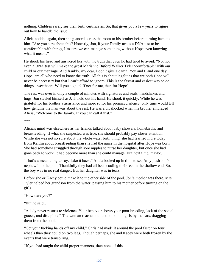nothing. Children rarely see their birth certificates. So, that gives you a few years to figure out how to handle the issue."

Alicia nodded again, then she glanced across the room to his brother before turning back to him. "Are you sure about this? Honestly, Jon, if your Family needs a DNA test to be comfortable with things, I'm sure we can manage something without Hope even knowing what it means."

He shook his head and answered her with the truth that even he had tried to avoid. "No, not even a DNA test will make the great Marianne Buford Walker Tyler 'comfortable' with our child or our marriage. And frankly, my dear, I don't give a damn. You and I, and one day Hope, are all who need to know the truth. All this is about legalities that we both Hope will never be necessary but that I can't afford to ignore. This is the fastest and easiest way to do things, sweetheart. Will you sign it? If not for me, then for Hope?"

The rest was over in only a couple of minutes with signatures and seals, handshakes and hugs. Jon steeled himself as J. T. held out his hand. He shook it quickly. While he was grateful for his brother's assistance and more so for his promised silence, only time would tell how genuine the man was about the rest. He was a bit shocked when his brother embraced Alicia, "Welcome to the family. If you can call it that."

\*\*\*

Alicia's mind was elsewhere as her friends talked about baby showers, homebirths, and breastfeeding. If what she suspected was true, she should probably pay closer attention. While she was not so sure about the whole water birth thing, she had learned more today from Kaitlin about breastfeeding than she had the nurse in the hospital after Hope was born. She had somehow struggled through sore nipples to nurse her daughter, but once she had gone back to work, it had become more than she could manage. But next time, maybe…

"That's a mean thing to say. Take it back," Alicia looked up in time to see Amy push Jon's nephew into the pool. Thankfully they had all been cooling their feet in the shallow end. So, the boy was in no real danger. But her daughter was in tears.

Before she or Kacey could make it to the other side of the pool, Jon's mother was there. Mrs. Tyler helped her grandson from the water, passing him to his mother before turning on the girls.

"How dare you?"

"But he said…"

"A lady never resorts to violence. Your behavior shows your poor breeding, lack of the social graces, and discipline." The woman reached out and took both girls by the ears, dragging them from the pool.

"Get your fucking hands off my child," Chris had made it around the pool faster on four wheels than they could on two legs. Though perhaps, she and Kacey were both frozen by the events that were transpiring.

"If you had taught the child proper manners, then none of this…."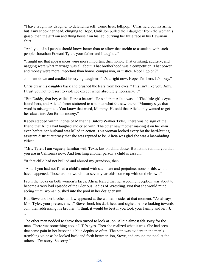"I have taught my daughter to defend herself. Come here, lollipop." Chris held out his arms, but Amy shook her head, clinging to Hope. Until Jon pulled their daughter from the woman's grasp, then the girl ran and flung herself on his lap, burying her little face in his Hawaiian shirt.

"And you of all people should know better than to allow that urchin to associate with such people. Jonathan Edward Tyler, your father and I taught…"

"Taught me that appearances were more important than honor. That drinking, adultery, and nagging were what marriage was all about. That brotherhood was a competition. That power and money were more important than honor, compassion, or justice. Need I go on?"

Jon bent down and cradled his crying daughter, "It's alright now, Hope. I'm here. It's okay."

Chris drew his daughter back and brushed the tears from her eyes, "This isn't like you, Amy. I trust you not to resort to violence except when absolutely necessary…"

"But Daddy, that boy called Hope a bastard. He said that Alicia was…" The little girl's eyes found hers, and Alicia's heart stuttered to a stop at what she saw there. "Mommy says that word is miscoginis… You know that word, Mommy. He said that Alicia only wanted to get her claws into Jon for his money."

Kacey stepped within inches of Marianne Buford Walker Tyler. There was no sign of the friend that Alicia had laughed and cried with. The other new mother making it on her own even before her husband was killed in action. This woman looked every bit the hard-hitting assistant district attorney that she was reputed to be. Alicia was glad she was a law-abiding citizen.

"Mrs. Tyler, I am vaguely familiar with Texas law on child abuse. But let me remind you that you are in California now. And touching another person's child is assault."

"If that child had not bullied and abused my grandson, then…"

"And if you had not filled a child's mind with such hate and prejudice, none of this would have happened. Those are not words that seven-year-olds come up with on their own."

From the looks on both women's faces, Alicia feared that her wedding reception was about to become a very bad episode of the Glorious Ladies of Wrestling. Not that she would mind seeing 'that' woman pushed into the pool in her designer suit.

But Steve and her brother-in-law appeared at the women's sides at that moment. "As always, Mrs. Tyler, your presence is…" Steve shook his dark head and sighed before looking towards Jon, then addressing his brother. "I think it would be best if you took your family and left, J.  $T$ "

The other man nodded to Steve then turned to look at Jon. Alicia almost felt sorry for the man. There was something about J. T.'s eyes. Then she realized what it was. She had seen that same pain in her husband's blue depths so often. The pain was evident in the man's trembling voice as he looked back and forth between Jon, Steve, and around the pool at the others, "I'm sorry. So sorry."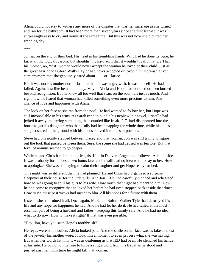Alicia could not stay to witness any more of the disaster that was her marriage as she turned and ran for the bathroom. It had been more than seven years since she first learned it was surprisingly easy to cry and vomit at the same time. But this was not how she pictured her wedding day.

\*\*\*

Jon sat on the end of their bed. His head in his trembling hands. Why had he done it? Sure, he knew all the logical reasons, but shouldn't he have seen that it wouldn't really matter? That his mother, no, 'that' woman would never accept the woman he loved or their child. Just as the great Marianne Buford Walker Tyler had never accepted or loved him. He wasn't even sure anymore that she genuinely cared about J. T. or Clarice.

But it was not his mother nor his brother that he was angry with. It was himself. He had failed. Again. Just like he had that day. Maybe Alicia and Hope had not died or been burned beyond recognition. But he knew all too well that scars on the soul hurt just as much. And right now, he feared that woman had killed something even more precious to him. Any chance of love and happiness with Alicia.

The look on her face as she ran from the pool. He had wanted to follow her, but Hope was still inconsolable in his arms. As Sarah tried to bundle his nephew in a towel, Priscilla had jerked it away, muttering something that sounded like freak. J. T. had disappeared into the house to get his daughter, who thankfully had been napping the whole time, while his oldest son just stared at the ground with his hands shoved into his suit pockets.

Steve had physically stepped between Kacey and that woman. Jon was still trying to figure out the look that passed between them. Sure, the scene she had caused was terrible. But that level of animus seemed to go deeper.

While he and Chris handled the little girls, Kaitlin Danvers-Logan had followed Alicia inside. It was probably for the best. Two hours later and he still had no idea what to say to her. How to apologize. She was still trying to calm their daughter and get Hope ready for bed.

This night was so different than he had planned. He and Chris had organized a surprise sleepover at their house for the little girls. And Jon… He had carefully planned and rehearsed how he was going to spill his guts to his wife. How much that night had meant to him. How he had come to recognize that he loved her before he had even stepped back inside that diner. How much these past weeks had meant to him. All his hopes for a future with them…

Instead, she had ruined it all. Once again, Marianne Buford Walker Tyler had destroyed his life and any hope for happiness he had. And he had let her do it. He had failed at the most essential part of being a husband and father – keeping this family safe. And he had no idea what to do now. How to make it right? If that was even possible.

"Hey, Jon, have you seen Hope's toothbrush?"

Her eyes were still swollen. Alicia looked pale. And the smile on her face was as fake as most of the jewelry his mother wore. It took him a moment to even process what she was saying. But when her words hit him, it was as deafening as that IED had been. He clenched his hands at his side. He could not manage to force a single word from his throat as he stood and pushed past her. This time he might kill that woman.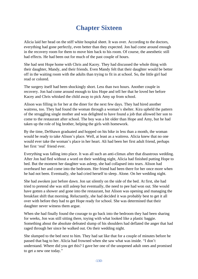# **Chapter Sixteen**

Alicia laid her head on the stiff white hospital sheet. It was over. According to the doctors, everything had gone perfectly, even better than they expected. Jon had come around enough in the recovery room for them to move him back to his room. Of course, the anesthetic still had effects. He had been out for much of the past couple of hours.

She had sent Hope home with Chris and Kacey. They had discussed the whole thing with their daughter, Mandy, and their friends. Even Mandy felt that their daughter would be better off in the waiting room with the adults than trying to fit in at school. So, the little girl had read or colored.

The surgery itself had been shockingly short. Less than two hours. Another couple in recovery. Jon had come around enough to kiss Hope and tell her that he loved her before Kacey and Chris whisked the child away to pick Amy up from school.

Alison was filling in for her at the diner for the next few days. They had hired another waitress, too. They had found the woman through a woman's shelter. Kira upheld the pattern of the struggling single mother and was delighted to have found a job that allowed her son to come to the restaurant after school. The boy was a bit older than Hope and Amy, but he had taken up the role of big brother, helping the girls with homework.

By the time, DeShawn graduated and hopped on his bike in less than a month, the woman would be ready to take Alison's place. Well, at least as a waitress. Alicia knew that no one would ever take the woman's place in her heart. Ali had been her first adult friend, perhaps her first 'real' friend ever.

Everything was falling into place. It was all such an anti-climax after that disastrous wedding. After Jon had fled without a word on their wedding night, Alicia had finished putting Hope to bed. But the moment her daughter was asleep, she had collapsed into tears. Alison had overheard her and come into the bedroom. Her friend had been there for her once more when he had not been. Eventually, she had cried herself to sleep. Alone. On her wedding night.

She had awoken just before dawn. Jon sat silently on the side of the bed. At first, she had tried to pretend she was still asleep but eventually, the need to pee had won out. She would have gotten a shower and gone into the restaurant, but Alison was opening and managing the breakfast shift that morning. Reluctantly, she had decided it was probably best to get it all over with before they had to get Hope ready for school. She was determined that their daughter never witness them argue.

When she had finally found the courage to go back into the bedroom they had been sharing for weeks, Jon was still sitting there, toying with what looked like a plastic baggie. Something about the absolute defeated slump of his shoulders had deflated the anger that had raged through her since he walked out. On their wedding night.

She slumped to the bed next to him. They had sat like that for a couple of minutes before he passed that bag to her. Alicia had frowned when she saw what was inside. "I don't understand. Where did you get this? I gave her one of the unopened adult ones and promised to get a new one today."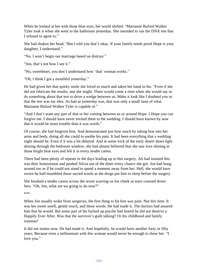When he looked at her with those blue eyes, her world shifted. "Marianne Buford Walker Tyler took it when she went to the bathroom yesterday. She intended to run the DNA test that I refused to agree to."

She had shaken her head, "But I told you that's okay. If your family needs proof Hope is your daughter, I understand."

"No. I won't begin our marriage based on distrust."

"Jon, that's not how I see it."

"No, sweetheart, you don't understand how 'that' woman works."

"Oh, I think I got a mouthful yesterday."

He had given her that quirky smile she loved so much and taken her hand in his. "Even if she did not fabricate the results, and she might. There would come a time when she would say or do something about that test to drive a wedge between us. Make it look like I doubted you or that the test was my idea. As bad as yesterday was, that was only a small taste of what Marianne Buford Walker Tyler is capable of."

"And I don't want any part of that or her coming between us or around Hope. I Hope you can forgive me. I should have never invited them to the wedding. I should have known by now that it would be more trouble than it was worth."

Of course, she had forgiven him. And demonstrated just how much by taking him into her arms and body, doing all she could to soothe his pain. It had been everything that a wedding night should be. Even if it was a bit delayed. And in some trick of the early desert dawn light shining through the bedroom window, she had almost believed that she saw love shining in those bright blue eyes and felt it in every tender caress.

There had been plenty of repeats in the days leading up to this surgery. Ali had insisted this was their honeymoon and pushed Alicia out of the diner every chance she got. Jon had hung around too as if he could not stand to spend a moment away from her. Hell, she would have sworn he half-mumbled those sacred words as the drugs put him to sleep before the surgery.

She brushed a tender caress across the worst scarring on his cheek as tears coursed down hers. "Oh, Jon, what are we going to do now?"

\*\*\*

When Jon usually woke from surgeries, the first thing to hit him was pain. Not this time. It was her sweet smell, gentle touch, and those words. He had made it. The doctors had assured him that he would. But some part of his fucked up psyche had feared he did not deserve a Happily Ever After. Was that the survivor's guilt talking? Or his childhood and family traumas?

It did not matter now. He had made it. And hopefully, he would have another forty or fifty years. Because even a millennium with this woman would never be enough to show her. "I love you."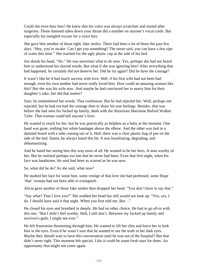Could she even hear him? He knew that his voice was always scratchier and muted after surgeries. Those damned tubes down your throat did a number on anyone's vocal cords. But especially his mangled excuse for a voice box.

She gave him another of those tight, fake smiles. There had been a lot of those the past few days. "Hey, you're awake. Can I get you something? The nurse said, you can have a few sips of water this time." She reached for the ugly plastic cup at the side of his bed.

Jon shook his head, "No." He was uncertain what to do now. Yes, perhaps she had not heard him or understood his slurred words. But what if she was ignoring him? After everything that had happened, he certainly did not deserve her. Did he try again? Did he have the courage?

It wasn't like he'd had much success with love. Hell, if his first wife had not been bad enough, even his own mother had never really loved him. How could an amazing woman like this? But she was his wife now. And maybe he had convinced her to marry him for their daughter's sake, but did that matter?

Sure, he remembered her words. That confession. But he had rejected her. Well, perhaps not rejected, but he had not had the courage then to share his true feelings. Besides, that was before she had seen his fucked up family, dealt with the illustrious Marianne Buford Walker Tyler. That woman could kill anyone's love.

He wanted to reach for her, but he was practically as helpless as a baby at the moment. One hand was gone, nothing but white bandages above the elbow. And the other was tied to a damned board with a tube coming out of it. Hell, there was a clear plastic bag of pee on the side of the bed. Damn, he always hated this bit. It was humiliating, degrading, and dehumanizing.

And he hated her seeing him this way most of all. He wanted to be her hero. A man worthy of her. But he realized perhaps too late that he never had been. Even that first night, when his face was handsome, his soul had been as scarred as he was now.

So, what did he do? As she said, what now?

He studied her face for some hint, some vestige of that love she had professed, some Hope 'that' woman had not been able to extinguish.

Alicia gave another of those fake smiles then dropped her head. "You don't have to say that."

"Say what? That I love you?" She nodded her head but still would not look up. "Yes, yes, I do. I should have said it that night. When you first told me. But…"

He closed his eyes and breathed in deeply. He had no other choice. He had to go all-in with this one. "But I didn't feel worthy. Hell, I still don't. Between my fucked up family and survivor's guilt, I might not ever."

He felt frustration thrumming through him. He wanted to lift her chin and force her to look him in the eyes. Even if he wasn't sure that he wanted to see the truth in her dark eyes. Maybe they should wait to have this conversation until he was out of the hospital? But that didn't seem right. This moment felt special. Like it could be some fresh start for them. An opportunity that might not come again.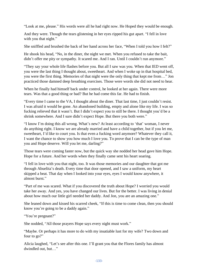"Look at me, please." His words were all he had right now. He Hoped they would be enough.

And they were. Though the tears glistening in her eyes ripped his gut apart. "I fell in love with you that night."

She sniffled and brushed the back of her hand across her face, "When I told you how I felt?"

He shook his head, "No, in the diner, the night we met. When you refused to take the bait, didn't offer me pity or sympathy. It scared me. And I ran. Until I couldn't run anymore."

"They say your whole life flashes before you. But all I saw was you. When that IED went off, you were the last thing I thought about, sweetheart. And when I woke up in that hospital bed, you were the first thing. Memories of that night were the only thing that kept me from…" Jon practiced those damned deep breathing exercises. Those were words she did not need to hear.

When he finally had himself back under control, he looked at her again. There were more tears. Was that a good thing or bad? But he had come this far. He had to finish.

"Every time I came to the VA, I thought about the diner. That last time, I just couldn't resist. I was afraid it would be gone. An abandoned building, empty and alone like my life. I was so fucking relieved that it wasn't. But I didn't expect you to still be there. I thought you'd be a shrink somewhere. And I sure didn't expect Hope. But there you both were."

"I know I'm doing this all wrong. What's new? At least according to 'that' woman, I never do anything right. I know we are already married and have a child together, but if you let me, sweetheart, I'd like to court you. Is that even a fucking word anymore? Whatever they call it, I want the chance to show you how much I love you. To prove that I can be the type of man you and Hope deserve. Will you let me, darling?"

Those tears were coming faster now, but the quick way she nodded her head gave him Hope. Hope for a future. And her words when they finally came sent his heart soaring.

"I fell in love with you that night, too. It was those memories and our daughter that got me through Abuelita's death. Every time that door opened, and I saw a uniform, my heart skipped a beat. That day when I looked into your eyes, eyes I would know anywhere, it almost burst."

"Part of me was scared. What if you discovered the truth about Hope? I worried you would take her away. And yes, you have changed our lives. But for the better. I was living in denial about how much our little girl needed her daddy. And Jon, you are an amazing one."

She leaned down and kissed his scarred cheek, "If this is time to come clean, then you should know you're going to be a daddy again."

"You're pregnant?"

She nodded, "All those prayers Hope says every night must work."

"Maybe. Or perhaps it has more to do with my insatiable lust for my wife? Two down and four to go?"

Alicia laughed, "Let's see after this one. I'll grant you that the Flores family has almost dwindled out, but…"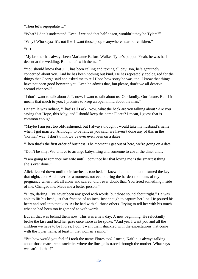"Then let's repopulate it."

"What? I don't understand. Even if we had that half dozen, wouldn't they be Tylers?"

"Why? Who says? It's not like I want those people anywhere near our children."

"J. T. …"

"My brother has always been Marianne Buford Walker Tyler's puppet. Yeah, he was half decent at the wedding. But he left with them…"

"You should know that J. T. has been calling and texting all day. Jon, he's genuinely concerned about you. And he has been nothing but kind. He has repeatedly apologized for the things that George said and asked me to tell Hope how sorry he was, too. I know that things have not been good between you. Even he admits that, but please, don't we all deserve second chances?"

"I don't want to talk about J. T. now. I want to talk about us. Our family. Our future. But if it means that much to you, I promise to keep an open mind about the man."

Her smile was radiant, "That's all I ask. Now, what the heck are you talking about? Are you saying that Hope, this baby, and I should keep the name Flores? I mean, I guess that is common enough."

"Maybe I am just too old-fashioned, but I always thought I would take my husband's name when I got married. Although, to be fair, as you said, we haven't done any of this in the 'normal' way. I don't think we've ever even been on a date?"

"Then that's the first order of business. The moment I get out of here, we're going on a date."

"Don't be silly. We'd have to arrange babysitting and someone to cover the diner and…"

"I am going to romance my wife until I convince her that loving me is the smartest thing she's ever done."

Alicia leaned down until their foreheads touched, "I knew that the moment I turned the key that night, Jon. And never for a moment, not even during the hardest moments of my pregnancy when I felt all alone and scared, did I ever doubt that. You freed something inside of me. Changed me. Made me a better person."

"Ditto, darling. I've never been any good with words, but those sound about right." He was able to lift his head just that fraction of an inch. Just enough to capture her lips. He poured his heart and soul into that kiss. As he had with all those others. Trying to tell her with his touch what he had been too frightened to with words.

But all that was behind them now. This was a new day. A new beginning. He reluctantly broke the kiss and held her gaze once more as he spoke, "And yes, I want you and all the children we have to be Flores. I don't want them shackled with the expectations that come with the Tyler name, at least in that woman's mind."

"But how would you feel if I took the name Flores too? I mean, Kaitlin is always talking about those matriarchal societies where the lineage is traced through the mother. What says we can't do that?"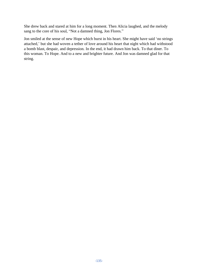She drew back and stared at him for a long moment. Then Alicia laughed, and the melody sang to the core of his soul, "Not a damned thing, Jon Flores."

Jon smiled at the sense of new Hope which burst in his heart. She might have said 'no strings attached,' but she had woven a tether of love around his heart that night which had withstood a bomb blast, despair, and depression. In the end, it had drawn him back. To that diner. To this woman. To Hope. And to a new and brighter future. And Jon was damned glad for that string.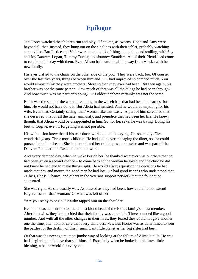## **Epilogue**

Jon Flores watched the children run and play. Of course, as tweens, Hope and Amy were beyond all that. Instead, they hung out on the sidelines with their tablet, probably watching some video. But Justice and Valor were in the thick of things, laughing and smiling, with Sky and Joy Danvers-Logan, Tommy Turner, and Journey Saunders. All of their friends had come to celebrate this day with them. Even Alison had traveled all the way from Alaska with her new family.

His eyes drifted to the chairs on the other side of the pool. They were back, too. Of course, over the last five years, things between him and J. T. had improved so damned much. You would almost think they were brothers. More so than they ever had been. But then again, his brother was not the same person. How much of that was all the things he had been through? And how much was his partner's doing? His oldest nephew certainly was not the same.

But it was the shell of the woman reclining in the wheelchair that had been the hardest for him. He would not have done it. But Alicia had insisted. And he would do anything for his wife. Even that. Certainly seeing 'that' woman like this was... A part of him screamed that she deserved this for all the hate, animosity, and prejudice that had been her life. He knew, though, that Alicia would be disappointed in him. So, for her sake, he was trying. Doing his best to forgive, even if forgetting was not possible.

His wife… Jon knew that if his tear-ducts worked, he'd be crying. Unashamedly. Five wonderful years. Three more children. He had taken over managing the diner, so she could pursue that other dream. She had completed her training as a counselor and was part of the Danvers Foundation's Reconciliation network.

And every damned day, when he woke beside her, he thanked whatever was out there that he had been given a second chance – to come back to the woman he loved and the child he did not know he had and to make things right. He would always question the decisions he had made that day and mourn the good men he had lost. He had good friends who understood that - Chris, Chase, Chance, and others in the veterans support network that the foundation sponsored.

She was right. As she usually was. As blessed as they had been, how could he not extend forgiveness to 'that' woman? Or what was left of her.

"Are you ready to begin?" Kaitlin tapped him on the shoulder.

He nodded as he bent to kiss the almost blond head of the Flores family's latest member. After the twins, they had decided that their family was complete. Three sounded like a good number. And with all the other changes in their lives, they feared they could not give another one the time, attention, or care that every child deserves. But Honor was as determined to join the battles for the destiny of this insignificant little planet as her big sister had been.

Or that was the new age mumbo-jumbo way of looking at the failure of Alicia's pills. He was half-beginning to believe that shit himself. Especially when he looked at this latest little blessing, a better world for everyone.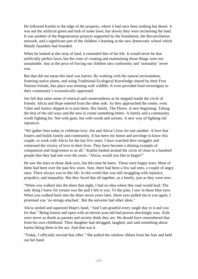He followed Kaitlin to the edge of the property, where it had once been nothing but desert. It was not the artificial green and lush of some lawn, but slowly they were reclaiming the land. It was another of the Regeneration projects supported by the foundation, the Reconciliation network, and a significant part of the children's learning at the new democratic school which Mandy Saunders had founded.

When he looked at this strip of land, it reminded him of his life. It would never be that artificially perfect lawn, but the costs of creating and maintaining those things were not sustainable. Just as the price of forcing our children into conformity and 'normality' never was.

But that did not mean this land was barren. By working with the natural environment, fostering native plants, and using Traditional Ecological Knowledge shared by their First Nations friends, this place was teeming with wildlife. It even provided food sovereignty to their community's economically oppressed.

Jon felt that same sense of renewal and connectedness as he stepped inside the circle of friends. Alicia and Hope entered from the other side. As they approached the center, even Valor and Justice slipped in to join them. His family. The Flores. A new beginning. Taking the best of the old ways and the new to create something better. A family and a community worth fighting for. Not with guns, but with words and actions. A new way of fighting old injustices.

"We gather here today to celebrate love. Jon and Alicia's love for one another. A love that fosters and builds family and community. It has been my honor and privilege to know this couple, to work with Alicia for the last five years. I have watched their struggles and witnessed the victory of love in their lives. They have become a shining example of compassion and forgiveness to us all." Kaitlin looked around the circle of close to a hundred people that they had met over the years. "Alicia, would you like to begin?"

He saw the tears in those dark eyes, but this time he knew. Those were happy tears. Most of them had been over the past few years. Sure, there had been a few sad ones, a couple of angry ones. There always was in this life. In this world that was still struggling with injustice, prejudice, and inequality. But they faced that all together, as a family, just as they were now.

"When you walked into the diner that night, I had no idea where this road would lead. The only thing I knew for certain was the pull I felt to you. To the pain, I saw in those blue eyes. When you walked back into the diner seven years later, those eyes pulled me to you again. I promised you 'no strings attached.' But the universe had other ideas."

Alicia smiled and squeezed Hope's hand, "And I am grateful every single day to it and you for that." Being honest and open with an eleven-year-old had proven shockingly easy. Kids were never as dumb as parents and society think they are. He should have remembered that from his own childhood. Their daughter had shrugged, laughed, and said something about karma biting them in the ass. And that was it.

"Today, I officially rescind that offer." She pulled the rainbow ribbon from her hair and held out her hand.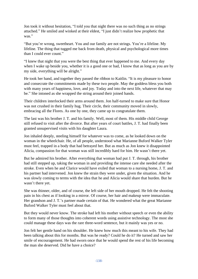Jon took it without hesitation, "I told you that night there was no such thing as no strings attached." He smiled and winked at their eldest, "I just didn't realize how prophetic that was."

"But you're wrong, sweetheart. You and our family are not strings. You're a lifeline. My lifeline. The thing that tugged me back from death, physical and psychological more times than I could ever count."

"I knew that night that you were the best thing that ever happened to me. And every day when I wake up beside you, whether it is a good one or bad, I know that as long as you are by my side, everything will be alright."

He took her hand, and together they passed the ribbon to Kaitlin. "It is my pleasure to honor and consecrate the commitments made by these two people. May the goddess bless you both with many years of happiness, love, and joy. Today and into the next life, whatever that may be." She intoned as she wrapped the string around their joined hands.

Their children interlocked their arms around them. Jon half-turned to make sure that Honor was not crushed in their family hug. Their circle, their community moved in slowly, embracing all the Flores. As one by one, they came up to congratulate them.

The last was his brother J. T. and his family. Well, most of them. His middle child George still refused to visit after the divorce. But after years of court battles, J. T. had finally been granted unsupervised visits with his daughter Laura.

Jon inhaled deeply, steeling himself for whatever was to come, as he looked down on the woman in the wheelchair. He, of all people, understood what Marianne Buford Walker Tyler must feel, trapped in a body that had betrayed her. But as much as Jon knew it disappointed Alicia, compassion for that woman was still incredibly hard for him. He wasn't there yet.

But he admired his brother. After everything that woman had put J. T. through, his brother had still stepped up, taking the woman in and providing the intense care she needed after the stroke. Even when he and Clarice would have exiled that woman to a nursing home, J. T. and his partner had intervened. Jon knew the strain they were under, given the situation. And he was slowly coming to terms with the idea that he and Alicia would share that burden. But he wasn't there yet.

She was thinner, older, and of course, the left side of her mouth dropped. He felt the shooting pain in his chest as if looking in a mirror. Of course, her hair and makeup were immaculate. Her grandson and J. T.'s partner made certain of that. He wondered what the great Marianne Buford Walker Tyler must feel about that.

But they would never know. The stroke had left his mother without speech or even the ability to form many of those thoughts into coherent words using assistive technology. The most she could manage these days was the rare three-word sentence, but it mainly was yes or no.

Jon felt her gentle hand on his shoulder. He knew how much this meant to his wife. They had been talking about this for months. But was he ready? Could he do it? He turned and saw her smile of encouragement. He had sworn once that he would spend the rest of his life becoming the man she deserved. Did he have a choice?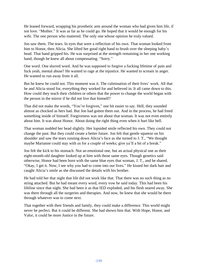He leaned forward, wrapping his prosthetic arm around the woman who had given him life, if not love. "Mother." It was as far as he could go. He hoped that it would be enough for his wife. The one person who mattered. The only one whose opinion he truly valued.

Jon saw them. The tears. In eyes that were a reflection of his own. That woman looked from him to Honor, then Alicia. She lifted her good right hand to brush over the sleeping baby's head. That hand gripped his. He was surprised at the strength remaining in her one working hand, though he knew all about compensating. "Sorry."

One word. One slurred word. And he was supposed to forgive a fucking lifetime of pain and fuck yeah, mental abuse? He wanted to rage at the injustice. He wanted to scream in anger. He wanted to run away from it all.

But he knew he could not. This moment was it. The culmination of their lives' work. All that he and Alicia stood for, everything they worked for and believed in. It all came down to this. How could they teach their children or others that the power to change the world began with the person in the mirror if he did not live that himself?

That did not make the words, "You're forgiven," one bit easier to say. Hell, they sounded almost as chocked as hers had. But Jon had gotten them out. And in the process, he had freed something inside of himself. Forgiveness was not about that woman. It was not even entirely about him. It was about Honor. About doing the right thing even when it hurt like hell.

That woman nodded her head slightly. Her lopsided smile reflected his own. They could not change the past. But they could create a better future. Jon felt that gentle squeeze on his shoulder and saw the tears running down Alicia's face as she turned to J. T., "We thought maybe Marianne could stay with us for a couple of weeks; give ya'll a bit of a break."

Jon felt the kick to his stomach. Not an emotional one, but an actual physical one as their eight-month-old daughter looked up at him with those same eyes. Though genetics said otherwise, Honor had been born with the same blue eyes that woman, J. T., and he shared. "Okay, I get it. Now, I see why you had to come into our lives." He kissed her dark hair and caught Alicia's smile as she discussed the details with his brother.

He had told her that night that life did not work like that. That there was no such thing as no string attached. But he had meant every word, every vow he said today. This had been his lifeline since that night. She had been it as that IED exploded, and his flesh seared away. She was there through all the surgeries and therapies. And now, he knew that she would be there through whatever was to come next.

That together with their friends and family, they could make a difference. This world might never be perfect. But it could be different. She had shown him that. With Hope, Honor, and Valor, it could be more Justice in the future.